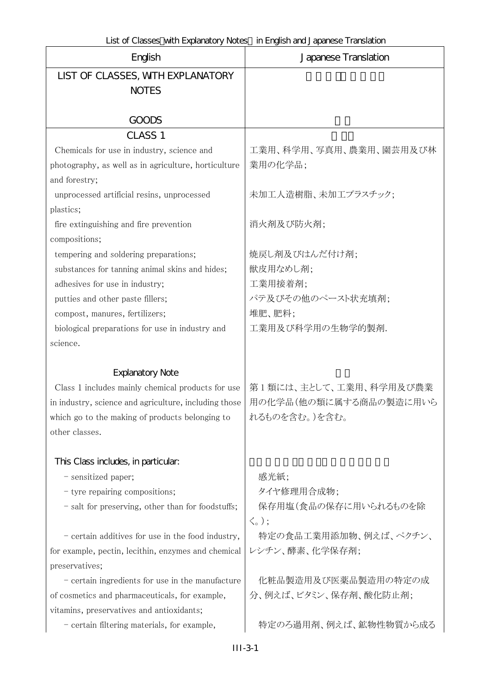| English                                               | Japanese Translation            |
|-------------------------------------------------------|---------------------------------|
| LIST OF CLASSES, WITH EXPLANATORY                     |                                 |
| <b>NOTES</b>                                          |                                 |
| <b>GOODS</b>                                          |                                 |
| CLASS <sub>1</sub>                                    |                                 |
| Chemicals for use in industry, science and            | 工業用、科学用、写真用、農業用、園芸用及び林          |
| photography, as well as in agriculture, horticulture  | 業用の化学品;                         |
| and forestry;                                         |                                 |
| unprocessed artificial resins, unprocessed            | 未加工人造樹脂、未加工プラスチック;              |
| plastics;                                             |                                 |
| fire extinguishing and fire prevention                | 消火剤及び防火剤;                       |
| compositions;                                         |                                 |
| tempering and soldering preparations;                 | 焼戻し剤及びはんだ付け剤;                   |
| substances for tanning animal skins and hides;        | 獣皮用なめし剤;                        |
| adhesives for use in industry;                        | 工業用接着剤;                         |
| putties and other paste fillers;                      | パテ及びその他のペースト状充填剤;               |
| compost, manures, fertilizers;                        | 堆肥、肥料;                          |
| biological preparations for use in industry and       | 工業用及び科学用の生物学的製剤.                |
| science.                                              |                                 |
| <b>Explanatory Note</b>                               |                                 |
| Class 1 includes mainly chemical products for use     | 第1類には、主として、工業用、科学用及び農業          |
| in industry, science and agriculture, including those | 用の化学品(他の類に属する商品の製造に用いら          |
| which go to the making of products belonging to       | れるものを含む。)を含む。                   |
| other classes.                                        |                                 |
| This Class includes, in particular:                   |                                 |
| - sensitized paper;                                   | 感光紙;                            |
| - tyre repairing compositions;                        | タイヤ修理用合成物;                      |
| - salt for preserving, other than for foodstuffs;     | 保存用塩(食品の保存に用いられるものを除            |
|                                                       | $\langle \zeta$ <sub>o</sub> ); |
| - certain additives for use in the food industry,     | 特定の食品工業用添加物、例えば、ペクチン、           |
| for example, pectin, lecithin, enzymes and chemical   | レシチン、酵素、化学保存剤;                  |
| preservatives;                                        |                                 |
| - certain ingredients for use in the manufacture      | 化粧品製造用及び医薬品製造用の特定の成             |
| of cosmetics and pharmaceuticals, for example,        | 分、例えば、ビタミン、保存剤、酸化防止剤;           |
| vitamins, preservatives and antioxidants;             |                                 |
| - certain filtering materials, for example,           | 特定のろ過用剤、例えば、鉱物性物質から成る           |
|                                                       |                                 |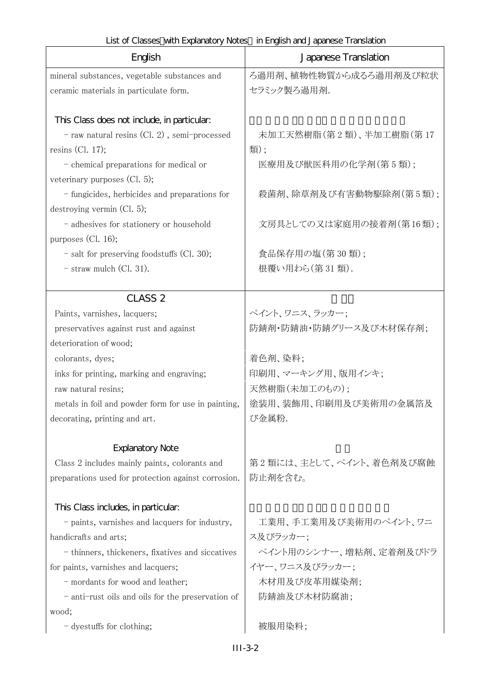| English                                             | Japanese Translation            |
|-----------------------------------------------------|---------------------------------|
| mineral substances, vegetable substances and        | ろ過用剤、植物性物質から成るろ過用剤及び粒状          |
| ceramic materials in particulate form.              | セラミック製ろ過用剤.                     |
|                                                     |                                 |
| This Class does not include, in particular:         |                                 |
| - raw natural resins (Cl. 2), semi-processed        | 未加工天然樹脂(第2類)、半加工樹脂(第17          |
| resins (Cl. 17);                                    | 類);                             |
| - chemical preparations for medical or              | 医療用及び獣医科用の化学剤(第5類);             |
| veterinary purposes $(Cl. 5)$ ;                     |                                 |
| - fungicides, herbicides and preparations for       | 殺菌剤、除草剤及び有害動物駆除剤(第5類);          |
| destroying vermin (Cl. 5);                          |                                 |
| - adhesives for stationery or household             | 文房具としての又は家庭用の接着剤(第16類);         |
| purposes (Cl. 16);                                  |                                 |
| $-$ salt for preserving foodstuffs (Cl. 30);        | 食品保存用の塩(第30類);<br>根覆い用わら(第31類). |
| $-$ straw mulch (Cl. 31).                           |                                 |
| <b>CLASS 2</b>                                      |                                 |
| Paints, varnishes, lacquers;                        | ペイント、ワニス、ラッカー;                  |
| preservatives against rust and against              | 防錆剤・防錆油・防錆グリース及び木材保存剤;          |
| deterioration of wood;                              |                                 |
| colorants, dyes;                                    | 着色剤、染料;                         |
| inks for printing, marking and engraving;           | 印刷用、マーキング用、版用インキ;               |
| raw natural resins;                                 | 天然樹脂(未加工のもの);                   |
| metals in foil and powder form for use in painting, | 塗装用、装飾用、印刷用及び美術用の金属箔及           |
| decorating, printing and art.                       | び金属粉.                           |
| <b>Explanatory Note</b>                             |                                 |
| Class 2 includes mainly paints, colorants and       | 第2類には、主として、ペイント、着色剤及び腐蝕         |
| preparations used for protection against corrosion. | 防止剤を含む。                         |
|                                                     |                                 |
| This Class includes, in particular.                 |                                 |
| - paints, varnishes and lacquers for industry,      | 工業用、手工業用及び美術用のペイント、ワニ           |
| handicrafts and arts;                               | ス及びラッカー;                        |
| - thinners, thickeners, fixatives and siccatives    | ペイント用のシンナー、増粘剤、定着剤及びドラ          |
| for paints, varnishes and lacquers;                 | イヤー、ワニス及びラッカー;                  |
| - mordants for wood and leather;                    | 木材用及び皮革用媒染剤;                    |
| - anti-rust oils and oils for the preservation of   | 防錆油及び木材防腐油;                     |
| wood;                                               |                                 |
| - dyestuffs for clothing;                           | 被服用染料;                          |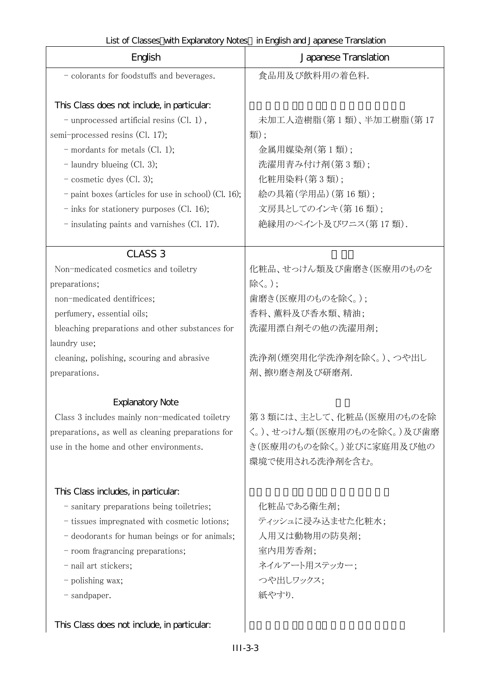| English                                              | Japanese Translation      |
|------------------------------------------------------|---------------------------|
| - colorants for foodstuffs and beverages.            | 食品用及び飲料用の着色料.             |
|                                                      |                           |
| This Class does not include, in particular:          |                           |
| $-$ unprocessed artificial resins $(Cl. 1)$ ,        | 未加工人造樹脂(第1類)、半加工樹脂(第17    |
| semi-processed resins (Cl. 17);                      | 類);                       |
| $-$ mordants for metals (Cl. 1);                     | 金属用媒染剤(第1類);              |
| $-$ laundry blueing (Cl. 3);                         | 洗濯用青み付け剤(第3類);            |
| $-$ cosmetic dyes (Cl. 3);                           | 化粧用染料(第3類);               |
| - paint boxes (articles for use in school) (Cl. 16); | 絵の具箱(学用品)(第16類);          |
| $-$ inks for stationery purposes (Cl. 16);           | 文房具としてのインキ(第16類);         |
| $-$ insulating paints and varnishes (Cl. 17).        | 絶縁用のペイント及びワニス(第17類).      |
| <b>CLASS 3</b>                                       |                           |
| Non-medicated cosmetics and toiletry                 | 化粧品、せっけん類及び歯磨き(医療用のものを    |
| preparations;                                        | 除く。);                     |
| non-medicated dentifrices;                           | 歯磨き(医療用のものを除く。);          |
| perfumery, essential oils;                           | 香料、薫料及び香水類、精油;            |
| bleaching preparations and other substances for      | 洗濯用漂白剤その他の洗濯用剤;           |
| laundry use;                                         |                           |
| cleaning, polishing, scouring and abrasive           | 洗浄剤(煙突用化学洗浄剤を除く。)、つや出し    |
| preparations.                                        | 剤、擦り磨き剤及び研磨剤.             |
|                                                      |                           |
| <b>Explanatory Note</b>                              |                           |
| Class 3 includes mainly non-medicated toiletry       | 第3類には、主として、化粧品(医療用のものを除   |
| preparations, as well as cleaning preparations for   | く。)、せっけん類(医療用のものを除く。)及び歯磨 |
| use in the home and other environments.              | き(医療用のものを除く。)並びに家庭用及び他の   |
|                                                      | 環境で使用される洗浄剤を含む。           |
| This Class includes, in particular.                  |                           |
| - sanitary preparations being toiletries;            | 化粧品である衛生剤;                |
| - tissues impregnated with cosmetic lotions;         | ティッシュに浸み込ませた化粧水;          |
| - deodorants for human beings or for animals;        | 人用又は動物用の防臭剤;              |
| - room fragrancing preparations;                     | 室内用芳香剤;                   |
| - nail art stickers;                                 | ネイルアート用ステッカー;             |
| - polishing wax;                                     | つや出しワックス;                 |
| - sandpaper.                                         | 紙やすり.                     |
|                                                      |                           |
| This Class does not include, in particular:          |                           |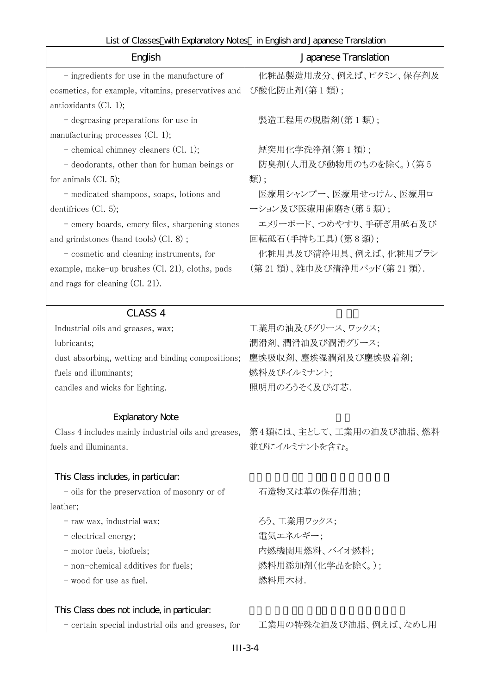| English                                                                     | Japanese Translation                    |
|-----------------------------------------------------------------------------|-----------------------------------------|
| $-$ ingredients for use in the manufacture of                               | 化粧品製造用成分、例えば、ビタミン、保存剤及                  |
| cosmetics, for example, vitamins, preservatives and                         | び酸化防止剤(第1類);                            |
| antioxidants $(Cl. 1);$                                                     |                                         |
| - degreasing preparations for use in                                        | 製造工程用の脱脂剤(第1類);                         |
| manufacturing processes $(Cl. 1);$                                          |                                         |
| - chemical chimney cleaners $(Cl. 1);$                                      | 煙突用化学洗浄剤(第1類);                          |
| - deodorants, other than for human beings or                                | 防臭剤(人用及び動物用のものを除く。)(第5                  |
| for animals $(Cl. 5)$ ;                                                     | 類);                                     |
| - medicated shampoos, soaps, lotions and                                    | 医療用シャンプー、医療用せっけん、医療用ロ                   |
| dentifrices $(Cl. 5)$ ;                                                     | ーション及び医療用歯磨き(第5類);                      |
| - emery boards, emery files, sharpening stones                              | エメリーボード、つめやすり、手研ぎ用砥石及び                  |
| and grindstones (hand tools) (Cl. 8);                                       | 回転砥石(手持ち工具)(第8類);                       |
| - cosmetic and cleaning instruments, for                                    | 化粧用具及び清浄用具、例えば、化粧用ブラシ                   |
| example, make-up brushes (Cl. 21), cloths, pads                             | (第21類)、雑巾及び清浄用パッド(第21類).                |
| and rags for cleaning $(Cl. 21)$ .                                          |                                         |
|                                                                             |                                         |
| <b>CLASS 4</b>                                                              |                                         |
| Industrial oils and greases, wax;                                           | 工業用の油及びグリース、ワックス;                       |
| lubricants;                                                                 | 潤滑剤、潤滑油及び潤滑グリース;<br>塵埃吸収剤、塵埃湿潤剤及び塵埃吸着剤; |
| dust absorbing, wetting and binding compositions;<br>fuels and illuminants; | 燃料及びイルミナント;                             |
| candles and wicks for lighting.                                             | 照明用のろうそく及び灯芯.                           |
|                                                                             |                                         |
| <b>Explanatory Note</b>                                                     |                                         |
| Class 4 includes mainly industrial oils and greases,                        | 第4類には、主として、工業用の油及び油脂、燃料                 |
| fuels and illuminants.                                                      | 並びにイルミナントを含む。                           |
|                                                                             |                                         |
| This Class includes, in particular.                                         |                                         |
| - oils for the preservation of masonry or of                                | 石造物又は革の保存用油;                            |
| leather;                                                                    |                                         |
| - raw wax, industrial wax;                                                  | ろう、工業用ワックス;                             |
| - electrical energy;                                                        | 電気エネルギー;                                |
| - motor fuels, biofuels;                                                    | 内燃機関用燃料、バイオ燃料;                          |
| - non-chemical additives for fuels;                                         | 燃料用添加剤(化学品を除く。);                        |
| - wood for use as fuel.                                                     | 燃料用木材.                                  |
| This Class does not include, in particular.                                 |                                         |
| - certain special industrial oils and greases, for                          | 工業用の特殊な油及び油脂、例えば、なめし用                   |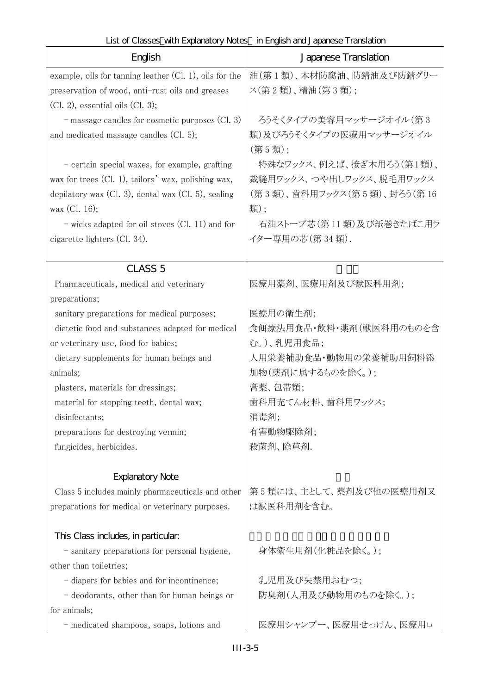| $\frac{1}{2}$ or $\frac{1}{2}$ . The state is the state of $\frac{1}{2}$ . The state is the state of $\frac{1}{2}$<br>English | En lignon and or apartoso Than lord and T<br>Japanese Translation |
|-------------------------------------------------------------------------------------------------------------------------------|-------------------------------------------------------------------|
| example, oils for tanning leather $(Cl. 1)$ , oils for the                                                                    | 油(第1類)、木材防腐油、防錆油及び防錆グリー                                           |
| preservation of wood, anti-rust oils and greases                                                                              | ス(第2類)、精油(第3類);                                                   |
| $(Cl. 2)$ , essential oils $(Cl. 3)$ ;                                                                                        |                                                                   |
| - massage candles for cosmetic purposes (Cl. 3)                                                                               | ろうそくタイプの美容用マッサージオイル(第3                                            |
| and medicated massage candles $(Cl. 5)$ ;                                                                                     | 類)及びろうそくタイプの医療用マッサージオイル                                           |
|                                                                                                                               | (第5類);                                                            |
| - certain special waxes, for example, grafting                                                                                | 特殊なワックス、例えば、接ぎ木用ろう(第1類)、                                          |
| wax for trees (Cl. 1), tailors' wax, polishing wax,                                                                           | 裁縫用ワックス、つや出しワックス、脱毛用ワックス                                          |
| depilatory wax $(Cl. 3)$ , dental wax $(Cl. 5)$ , sealing                                                                     | (第3類)、歯科用ワックス(第5類)、封ろう(第16                                        |
| $\text{wax}$ (Cl. 16);                                                                                                        | 類);                                                               |
| - wicks adapted for oil stoves (Cl. 11) and for                                                                               | 石油ストーブ芯(第11類)及び紙巻きたばこ用ラ                                           |
| cigarette lighters (Cl. 34).                                                                                                  | イター専用の芯(第34類).                                                    |
|                                                                                                                               |                                                                   |
| <b>CLASS 5</b>                                                                                                                |                                                                   |
| Pharmaceuticals, medical and veterinary                                                                                       | 医療用薬剤、医療用剤及び獣医科用剤;                                                |
| preparations;                                                                                                                 |                                                                   |
| sanitary preparations for medical purposes;                                                                                   | 医療用の衛生剤;                                                          |
| dietetic food and substances adapted for medical                                                                              | 食餌療法用食品・飲料・薬剤(獣医科用のものを含                                           |
| or veterinary use, food for babies;                                                                                           | む。)、乳児用食品;                                                        |
| dietary supplements for human beings and                                                                                      | 人用栄養補助食品・動物用の栄養補助用飼料添                                             |
| animals;                                                                                                                      | 加物(薬剤に属するものを除く。);                                                 |
| plasters, materials for dressings;                                                                                            | 膏薬、包帯類;                                                           |
| material for stopping teeth, dental wax;                                                                                      | 歯科用充てん材料、歯科用ワックス;                                                 |
| disinfectants;                                                                                                                | 消毒剤;                                                              |
| preparations for destroying vermin;                                                                                           | 有害動物駆除剤;                                                          |
| fungicides, herbicides.                                                                                                       | 殺菌剤、除草剤.                                                          |
|                                                                                                                               |                                                                   |
| <b>Explanatory Note</b>                                                                                                       |                                                                   |
| Class 5 includes mainly pharmaceuticals and other                                                                             | 第5類には、主として、薬剤及び他の医療用剤又                                            |
| preparations for medical or veterinary purposes.                                                                              | は獣医科用剤を含む。                                                        |
| This Class includes, in particular.                                                                                           |                                                                   |
| - sanitary preparations for personal hygiene,                                                                                 | 身体衛生用剤(化粧品を除く。);                                                  |
| other than toiletries;                                                                                                        |                                                                   |
| - diapers for babies and for incontinence;                                                                                    | 乳児用及び失禁用おむつ;                                                      |
| - deodorants, other than for human beings or                                                                                  | 防臭剤(人用及び動物用のものを除く。);                                              |
| for animals;                                                                                                                  |                                                                   |
| - medicated shampoos, soaps, lotions and                                                                                      | 医療用シャンプー、医療用せっけん、医療用ロ                                             |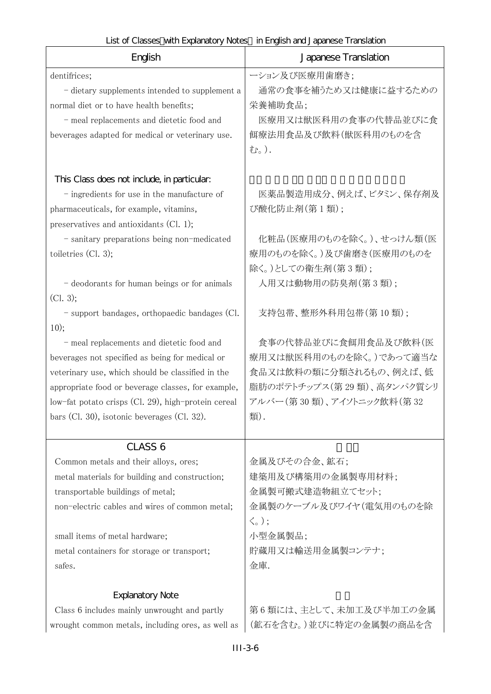| English                                                                 | Japanese Translation      |
|-------------------------------------------------------------------------|---------------------------|
| dentifrices;                                                            | ーション及び医療用歯磨き;             |
| - dietary supplements intended to supplement a                          | 通常の食事を補うため又は健康に益するための     |
| normal diet or to have health benefits;                                 | 栄養補助食品;                   |
| - meal replacements and dietetic food and                               | 医療用又は獣医科用の食事の代替品並びに食      |
| beverages adapted for medical or veterinary use.                        | 餌療法用食品及び飲料(獣医科用のものを含      |
|                                                                         | む。).                      |
| This Class does not include, in particular:                             |                           |
| $-$ ingredients for use in the manufacture of                           | 医薬品製造用成分、例えば、ビタミン、保存剤及    |
| pharmaceuticals, for example, vitamins,                                 | び酸化防止剤(第1類);              |
| preservatives and antioxidants (Cl. 1);                                 |                           |
| - sanitary preparations being non-medicated                             | 化粧品(医療用のものを除く。)、せっけん類(医   |
| toiletries $(Cl. 3);$                                                   | 療用のものを除く。)及び歯磨き(医療用のものを   |
|                                                                         | 除く。)としての衛生剤(第3類);         |
| - deodorants for human beings or for animals                            | 人用又は動物用の防臭剤(第3類);         |
| (Cl. 3);                                                                |                           |
| - support bandages, orthopaedic bandages (Cl.                           | 支持包带、整形外科用包带(第10類);       |
| 10);                                                                    |                           |
| - meal replacements and dietetic food and                               | 食事の代替品並びに食餌用食品及び飲料(医      |
| beverages not specified as being for medical or                         | 療用又は獣医科用のものを除く。)であって適当な   |
| veterinary use, which should be classified in the                       | 食品又は飲料の類に分類されるもの、例えば、低    |
| appropriate food or beverage classes, for example,                      | 脂肪のポテトチップス(第29類)、高タンパク質シリ |
| low-fat potato crisps (Cl. 29), high-protein cereal                     | アルバー(第30類)、アイソトニック飲料(第32  |
| bars (Cl. 30), isotonic beverages (Cl. 32).                             | 類).                       |
| CLASS <sub>6</sub>                                                      |                           |
| Common metals and their alloys, ores;                                   | 金属及びその合金、鉱石;              |
| metal materials for building and construction;                          | 建築用及び構築用の金属製専用材料;         |
| transportable buildings of metal;                                       | 金属製可搬式建造物組立てセット;          |
| non-electric cables and wires of common metal;                          | 金属製のケーブル及びワイヤ(電気用のものを除    |
|                                                                         | $\langle \zeta$ );        |
| small items of metal hardware;                                          | 小型金属製品;                   |
| metal containers for storage or transport;                              | 貯蔵用又は輸送用金属製コンテナ;          |
| safes.                                                                  | 金庫.                       |
|                                                                         |                           |
| <b>Explanatory Note</b><br>Class 6 includes mainly unwrought and partly | 第6類には、主として、未加工及び半加工の金属    |
| wrought common metals, including ores, as well as                       | (鉱石を含む。)並びに特定の金属製の商品を含    |
|                                                                         |                           |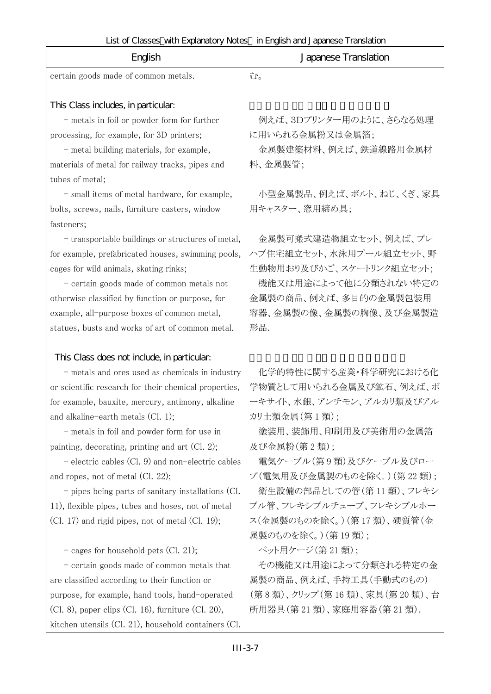h

 $\mathsf{r}$ 

| English                                                                                                          | Japanese Translation                                |
|------------------------------------------------------------------------------------------------------------------|-----------------------------------------------------|
| certain goods made of common metals.                                                                             | む。                                                  |
|                                                                                                                  |                                                     |
| This Class includes, in particular.                                                                              |                                                     |
| - metals in foil or powder form for further                                                                      | 例えば、3Dプリンター用のように、さらなる処理                             |
| processing, for example, for 3D printers;                                                                        | に用いられる金属粉又は金属箔;                                     |
| - metal building materials, for example,                                                                         | 金属製建築材料、例えば、鉄道線路用金属材                                |
| materials of metal for railway tracks, pipes and                                                                 | 料、金属製管;                                             |
| tubes of metal;                                                                                                  |                                                     |
| - small items of metal hardware, for example,                                                                    | 小型金属製品、例えば、ボルト、ねじ、くぎ、家具                             |
| bolts, screws, nails, furniture casters, window                                                                  | 用キャスター、窓用締め具;                                       |
| fasteners;                                                                                                       |                                                     |
| - transportable buildings or structures of metal,                                                                | 金属製可搬式建造物組立セット、例えば、プレ                               |
| for example, prefabricated houses, swimming pools,                                                               | ハブ住宅組立セット、水泳用プール組立セット、野                             |
| cages for wild animals, skating rinks;                                                                           | 生動物用おり及びかご、スケートリンク組立セット;                            |
| - certain goods made of common metals not                                                                        | 機能又は用途によって他に分類されない特定の                               |
| otherwise classified by function or purpose, for                                                                 | 金属製の商品、例えば、多目的の金属製包装用                               |
| example, all-purpose boxes of common metal,                                                                      | 容器、金属製の像、金属製の胸像、及び金属製造                              |
| statues, busts and works of art of common metal.                                                                 | 形品.                                                 |
|                                                                                                                  |                                                     |
| This Class does not include, in particular:                                                                      |                                                     |
| - metals and ores used as chemicals in industry                                                                  | 化学的特性に関する産業・科学研究における化                               |
| or scientific research for their chemical properties,                                                            | 学物質として用いられる金属及び鉱石、例えば、ボ                             |
| for example, bauxite, mercury, antimony, alkaline                                                                | ーキサイト、水銀、アンチモン、アルカリ類及びアル                            |
| and alkaline-earth metals $(Cl. 1);$                                                                             | カリ土類金属(第1類);                                        |
| - metals in foil and powder form for use in                                                                      | 塗装用、装飾用、印刷用及び美術用の金属箔                                |
| painting, decorating, printing and art $(Cl. 2)$ ;                                                               | 及び金属粉(第2類);                                         |
| $\overline{\phantom{a}}$ electric cables (Cl. 9) and non-electric cables<br>and ropes, not of metal $(Cl. 22)$ ; | 電気ケーブル(第9類)及びケーブル及びロー<br>プ(電気用及び金属製のものを除く。) (第22類); |
|                                                                                                                  | 衛生設備の部品としての管(第11類)、フレキシ                             |
| $-$ pipes being parts of sanitary installations (Cl.                                                             | ブル管、フレキシブルチューブ、フレキシブルホー                             |
| 11), flexible pipes, tubes and hoses, not of metal                                                               | ス(金属製のものを除く。)(第17類)、硬質管(金                           |
| (Cl. 17) and rigid pipes, not of metal (Cl. 19);                                                                 | 属製のものを除く。) (第19類);                                  |
| - cages for household pets (Cl. 21);                                                                             | ペット用ケージ(第21類):                                      |
| - certain goods made of common metals that                                                                       | その機能又は用途によって分類される特定の金                               |
| are classified according to their function or                                                                    | 属製の商品、例えば、手持工具(手動式のもの)                              |
| purpose, for example, hand tools, hand-operated                                                                  | (第8類)、クリップ (第16類)、家具(第20類)、台                        |
| $(Cl. 8)$ , paper clips $(Cl. 16)$ , furniture $(Cl. 20)$ ,                                                      | 所用器具(第21類)、家庭用容器(第21類).                             |
| kitchen utensils (Cl. 21), household containers (Cl.                                                             |                                                     |

III-3-7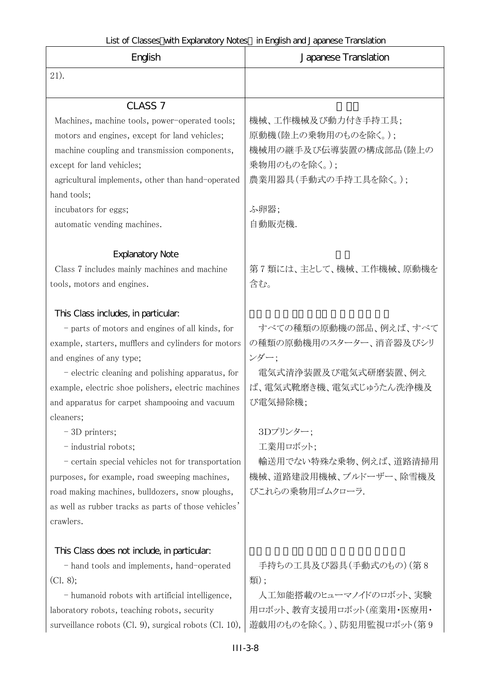| English                                                                                                                                                                                                                                                                                                                                                                                                                                                                                                                                                                                                                                                     | Japanese Translation                                                                                                                                                                                                     |
|-------------------------------------------------------------------------------------------------------------------------------------------------------------------------------------------------------------------------------------------------------------------------------------------------------------------------------------------------------------------------------------------------------------------------------------------------------------------------------------------------------------------------------------------------------------------------------------------------------------------------------------------------------------|--------------------------------------------------------------------------------------------------------------------------------------------------------------------------------------------------------------------------|
| 21).                                                                                                                                                                                                                                                                                                                                                                                                                                                                                                                                                                                                                                                        |                                                                                                                                                                                                                          |
| CLASS <sub>7</sub>                                                                                                                                                                                                                                                                                                                                                                                                                                                                                                                                                                                                                                          |                                                                                                                                                                                                                          |
| Machines, machine tools, power-operated tools;<br>motors and engines, except for land vehicles;<br>machine coupling and transmission components,<br>except for land vehicles;<br>agricultural implements, other than hand-operated<br>hand tools;<br>incubators for eggs;<br>automatic vending machines.                                                                                                                                                                                                                                                                                                                                                    | 機械、工作機械及び動力付き手持工具;<br>原動機(陸上の乗物用のものを除く。);<br>機械用の継手及び伝導装置の構成部品(陸上の<br>乗物用のものを除く。);<br>農業用器具(手動式の手持工具を除く。);<br>ふ卵器;<br>自動販売機.                                                                                             |
| <b>Explanatory Note</b><br>Class 7 includes mainly machines and machine                                                                                                                                                                                                                                                                                                                                                                                                                                                                                                                                                                                     | 第7類には、主として、機械、工作機械、原動機を                                                                                                                                                                                                  |
| tools, motors and engines.<br>This Class includes, in particular.<br>- parts of motors and engines of all kinds, for<br>example, starters, mufflers and cylinders for motors<br>and engines of any type;<br>- electric cleaning and polishing apparatus, for<br>example, electric shoe polishers, electric machines<br>and apparatus for carpet shampooing and vacuum<br>cleaners;<br>- 3D printers;<br>- industrial robots;<br>- certain special vehicles not for transportation<br>purposes, for example, road sweeping machines,<br>road making machines, bulldozers, snow ploughs,<br>as well as rubber tracks as parts of those vehicles'<br>crawlers. | 含む。<br>すべての種類の原動機の部品、例えば、すべて<br>の種類の原動機用のスターター、消音器及びシリ<br>ンダー;<br>電気式清浄装置及び電気式研磨装置、例え<br>ば、電気式靴磨き機、電気式じゅうたん洗浄機及<br>び電気掃除機;<br>3Dプリンター:<br>工業用ロボット:<br>輸送用でない特殊な乗物、例えば、道路清掃用<br>機械、道路建設用機械、ブルドーザー、除雪機及<br>びこれらの乗物用ゴムクローラ. |
| This Class does not include, in particular.<br>- hand tools and implements, hand-operated<br>(Cl. 8);<br>- humanoid robots with artificial intelligence,<br>laboratory robots, teaching robots, security<br>surveillance robots (Cl. 9), surgical robots (Cl. 10),                                                                                                                                                                                                                                                                                                                                                                                          | 手持ちの工具及び器具(手動式のもの)(第8<br>類);<br>人工知能搭載のヒューマノイドのロボット、実験<br>用ロボット、教育支援用ロボット(産業用・医療用・<br>遊戯用のものを除く。)、防犯用監視ロボット(第9                                                                                                           |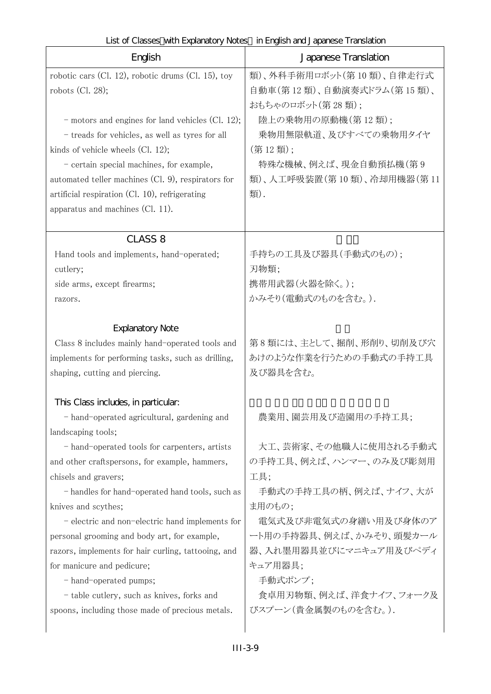| English                                                                                                                                       | Japanese Translation                                                      |
|-----------------------------------------------------------------------------------------------------------------------------------------------|---------------------------------------------------------------------------|
| robotic cars (Cl. 12), robotic drums (Cl. 15), toy<br>robots $(Cl. 28);$                                                                      | 類)、外科手術用ロボット(第10類)、自律走行式<br>自動車(第12類)、自動演奏式ドラム(第15類)、<br>おもちゃのロボット(第28類); |
| $-$ motors and engines for land vehicles (Cl. 12);<br>- treads for vehicles, as well as tyres for all<br>kinds of vehicle wheels $(Cl. 12)$ ; | 陸上の乗物用の原動機(第12類);<br>乗物用無限軌道、及びすべての乗物用タイヤ<br>(第12類);                      |
| - certain special machines, for example,<br>automated teller machines (Cl. 9), respirators for                                                | 特殊な機械、例えば、現金自動預払機(第9<br>類)、人工呼吸装置(第10類)、冷却用機器(第11                         |
| artificial respiration (Cl. 10), refrigerating<br>apparatus and machines (Cl. 11).                                                            | 類).                                                                       |
| <b>CLASS 8</b>                                                                                                                                |                                                                           |
| Hand tools and implements, hand-operated;<br>cutlery;                                                                                         | 手持ちの工具及び器具(手動式のもの);<br>刃物類;                                               |
| side arms, except firearms;<br>razors.                                                                                                        | 携帯用武器(火器を除く。);<br>かみそり(電動式のものを含む。).                                       |
| <b>Explanatory Note</b>                                                                                                                       |                                                                           |
| Class 8 includes mainly hand-operated tools and                                                                                               | 第8類には、主として、掘削、形削り、切削及び穴                                                   |
| implements for performing tasks, such as drilling,<br>shaping, cutting and piercing.                                                          | あけのような作業を行うための手動式の手持工具<br>及び器具を含む。                                        |
| This Class includes, in particular.                                                                                                           |                                                                           |
| - hand-operated agricultural, gardening and<br>landscaping tools;                                                                             | 農業用、園芸用及び造園用の手持工具;                                                        |
| - hand-operated tools for carpenters, artists<br>and other craftspersons, for example, hammers,<br>chisels and gravers;                       | 大工、芸術家、その他職人に使用される手動式<br>の手持工具、例えば、ハンマー、のみ及び彫刻用<br>工具;                    |
| - handles for hand-operated hand tools, such as<br>knives and scythes;                                                                        | 手動式の手持工具の柄、例えば、ナイフ、大が<br>ま用のもの;                                           |
| - electric and non-electric hand implements for<br>personal grooming and body art, for example,                                               | 電気式及び非電気式の身繕い用及び身体のア<br>ート用の手持器具、例えば、かみそり、頭髪カール                           |
| razors, implements for hair curling, tattooing, and<br>for manicure and pedicure;                                                             | 器、入れ墨用器具並びにマニキュア用及びペディ<br>キュア用器具;                                         |
| - hand-operated pumps;                                                                                                                        | 手動式ポンプ;<br>食卓用刃物類、例えば、洋食ナイフ、フォーク及                                         |
| - table cutlery, such as knives, forks and<br>spoons, including those made of precious metals.                                                | びスプーン(貴金属製のものを含む。).                                                       |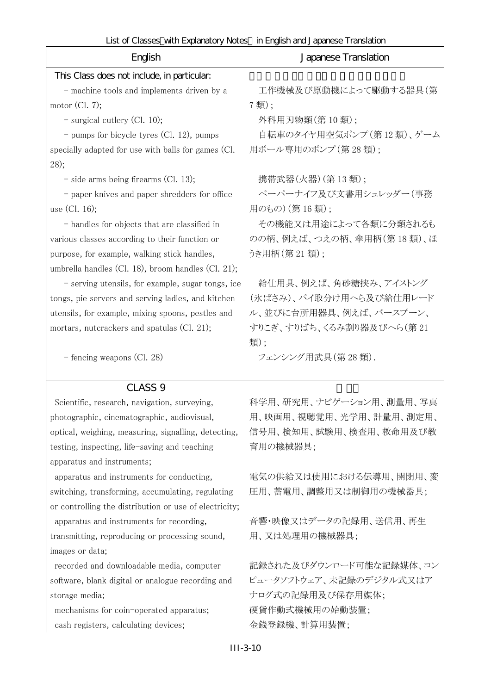List of Classes with Explanatory Notes in English and Japanese Translation

| English                                                | Japanese Translation     |
|--------------------------------------------------------|--------------------------|
| This Class does not include, in particular:            |                          |
| - machine tools and implements driven by a             | 工作機械及び原動機によって駆動する器具(第    |
| motor $(Cl. 7);$                                       | 7類);                     |
| $-$ surgical cutlery (Cl. 10);                         | 外科用刃物類(第10類);            |
| $-$ pumps for bicycle tyres (Cl. 12), pumps            | 自転車のタイヤ用空気ポンプ(第12類)、ゲーム  |
| specially adapted for use with balls for games (Cl.    | 用ボール専用のポンプ(第28類);        |
| 28);                                                   |                          |
| $-$ side arms being firearms (Cl. 13);                 | 携帯武器(火器)(第13類);          |
| - paper knives and paper shredders for office          | ペーパーナイフ及び文書用シュレッダー(事務    |
| use $(Cl. 16);$                                        | 用のもの) (第16類);            |
| - handles for objects that are classified in           | その機能又は用途によって各類に分類されるも    |
| various classes according to their function or         | のの柄、例えば、つえの柄、傘用柄(第18類)、ほ |
| purpose, for example, walking stick handles,           | うき用柄(第 21 類);            |
| umbrella handles (Cl. 18), broom handles (Cl. 21);     |                          |
| - serving utensils, for example, sugar tongs, ice      | 給仕用具、例えば、角砂糖挟み、アイストング    |
| tongs, pie servers and serving ladles, and kitchen     | (氷ばさみ)、パイ取分け用へら及び給仕用レード  |
| utensils, for example, mixing spoons, pestles and      | ル、並びに台所用器具、例えば、バースプーン、   |
| mortars, nutcrackers and spatulas (Cl. 21);            | すりこぎ、すりばち、くるみ割り器及びへら(第21 |
|                                                        | 類);                      |
| - fencing weapons (Cl. 28)                             | フェンシング用武具(第28類).         |
| CLASS <sub>9</sub>                                     |                          |
| Scientific, research, navigation, surveying,           | 科学用、研究用、ナビゲーション用、測量用、写真  |
| photographic, cinematographic, audiovisual,            | 用、映画用、視聴覚用、光学用、計量用、測定用、  |
| optical, weighing, measuring, signalling, detecting,   | 信号用、検知用、試験用、検査用、救命用及び教   |
| testing, inspecting, life-saving and teaching          | 育用の機械器具;                 |
| apparatus and instruments;                             |                          |
| apparatus and instruments for conducting,              | 電気の供給又は使用における伝導用、開閉用、変   |
| switching, transforming, accumulating, regulating      | 圧用、蓄電用、調整用又は制御用の機械器具;    |
| or controlling the distribution or use of electricity; |                          |
| apparatus and instruments for recording,               | 音響・映像又はデータの記録用、送信用、再生    |
| transmitting, reproducing or processing sound,         | 用、又は処理用の機械器具;            |
| images or data;                                        |                          |
| recorded and downloadable media, computer              | 記録された及びダウンロード可能な記録媒体、コン  |
| software, blank digital or analogue recording and      | ピュータソフトウェア、未記録のデジタル式又はア  |
| storage media;                                         | ナログ式の記録用及び保存用媒体;         |
| mechanisms for coin-operated apparatus;                | 硬貨作動式機械用の始動装置;           |
| cash registers, calculating devices;                   | 金銭登録機、計算用装置;             |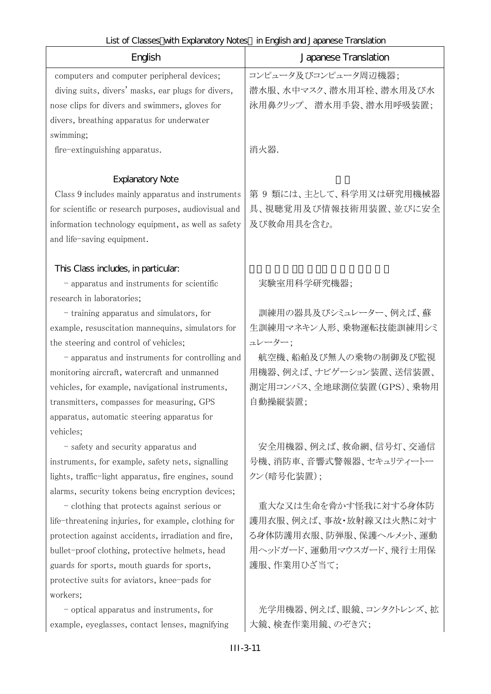| List of Classes with Explanatory Notes in English and Japanese Translation |  |
|----------------------------------------------------------------------------|--|
|----------------------------------------------------------------------------|--|

| English                                              | Japanese Translation     |
|------------------------------------------------------|--------------------------|
| computers and computer peripheral devices;           | コンピュータ及びコンピュータ周辺機器;      |
| diving suits, divers' masks, ear plugs for divers,   | 潜水服、水中マスク、潜水用耳栓、潜水用及び水   |
| nose clips for divers and swimmers, gloves for       | 泳用鼻クリップ、潜水用手袋、潜水用呼吸装置;   |
| divers, breathing apparatus for underwater           |                          |
| swimming;                                            |                          |
| fire-extinguishing apparatus.                        | 消火器.                     |
| <b>Explanatory Note</b>                              |                          |
| Class 9 includes mainly apparatus and instruments    | 第9類には、主として、科学用又は研究用機械器   |
| for scientific or research purposes, audiovisual and | 具、視聴覚用及び情報技術用装置、並びに安全    |
| information technology equipment, as well as safety  | 及び救命用具を含む。               |
| and life-saving equipment.                           |                          |
| This Class includes, in particular.                  |                          |
| - apparatus and instruments for scientific           | 実験室用科学研究機器;              |
| research in laboratories;                            |                          |
| - training apparatus and simulators, for             | 訓練用の器具及びシミュレーター、例えば、蘇    |
| example, resuscitation mannequins, simulators for    | 生訓練用マネキン人形、乗物運転技能訓練用シミ   |
| the steering and control of vehicles;                | ュレーター:                   |
| - apparatus and instruments for controlling and      | 航空機、船舶及び無人の乗物の制御及び監視     |
| monitoring aircraft, watercraft and unmanned         | 用機器、例えば、ナビゲーション装置、送信装置、  |
| vehicles, for example, navigational instruments,     | 測定用コンパス、全地球測位装置(GPS)、乗物用 |
| transmitters, compasses for measuring, GPS           | 自動操縦装置;                  |
| apparatus, automatic steering apparatus for          |                          |
| vehicles;                                            |                          |
| - safety and security apparatus and                  | 安全用機器、例えば、救命網、信号灯、交通信    |
| instruments, for example, safety nets, signalling    | 号機、消防車、音響式警報器、セキュリティートー  |
| lights, traffic-light apparatus, fire engines, sound | クン(暗号化装置);               |
| alarms, security tokens being encryption devices;    |                          |
| - clothing that protects against serious or          | 重大な又は生命を脅かす怪我に対する身体防     |
| life-threatening injuries, for example, clothing for | 護用衣服、例えば、事故・放射線又は火熱に対す   |
| protection against accidents, irradiation and fire,  | る身体防護用衣服、防弾服、保護ヘルメット、運動  |
| bullet-proof clothing, protective helmets, head      | 用ヘッドガード、運動用マウスガード、飛行士用保  |
| guards for sports, mouth guards for sports,          | 護服、作業用ひざ当て;              |
| protective suits for aviators, knee-pads for         |                          |
| workers;                                             |                          |
| - optical apparatus and instruments, for             | 光学用機器、例えば、眼鏡、コンタクトレンズ、拡  |
| example, eyeglasses, contact lenses, magnifying      | 大鏡、検査作業用鏡、のぞき穴;          |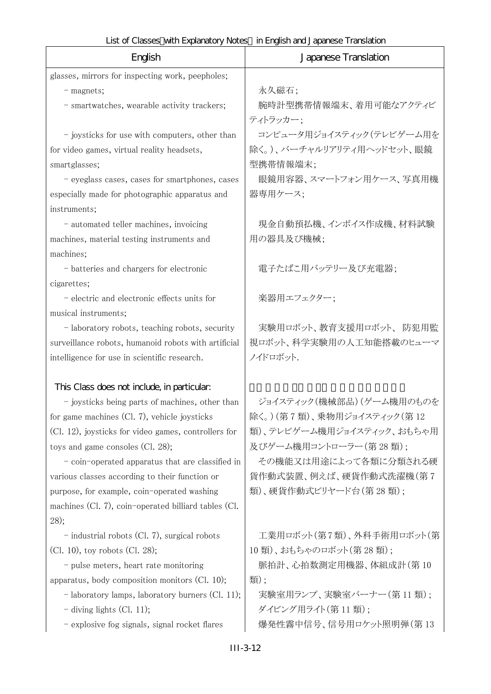| English                                              | LISCOI CIQSSES VIII LAUGIRICU Y IVOLES III LIUUISIT GIIU JAUGIESE TTAI ISIQUOTI<br>Japanese Translation |
|------------------------------------------------------|---------------------------------------------------------------------------------------------------------|
| glasses, mirrors for inspecting work, peepholes;     |                                                                                                         |
| - magnets;                                           | 永久磁石;                                                                                                   |
| - smartwatches, wearable activity trackers;          | 腕時計型携帯情報端末、着用可能なアクティビ                                                                                   |
|                                                      | ティトラッカー:                                                                                                |
| - joysticks for use with computers, other than       | コンピュータ用ジョイスティック(テレビゲーム用を                                                                                |
| for video games, virtual reality headsets,           | 除く。)、バーチャルリアリティ用ヘッドセット、眼鏡                                                                               |
| smartglasses;                                        | 型携帯情報端末;                                                                                                |
| - eyeglass cases, cases for smartphones, cases       | 眼鏡用容器、スマートフォン用ケース、写真用機                                                                                  |
| especially made for photographic apparatus and       | 器専用ケース;                                                                                                 |
| instruments;                                         |                                                                                                         |
| - automated teller machines, invoicing               | 現金自動預払機、インボイス作成機、材料試験                                                                                   |
| machines, material testing instruments and           | 用の器具及び機械;                                                                                               |
| machines;                                            |                                                                                                         |
| - batteries and chargers for electronic              | 電子たばこ用バッテリー及び充電器;                                                                                       |
| cigarettes;                                          |                                                                                                         |
| - electric and electronic effects units for          | 楽器用エフェクター;                                                                                              |
| musical instruments;                                 |                                                                                                         |
| - laboratory robots, teaching robots, security       | 実験用ロボット、教育支援用ロボット、防犯用監                                                                                  |
| surveillance robots, humanoid robots with artificial | 視ロボット、科学実験用の人工知能搭載のヒューマ                                                                                 |
| intelligence for use in scientific research.         | ノイドロボット.                                                                                                |
| This Class does not include, in particular.          |                                                                                                         |
| - joysticks being parts of machines, other than      | ジョイスティック(機械部品)(ゲーム機用のものを                                                                                |
| for game machines (Cl. 7), vehicle joysticks         | 除く。)(第7類)、乗物用ジョイスティック(第12                                                                               |
| (Cl. 12), joysticks for video games, controllers for | 類)、テレビゲーム機用ジョイスティック、おもちゃ用                                                                               |
| toys and game consoles (Cl. 28);                     | 及びゲーム機用コントローラー (第28類);                                                                                  |
| - coin-operated apparatus that are classified in     | その機能又は用途によって各類に分類される硬                                                                                   |
| various classes according to their function or       | 貨作動式装置、例えば、硬貨作動式洗濯機(第7                                                                                  |
| purpose, for example, coin-operated washing          | 類)、硬貨作動式ビリヤード台(第28類);                                                                                   |
| machines (Cl. 7), coin-operated billiard tables (Cl. |                                                                                                         |
| 28);                                                 |                                                                                                         |
| $-$ industrial robots (Cl. 7), surgical robots       | 工業用ロボット(第7類)、外科手術用ロボット(第                                                                                |
| $(Cl. 10)$ , toy robots $(Cl. 28)$ ;                 | 10類)、おもちゃのロボット(第28類);                                                                                   |
| - pulse meters, heart rate monitoring                | 脈拍計、心拍数測定用機器、体組成計(第10                                                                                   |
| apparatus, body composition monitors $(Cl. 10);$     | 類);                                                                                                     |
| - laboratory lamps, laboratory burners (Cl. 11);     | 実験室用ランプ、実験室バーナー(第11類);                                                                                  |
| $-$ diving lights (Cl. 11);                          | ダイビング用ライト(第11類);                                                                                        |
| - explosive fog signals, signal rocket flares        | 爆発性霧中信号、信号用ロケット照明弾(第13                                                                                  |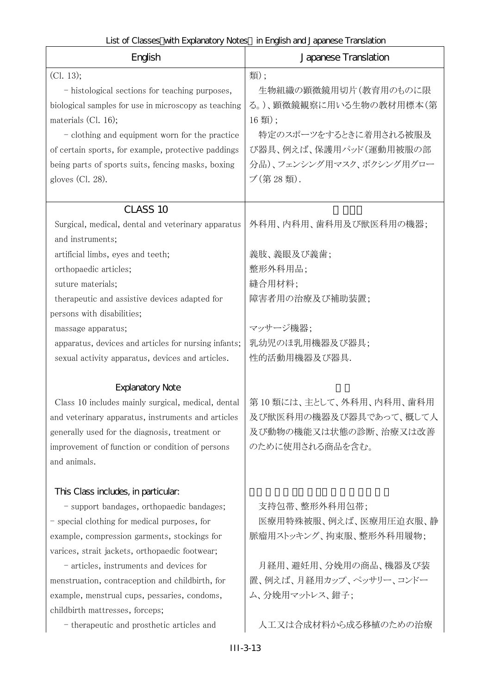| English                                              | Japanese Translation     |
|------------------------------------------------------|--------------------------|
| (Cl. 13);                                            | 類);                      |
| - histological sections for teaching purposes,       | 生物組織の顕微鏡用切片(教育用のものに限     |
| biological samples for use in microscopy as teaching | る。)、顕微鏡観察に用いる生物の教材用標本(第  |
| materials $(Cl. 16)$ ;                               | 16類);                    |
| - clothing and equipment worn for the practice       | 特定のスポーツをするときに着用される被服及    |
| of certain sports, for example, protective paddings  | び器具、例えば、保護用パッド(運動用被服の部   |
| being parts of sports suits, fencing masks, boxing   | 分品)、フェンシング用マスク、ボクシング用グロー |
| gloves $(Cl. 28)$ .                                  | ブ(第28類).                 |
|                                                      |                          |
| CLASS 10                                             |                          |
| Surgical, medical, dental and veterinary apparatus   | 外科用、内科用、歯科用及び獣医科用の機器;    |
| and instruments;                                     |                          |
| artificial limbs, eyes and teeth;                    | 義肢、義眼及び義歯;               |
| orthopaedic articles;                                | 整形外科用品;                  |
| suture materials;                                    | 縫合用材料;                   |
| therapeutic and assistive devices adapted for        | 障害者用の治療及び補助装置;           |
| persons with disabilities;                           |                          |
| massage apparatus;                                   | マッサージ機器:                 |
| apparatus, devices and articles for nursing infants; | 乳幼児のほ乳用機器及び器具;           |
| sexual activity apparatus, devices and articles.     | 性的活動用機器及び器具.             |
|                                                      |                          |
| <b>Explanatory Note</b>                              |                          |
| Class 10 includes mainly surgical, medical, dental   | 第10類には、主として、外科用、内科用、歯科用  |
| and veterinary apparatus, instruments and articles   | 及び獣医科用の機器及び器具であって、概して人   |
| generally used for the diagnosis, treatment or       | 及び動物の機能又は状態の診断、治療又は改善    |
| improvement of function or condition of persons      | のために使用される商品を含む。          |
| and animals.                                         |                          |
| This Class includes, in particular.                  |                          |
| - support bandages, orthopaedic bandages;            | 支持包帯、整形外科用包帯;            |
| - special clothing for medical purposes, for         | 医療用特殊被服、例えば、医療用圧迫衣服、静    |
| example, compression garments, stockings for         | 脈瘤用ストッキング、拘束服、整形外科用履物;   |
| varices, strait jackets, orthopaedic footwear;       |                          |
| - articles, instruments and devices for              | 月経用、避妊用、分娩用の商品、機器及び装     |
| menstruation, contraception and childbirth, for      | 置、例えば、月経用カップ、ペッサリー、コンドー  |
| example, menstrual cups, pessaries, condoms,         | ム、分娩用マットレス、鉗子;           |
| childbirth mattresses, forceps;                      |                          |
| - therapeutic and prosthetic articles and            | 人工又は合成材料から成る移植のための治療     |
|                                                      |                          |
|                                                      | $III-3-13$               |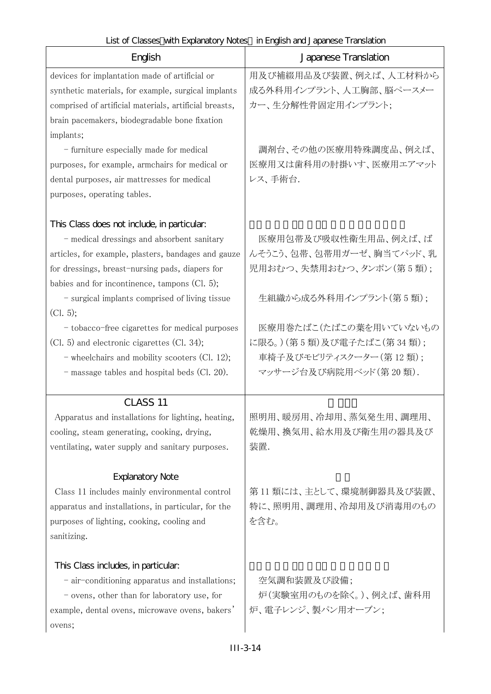| English                                                | Japanese Translation     |
|--------------------------------------------------------|--------------------------|
| devices for implantation made of artificial or         | 用及び補綴用品及び装置、例えば、人工材料から   |
| synthetic materials, for example, surgical implants    | 成る外科用インプラント、人工胸部、脳ペースメー  |
| comprised of artificial materials, artificial breasts, | カー、生分解性骨固定用インプラント;       |
| brain pacemakers, biodegradable bone fixation          |                          |
| implants;                                              |                          |
| - furniture especially made for medical                | 調剤台、その他の医療用特殊調度品、例えば、    |
| purposes, for example, armchairs for medical or        | 医療用又は歯科用の肘掛いす、医療用エアマット   |
| dental purposes, air mattresses for medical            | レス、手術台.                  |
| purposes, operating tables.                            |                          |
| This Class does not include, in particular.            |                          |
| - medical dressings and absorbent sanitary             | 医療用包帯及び吸収性衛生用品、例えば、ば     |
| articles, for example, plasters, bandages and gauze    | んそうこう、包帯、包帯用ガーゼ、胸当てパッド、乳 |
| for dressings, breast-nursing pads, diapers for        | 児用おむつ、失禁用おむつ、タンポン(第5類);  |
| babies and for incontinence, tampons (Cl. 5);          |                          |
| - surgical implants comprised of living tissue         | 生組織から成る外科用インプラント(第5類);   |
| (Cl. 5);                                               |                          |
| - tobacco-free cigarettes for medical purposes         | 医療用巻たばこ(たばこの葉を用いていないもの   |
| (Cl. 5) and electronic cigarettes (Cl. 34);            | に限る。)(第5類)及び電子たばこ(第34類); |
| - wheelchairs and mobility scooters (Cl. 12);          | 車椅子及びモビリティスクーター(第 12 類); |
| - massage tables and hospital beds (Cl. 20).           | マッサージ台及び病院用ベッド(第20類).    |
|                                                        |                          |
| CLASS <sub>11</sub>                                    |                          |
| Apparatus and installations for lighting, heating,     | 照明用、暖房用、冷却用、蒸気発生用、調理用、   |
| cooling, steam generating, cooking, drying,            | 乾燥用、換気用、給水用及び衛生用の器具及び    |
| ventilating, water supply and sanitary purposes.       | 装置.                      |
| <b>Explanatory Note</b>                                |                          |
| Class 11 includes mainly environmental control         | 第11 類には、主として、環境制御器具及び装置、 |
| apparatus and installations, in particular, for the    | 特に、照明用、調理用、冷却用及び消毒用のもの   |
| purposes of lighting, cooking, cooling and             | を含む。                     |
| sanitizing.                                            |                          |
| This Class includes, in particular.                    |                          |
| - air-conditioning apparatus and installations;        | 空気調和装置及び設備;              |
| - ovens, other than for laboratory use, for            | 炉(実験室用のものを除く。)、例えば、歯科用   |
| example, dental ovens, microwave ovens, bakers'        | 炉、電子レンジ、製パン用オーブン;        |
| ovens;                                                 |                          |
|                                                        |                          |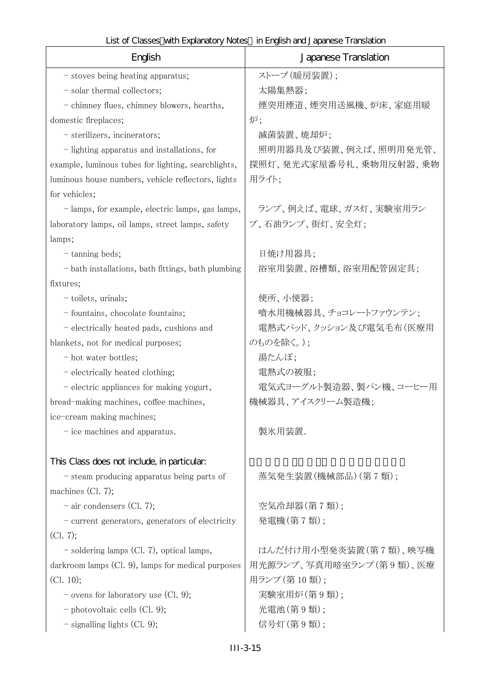| English                                             | Japanese Translation    |
|-----------------------------------------------------|-------------------------|
| - stoves being heating apparatus;                   | ストーブ (暖房装置);            |
| - solar thermal collectors;                         | 太陽集熱器;                  |
| - chimney flues, chimney blowers, hearths,          | 煙突用煙道、煙突用送風機、炉床、家庭用暖    |
| domestic fireplaces;                                | 炉;                      |
| - sterilizers, incinerators;                        | 滅菌装置、焼却炉;               |
| - lighting apparatus and installations, for         | 照明用器具及び装置、例えば、照明用発光管、   |
| example, luminous tubes for lighting, searchlights, | 探照灯、発光式家屋番号札、乗物用反射器、乗物  |
| luminous house numbers, vehicle reflectors, lights  | 用ライト;                   |
| for vehicles;                                       |                         |
| - lamps, for example, electric lamps, gas lamps,    | ランプ、例えば、電球、ガス灯、実験室用ラン   |
| laboratory lamps, oil lamps, street lamps, safety   | プ、石油ランプ、街灯、安全灯;         |
| lamps;                                              |                         |
| - tanning beds;                                     | 日焼け用器具;                 |
| - bath installations, bath fittings, bath plumbing  | 浴室用装置、浴槽類、浴室用配管固定具;     |
| fixtures;                                           |                         |
| - toilets, urinals;                                 | 便所、小便器;                 |
| - fountains, chocolate fountains;                   | 噴水用機械器具、チョコレートファウンテン;   |
| - electrically heated pads, cushions and            | 電熱式パッド、クッション及び電気毛布(医療用  |
| blankets, not for medical purposes;                 | のものを除く。);               |
| - hot water bottles;                                | 湯たんぽ;                   |
| - electrically heated clothing;                     | 電熱式の被服;                 |
| - electric appliances for making yogurt,            | 電気式ヨーグルト製造器、製パン機、コーヒー用  |
| bread-making machines, coffee machines,             | 機械器具、アイスクリーム製造機;        |
| ice-cream making machines;                          |                         |
| - ice machines and apparatus.                       | 製氷用装置.                  |
|                                                     |                         |
| This Class does not include, in particular.         |                         |
| - steam producing apparatus being parts of          | 蒸気発生装置(機械部品)(第7類);      |
| machines $(Cl. 7);$                                 |                         |
| $-$ air condensers (Cl. 7);                         | 空気冷却器(第7類);             |
| - current generators, generators of electricity     | 発電機(第7類);               |
| (Cl. 7);                                            |                         |
| - soldering lamps (Cl. 7), optical lamps,           | はんだ付け用小型発炎装置(第7類)、映写機   |
| darkroom lamps (Cl. 9), lamps for medical purposes  | 用光源ランプ、写真用暗室ランプ(第9類)、医療 |
| (Cl. 10);                                           | 用ランプ (第10類);            |
| $\sim$ ovens for laboratory use (Cl. 9);            | 実験室用炉(第9類);             |
| - photovoltaic cells $(Cl. 9)$ ;                    | 光電池(第9類);               |
| $-$ signalling lights (Cl. 9);                      | 信号灯(第9類);               |

# III-3-15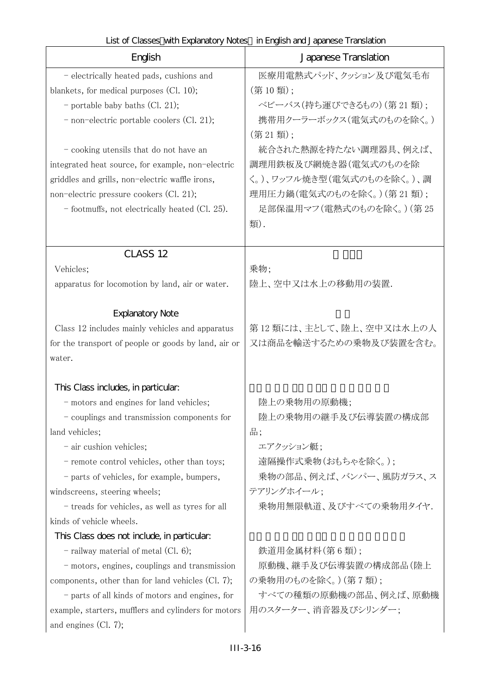| English                                              | Japanese Translation      |
|------------------------------------------------------|---------------------------|
| - electrically heated pads, cushions and             | 医療用電熱式パッド、クッション及び電気毛布     |
| blankets, for medical purposes (Cl. 10);             | (第10類);                   |
| - portable baby baths (Cl. 21);                      | ベビーバス(持ち運びできるもの)(第21類);   |
| - non-electric portable coolers (Cl. 21);            | 携帯用クーラーボックス(電気式のものを除く。)   |
|                                                      | (第21類);                   |
| - cooking utensils that do not have an               | 統合された熱源を持たない調理器具、例えば、     |
| integrated heat source, for example, non-electric    | 調理用鉄板及び網焼き器(電気式のものを除      |
| griddles and grills, non-electric waffle irons,      | く。)、ワッフル焼き型(電気式のものを除く。)、調 |
| non-electric pressure cookers (Cl. 21);              | 理用圧力鍋(電気式のものを除く。)(第21類);  |
| - footmuffs, not electrically heated (Cl. 25).       | 足部保温用マフ(電熱式のものを除く。)(第25   |
|                                                      | 類).                       |
|                                                      |                           |
| CLASS <sub>12</sub>                                  |                           |
| Vehicles;                                            | 乗物;                       |
| apparatus for locomotion by land, air or water.      | 陸上、空中又は水上の移動用の装置.         |
| <b>Explanatory Note</b>                              |                           |
| Class 12 includes mainly vehicles and apparatus      | 第12類には、主として、陸上、空中又は水上の人   |
| for the transport of people or goods by land, air or | 又は商品を輸送するための乗物及び装置を含む。    |
| water.                                               |                           |
| This Class includes, in particular.                  |                           |
| - motors and engines for land vehicles;              | 陸上の乗物用の原動機;               |
| - couplings and transmission components for          | 陸上の乗物用の継手及び伝導装置の構成部       |
| land vehicles;                                       | 品;                        |
| - air cushion vehicles;                              | エアクッション艇;                 |
| - remote control vehicles, other than toys;          | 遠隔操作式乗物(おもちゃを除く。);        |
| - parts of vehicles, for example, bumpers,           | 乗物の部品、例えば、バンパー、風防ガラス、ス    |
| windscreens, steering wheels;                        | テアリングホイール:                |
| - treads for vehicles, as well as tyres for all      | 乗物用無限軌道、及びすべての乗物用タイヤ.     |
| kinds of vehicle wheels.                             |                           |
| This Class does not include, in particular.          |                           |
| - railway material of metal $(Cl. 6)$ ;              | 鉄道用金属材料(第6類);             |
| - motors, engines, couplings and transmission        | 原動機、継手及び伝導装置の構成部品(陸上      |
| components, other than for land vehicles (Cl. 7);    | の乗物用のものを除く。)(第7類);        |
| - parts of all kinds of motors and engines, for      | すべての種類の原動機の部品、例えば、原動機     |
| example, starters, mufflers and cylinders for motors | 用のスターター、消音器及びシリンダー;       |
| and engines $(Cl. 7)$ ;                              |                           |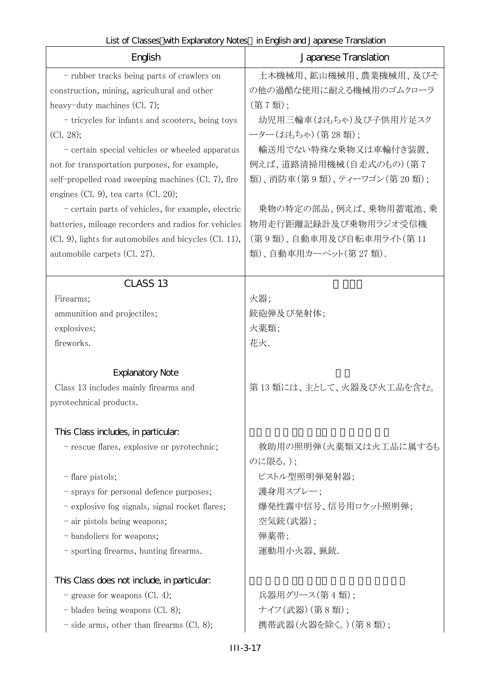| List of Classes with Explanatory Notes in English and Japanese Translation |
|----------------------------------------------------------------------------|
|----------------------------------------------------------------------------|

| English                                                | Japanese Translation      |
|--------------------------------------------------------|---------------------------|
| - rubber tracks being parts of crawlers on             | 土木機械用、鉱山機械用、農業機械用、及びそ     |
| construction, mining, agricultural and other           | の他の過酷な使用に耐える機械用のゴムクローラ    |
| heavy-duty machines $(Cl. 7)$ ;                        | (第7類);                    |
| - tricycles for infants and scooters, being toys       | 幼児用三輪車(おもちゃ)及び子供用片足スク     |
| (Cl. 28);                                              | ーター(おもちゃ) (第28類);         |
| - certain special vehicles or wheeled apparatus        | 輸送用でない特殊な乗物又は車輪付き装置、      |
| not for transportation purposes, for example,          | 例えば、道路清掃用機械(自走式のもの)(第7    |
| self-propelled road sweeping machines (Cl. 7), fire    | 類)、消防車(第9類)、ティーワゴン(第20類); |
| engines (Cl. 9), tea carts (Cl. 20);                   |                           |
| - certain parts of vehicles, for example, electric     | 乗物の特定の部品、例えば、乗物用蓄電池、乗     |
| batteries, mileage recorders and radios for vehicles   | 物用走行距離記録計及び乗物用ラジオ受信機      |
| (Cl. 9), lights for automobiles and bicycles (Cl. 11), | (第9類)、自動車用及び自転車用ライト(第11   |
| automobile carpets (Cl. 27).                           | 類)、自動車用カーペット(第27類).       |
|                                                        |                           |
| CLASS <sub>13</sub>                                    |                           |
| Firearms;                                              | 火器;                       |
| ammunition and projectiles;                            | 銃砲弾及び発射体;                 |
| explosives;<br>fireworks.                              | 火薬類;<br>花火.               |
|                                                        |                           |
| <b>Explanatory Note</b>                                |                           |
| Class 13 includes mainly firearms and                  | 第13類には、主として、火器及び火工品を含む。   |
| pyrotechnical products.                                |                           |
| This Class includes, in particular:                    |                           |
| - rescue flares, explosive or pyrotechnic;             | 救助用の照明弾(火薬類又は火工品に属するも     |
|                                                        | のに限る。);                   |
| - flare pistols;                                       | ピストル型照明弾発射器;              |
| - sprays for personal defence purposes;                | 護身用スプレー;                  |
| - explosive fog signals, signal rocket flares;         | 爆発性霧中信号、信号用ロケット照明弾;       |
| - air pistols being weapons;                           | 空気銃(武器);                  |
| - bandoliers for weapons;                              | 弾薬帯;                      |
| - sporting firearms, hunting firearms.                 | 運動用小火器、猟銃.                |
| This Class does not include, in particular:            |                           |
| - grease for weapons (Cl. 4);                          | 兵器用グリース(第4類);             |
| - blades being weapons (Cl. 8);                        | ナイフ(武器)(第8類);             |
| $-$ side arms, other than firearms (Cl. 8);            | 携帯武器(火器を除く。) (第8類);       |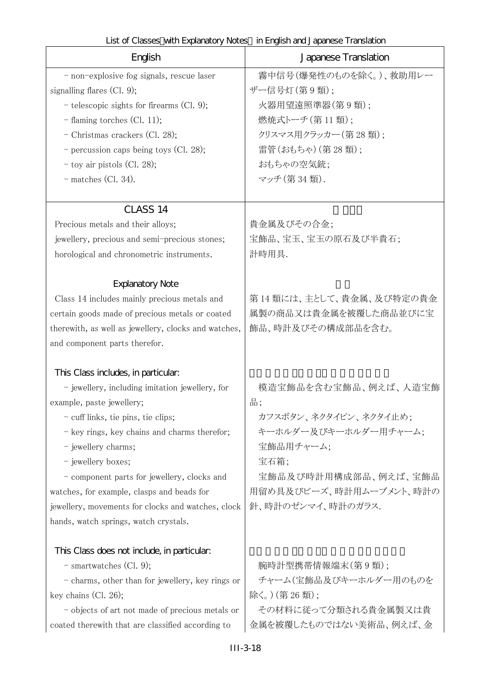| English                                                                                                                                                                                                                                                                                                                                                                                                                                            | Japanese Translation                                                                                                                                                     |
|----------------------------------------------------------------------------------------------------------------------------------------------------------------------------------------------------------------------------------------------------------------------------------------------------------------------------------------------------------------------------------------------------------------------------------------------------|--------------------------------------------------------------------------------------------------------------------------------------------------------------------------|
| - non-explosive fog signals, rescue laser<br>signalling flares $(Cl. 9)$ ;<br>$-$ telescopic sights for firearms (Cl. 9);<br>$-$ flaming torches (Cl. 11);<br>- Christmas crackers (Cl. 28);<br>- percussion caps being toys (Cl. 28);<br>$-$ toy air pistols (Cl. 28);<br>$-$ matches (Cl. 34).                                                                                                                                                   | 霧中信号(爆発性のものを除く。)、救助用レー<br>ザー信号灯(第9類):<br>火器用望遠照準器(第9類);<br>燃焼式トーチ(第11類);<br>クリスマス用クラッカー(第28類):<br>雷管(おもちゃ) (第28類);<br>おもちゃの空気銃;<br>マッチ (第34類).                           |
| CLASS <sub>14</sub><br>Precious metals and their alloys;<br>jewellery, precious and semi-precious stones;<br>horological and chronometric instruments.                                                                                                                                                                                                                                                                                             | 貴金属及びその合金;<br>宝飾品、宝玉、宝玉の原石及び半貴石;<br>計時用具.                                                                                                                                |
| <b>Explanatory Note</b><br>Class 14 includes mainly precious metals and<br>certain goods made of precious metals or coated<br>therewith, as well as jewellery, clocks and watches,<br>and component parts therefor.                                                                                                                                                                                                                                | 第14類には、主として、貴金属、及び特定の貴金<br>属製の商品又は貴金属を被覆した商品並びに宝<br>飾品、時計及びその構成部品を含む。                                                                                                    |
| This Class includes, in particular.<br>- jewellery, including imitation jewellery, for<br>example, paste jewellery;<br>- cuff links, tie pins, tie clips;<br>- key rings, key chains and charms therefor;<br>- jewellery charms;<br>- jewellery boxes;<br>- component parts for jewellery, clocks and<br>watches, for example, clasps and beads for<br>jewellery, movements for clocks and watches, clock<br>hands, watch springs, watch crystals. | 模造宝飾品を含む宝飾品、例えば、人造宝飾<br>品;<br>カフスボタン、ネクタイピン、ネクタイ止め;<br>キーホルダー及びキーホルダー用チャーム;<br>宝飾品用チャーム;<br>宝石箱;<br>宝飾品及び時計用構成部品、例えば、宝飾品<br>用留め具及びビーズ、時計用ムーブメント、時計の<br>針、時計のゼンマイ、時計のガラス. |
| This Class does not include, in particular:<br>$-$ smartwatches (Cl. 9);<br>- charms, other than for jewellery, key rings or<br>key chains $(Cl. 26)$ ;<br>- objects of art not made of precious metals or<br>coated therewith that are classified according to                                                                                                                                                                                    | 腕時計型携帯情報端末(第9類);<br>チャーム(宝飾品及びキーホルダー用のものを<br>除く。)(第26類);<br>その材料に従って分類される貴金属製又は貴<br>金属を被覆したものではない美術品、例えば、金                                                               |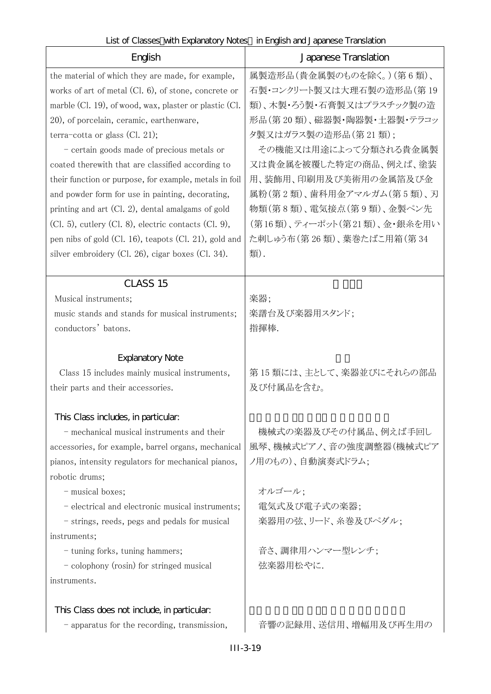| English                                                                             | English and capaneous manufacture<br>Japanese Translation |
|-------------------------------------------------------------------------------------|-----------------------------------------------------------|
| the material of which they are made, for example,                                   | 属製造形品(貴金属製のものを除く。)(第6類)、                                  |
| works of art of metal (Cl. 6), of stone, concrete or                                | 石製・コンクリート製又は大理石製の造形品(第19                                  |
| marble (Cl. 19), of wood, wax, plaster or plastic (Cl.                              | 類)、木製・ろう製・石膏製又はプラスチック製の造                                  |
| 20), of porcelain, ceramic, earthenware,                                            | 形品(第20類)、磁器製・陶器製・土器製・テラコッ                                 |
| terra-cotta or glass (Cl. 21);                                                      | 夕製又はガラス製の造形品(第21類);                                       |
| - certain goods made of precious metals or                                          | その機能又は用途によって分類される貴金属製                                     |
| coated therewith that are classified according to                                   | 又は貴金属を被覆した特定の商品、例えば、塗装                                    |
| their function or purpose, for example, metals in foil                              | 用、装飾用、印刷用及び美術用の金属箔及び金                                     |
| and powder form for use in painting, decorating,                                    | 属粉(第2類)、歯科用金アマルガム(第5類)、刃                                  |
| printing and art (Cl. 2), dental amalgams of gold                                   | 物類(第8類)、電気接点(第9類)、金製ペン先                                   |
| $(Cl. 5)$ , cutlery $(Cl. 8)$ , electric contacts $(Cl. 9)$ ,                       | (第16類)、ティーポット(第21類)、金・銀糸を用い                               |
| pen nibs of gold (Cl. 16), teapots (Cl. 21), gold and                               | た刺しゅう布(第26類)、葉巻たばこ用箱(第34                                  |
| silver embroidery (Cl. 26), cigar boxes (Cl. 34).                                   | 類).                                                       |
| CLASS <sub>15</sub>                                                                 |                                                           |
| Musical instruments;                                                                | 楽器;                                                       |
| music stands and stands for musical instruments;                                    | 楽譜台及び楽器用スタンド;                                             |
| conductors' batons.                                                                 | 指揮棒.                                                      |
|                                                                                     |                                                           |
| <b>Explanatory Note</b>                                                             | 第15類には、主として、楽器並びにそれらの部品                                   |
| Class 15 includes mainly musical instruments,<br>their parts and their accessories. | 及び付属品を含む。                                                 |
|                                                                                     |                                                           |
| This Class includes, in particular.                                                 |                                                           |
| - mechanical musical instruments and their                                          | 機械式の楽器及びその付属品、例えば手回し                                      |
| accessories, for example, barrel organs, mechanical                                 | 風琴、機械式ピアノ、音の強度調整器(機械式ピア                                   |
| pianos, intensity regulators for mechanical pianos,                                 | ノ用のもの)、自動演奏式ドラム;                                          |
| robotic drums;                                                                      |                                                           |
| - musical boxes;                                                                    | オルゴール;                                                    |
| - electrical and electronic musical instruments;                                    | 電気式及び電子式の楽器;                                              |
| - strings, reeds, pegs and pedals for musical                                       | 楽器用の弦、リード、糸巻及びペダル;                                        |
| instruments;                                                                        |                                                           |
| - tuning forks, tuning hammers;                                                     | 音さ、調律用ハンマー型レンチ;<br>弦楽器用松やに.                               |
| - colophony (rosin) for stringed musical<br>instruments.                            |                                                           |
|                                                                                     |                                                           |
| This Class does not include, in particular:                                         |                                                           |
| - apparatus for the recording, transmission,                                        | 音響の記録用、送信用、増幅用及び再生用の                                      |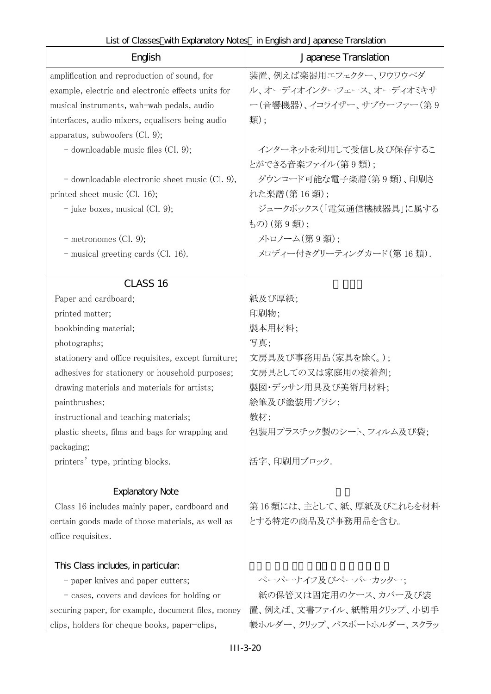| List of Classes with Explanatory Notes in English and Japanese Translation |  |
|----------------------------------------------------------------------------|--|
|----------------------------------------------------------------------------|--|

| English                                             | Japanese Translation      |
|-----------------------------------------------------|---------------------------|
| amplification and reproduction of sound, for        | 装置、例えば楽器用エフェクター、ワウワウペダ    |
| example, electric and electronic effects units for  | ル、オーディオインターフェース、オーディオミキサ  |
| musical instruments, wah-wah pedals, audio          | ー(音響機器)、イコライザー、サブウーファー(第9 |
| interfaces, audio mixers, equalisers being audio    | 類);                       |
| apparatus, subwoofers $(Cl. 9)$ ;                   |                           |
| $-$ downloadable music files (Cl. 9);               | インターネットを利用して受信し及び保存するこ    |
|                                                     | とができる音楽ファイル (第9類):        |
| $-$ downloadable electronic sheet music (Cl. 9),    | ダウンロード可能な電子楽譜(第9類)、印刷さ    |
| printed sheet music $(Cl. 16)$ ;                    | れた楽譜(第16類);               |
| - juke boxes, musical $(Cl. 9)$ ;                   | ジュークボックス(「電気通信機械器具」に属する   |
|                                                     | もの)(第9類):                 |
| $-$ metronomes (Cl. 9);                             | メトロノーム(第9類);              |
| - musical greeting cards (Cl. 16).                  | メロディー付きグリーティングカード(第16類).  |
| CLASS <sub>16</sub>                                 |                           |
| Paper and cardboard;                                | 紙及び厚紙;                    |
| printed matter;                                     | 印刷物;                      |
| bookbinding material;                               | 製本用材料;                    |
| photographs;                                        | 写真:                       |
| stationery and office requisites, except furniture; | 文房具及び事務用品(家具を除く。);        |
| adhesives for stationery or household purposes;     | 文房具としての又は家庭用の接着剤;         |
| drawing materials and materials for artists;        | 製図・デッサン用具及び美術用材料;         |
| paintbrushes;                                       | 絵筆及び塗装用ブラシ;               |
| instructional and teaching materials;               | 教材;                       |
| plastic sheets, films and bags for wrapping and     | 包装用プラスチック製のシート、フィルム及び袋;   |
| packaging;                                          |                           |
| printers' type, printing blocks.                    | 活字、印刷用ブロック.               |
| <b>Explanatory Note</b>                             |                           |
| Class 16 includes mainly paper, cardboard and       | 第16類には、主として、紙、厚紙及びこれらを材料  |
| certain goods made of those materials, as well as   | とする特定の商品及び事務用品を含む。        |
| office requisites.                                  |                           |
| This Class includes, in particular.                 |                           |
| - paper knives and paper cutters;                   | ペーパーナイフ及びペーパーカッター;        |
| - cases, covers and devices for holding or          | 紙の保管又は固定用のケース、カバー及び装      |
| securing paper, for example, document files, money  | 置、例えば、文書ファイル、紙幣用クリップ、小切手  |
| clips, holders for cheque books, paper-clips,       | 帳ホルダー、クリップ、パスポートホルダー、スクラッ |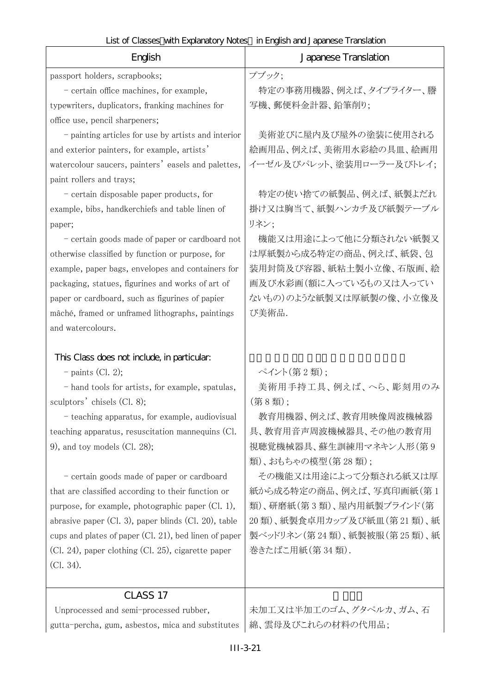| English                                                                                                                                                                                                                                                                                                                                                                                                                                                                                                                                                                                                                                            | Japanese Translation                                                                                                                                                                                                                                                                                       |
|----------------------------------------------------------------------------------------------------------------------------------------------------------------------------------------------------------------------------------------------------------------------------------------------------------------------------------------------------------------------------------------------------------------------------------------------------------------------------------------------------------------------------------------------------------------------------------------------------------------------------------------------------|------------------------------------------------------------------------------------------------------------------------------------------------------------------------------------------------------------------------------------------------------------------------------------------------------------|
| passport holders, scrapbooks;                                                                                                                                                                                                                                                                                                                                                                                                                                                                                                                                                                                                                      | プブック;                                                                                                                                                                                                                                                                                                      |
| - certain office machines, for example,                                                                                                                                                                                                                                                                                                                                                                                                                                                                                                                                                                                                            | 特定の事務用機器、例えば、タイプライター、謄                                                                                                                                                                                                                                                                                     |
| typewriters, duplicators, franking machines for                                                                                                                                                                                                                                                                                                                                                                                                                                                                                                                                                                                                    | 写機、郵便料金計器、鉛筆削り;                                                                                                                                                                                                                                                                                            |
| office use, pencil sharpeners;                                                                                                                                                                                                                                                                                                                                                                                                                                                                                                                                                                                                                     |                                                                                                                                                                                                                                                                                                            |
| - painting articles for use by artists and interior                                                                                                                                                                                                                                                                                                                                                                                                                                                                                                                                                                                                | 美術並びに屋内及び屋外の塗装に使用される                                                                                                                                                                                                                                                                                       |
| and exterior painters, for example, artists'                                                                                                                                                                                                                                                                                                                                                                                                                                                                                                                                                                                                       | 絵画用品、例えば、美術用水彩絵の具皿、絵画用                                                                                                                                                                                                                                                                                     |
| watercolour saucers, painters' easels and palettes,                                                                                                                                                                                                                                                                                                                                                                                                                                                                                                                                                                                                | イーゼル及びパレット、塗装用ローラー及びトレイ;                                                                                                                                                                                                                                                                                   |
| paint rollers and trays;                                                                                                                                                                                                                                                                                                                                                                                                                                                                                                                                                                                                                           |                                                                                                                                                                                                                                                                                                            |
| - certain disposable paper products, for                                                                                                                                                                                                                                                                                                                                                                                                                                                                                                                                                                                                           | 特定の使い捨ての紙製品、例えば、紙製よだれ                                                                                                                                                                                                                                                                                      |
| example, bibs, handkerchiefs and table linen of                                                                                                                                                                                                                                                                                                                                                                                                                                                                                                                                                                                                    | 掛け又は胸当て、紙製ハンカチ及び紙製テーブル                                                                                                                                                                                                                                                                                     |
| paper;                                                                                                                                                                                                                                                                                                                                                                                                                                                                                                                                                                                                                                             | リネン;                                                                                                                                                                                                                                                                                                       |
| - certain goods made of paper or cardboard not                                                                                                                                                                                                                                                                                                                                                                                                                                                                                                                                                                                                     | 機能又は用途によって他に分類されない紙製又                                                                                                                                                                                                                                                                                      |
| otherwise classified by function or purpose, for                                                                                                                                                                                                                                                                                                                                                                                                                                                                                                                                                                                                   | は厚紙製から成る特定の商品、例えば、紙袋、包                                                                                                                                                                                                                                                                                     |
| example, paper bags, envelopes and containers for                                                                                                                                                                                                                                                                                                                                                                                                                                                                                                                                                                                                  | 装用封筒及び容器、紙粘土製小立像、石版画、絵                                                                                                                                                                                                                                                                                     |
| packaging, statues, figurines and works of art of                                                                                                                                                                                                                                                                                                                                                                                                                                                                                                                                                                                                  | 画及び水彩画(額に入っているもの又は入ってい                                                                                                                                                                                                                                                                                     |
| paper or cardboard, such as figurines of papier                                                                                                                                                                                                                                                                                                                                                                                                                                                                                                                                                                                                    | ないもの)のような紙製又は厚紙製の像、小立像及                                                                                                                                                                                                                                                                                    |
| mâché, framed or unframed lithographs, paintings                                                                                                                                                                                                                                                                                                                                                                                                                                                                                                                                                                                                   | び美術品.                                                                                                                                                                                                                                                                                                      |
| and watercolours.                                                                                                                                                                                                                                                                                                                                                                                                                                                                                                                                                                                                                                  |                                                                                                                                                                                                                                                                                                            |
| This Class does not include, in particular:<br>$-$ paints (Cl. 2);<br>- hand tools for artists, for example, spatulas,<br>sculptors' chisels (Cl. 8);<br>- teaching apparatus, for example, audiovisual<br>teaching apparatus, resuscitation mannequins (Cl.<br>9), and toy models (Cl. 28);<br>- certain goods made of paper or cardboard<br>that are classified according to their function or<br>purpose, for example, photographic paper $(Cl. 1)$ ,<br>abrasive paper $(Cl. 3)$ , paper blinds $(Cl. 20)$ , table<br>cups and plates of paper (Cl. 21), bed linen of paper<br>(Cl. 24), paper clothing (Cl. 25), cigarette paper<br>(Cl. 34). | ペイント(第2類);<br>美術用手持工具、例えば、へら、彫刻用のみ<br>(第8類);<br>教育用機器、例えば、教育用映像周波機械器<br>具、教育用音声周波機械器具、その他の教育用<br>視聴覚機械器具、蘇生訓練用マネキン人形(第9<br>類)、おもちゃの模型(第28類);<br>その機能又は用途によって分類される紙又は厚<br>紙から成る特定の商品、例えば、写真印画紙(第1<br>類)、研磨紙(第3類)、屋内用紙製ブラインド(第<br>20類)、紙製食卓用カップ及び紙皿(第21類)、紙<br>製ベッドリネン (第24類)、紙製被服(第25類)、紙<br>巻きたばこ用紙(第34類). |
|                                                                                                                                                                                                                                                                                                                                                                                                                                                                                                                                                                                                                                                    |                                                                                                                                                                                                                                                                                                            |
| CLASS 17                                                                                                                                                                                                                                                                                                                                                                                                                                                                                                                                                                                                                                           |                                                                                                                                                                                                                                                                                                            |
| Unprocessed and semi-processed rubber,                                                                                                                                                                                                                                                                                                                                                                                                                                                                                                                                                                                                             | 未加工又は半加工のゴム、グタペルカ、ガム、石                                                                                                                                                                                                                                                                                     |
| gutta-percha, gum, asbestos, mica and substitutes                                                                                                                                                                                                                                                                                                                                                                                                                                                                                                                                                                                                  | 綿、雲母及びこれらの材料の代用品;                                                                                                                                                                                                                                                                                          |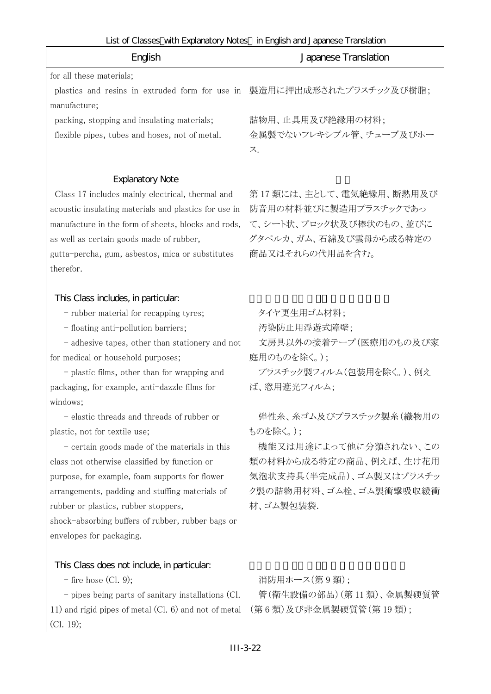| English                                               | LIST OF CRISSES WITH LADRITRICHTY INCIES THE HORSE RENOLUCION RESEARCHED BROWN I<br>Japanese Translation |
|-------------------------------------------------------|----------------------------------------------------------------------------------------------------------|
| for all these materials;                              |                                                                                                          |
| plastics and resins in extruded form for use in       | 製造用に押出成形されたプラスチック及び樹脂;                                                                                   |
| manufacture;                                          |                                                                                                          |
| packing, stopping and insulating materials;           | 詰物用、止具用及び絶縁用の材料;                                                                                         |
| flexible pipes, tubes and hoses, not of metal.        | 金属製でないフレキシブル管、チューブ及びホー                                                                                   |
|                                                       | ス.                                                                                                       |
|                                                       |                                                                                                          |
| <b>Explanatory Note</b>                               |                                                                                                          |
| Class 17 includes mainly electrical, thermal and      | 第17 類には、主として、電気絶縁用、断熱用及び                                                                                 |
| acoustic insulating materials and plastics for use in | 防音用の材料並びに製造用プラスチックであっ                                                                                    |
| manufacture in the form of sheets, blocks and rods,   | て、シート状、ブロック状及び棒状のもの、並びに                                                                                  |
| as well as certain goods made of rubber,              | グタペルカ、ガム、石綿及び雲母から成る特定の                                                                                   |
| gutta-percha, gum, asbestos, mica or substitutes      | 商品又はそれらの代用品を含む。                                                                                          |
| therefor.                                             |                                                                                                          |
|                                                       |                                                                                                          |
| This Class includes, in particular:                   |                                                                                                          |
| - rubber material for recapping tyres;                | タイヤ更生用ゴム材料;                                                                                              |
| - floating anti-pollution barriers;                   | 汚染防止用浮遊式障壁;                                                                                              |
| - adhesive tapes, other than stationery and not       | 文房具以外の接着テープ(医療用のもの及び家                                                                                    |
| for medical or household purposes;                    | 庭用のものを除く。);                                                                                              |
| - plastic films, other than for wrapping and          | プラスチック製フィルム(包装用を除く。)、例え                                                                                  |
| packaging, for example, anti-dazzle films for         | ば、窓用遮光フィルム;                                                                                              |
| windows;                                              |                                                                                                          |
| - elastic threads and threads of rubber or            | 弾性糸、糸ゴム及びプラスチック製糸(織物用の                                                                                   |
| plastic, not for textile use;                         | ものを除く。);                                                                                                 |
| $-$ certain goods made of the materials in this       | 機能又は用途によって他に分類されない、この                                                                                    |
| class not otherwise classified by function or         | 類の材料から成る特定の商品、例えば、生け花用                                                                                   |
| purpose, for example, foam supports for flower        | 気泡状支持具(半完成品)、ゴム製又はプラスチッ                                                                                  |
| arrangements, padding and stuffing materials of       | ク製の詰物用材料、ゴム栓、ゴム製衝撃吸収緩衝                                                                                   |
| rubber or plastics, rubber stoppers,                  | 材、ゴム製包装袋.                                                                                                |
| shock-absorbing buffers of rubber, rubber bags or     |                                                                                                          |
| envelopes for packaging.                              |                                                                                                          |
|                                                       |                                                                                                          |
| This Class does not include, in particular:           | 消防用ホース(第9類);                                                                                             |
| $-$ fire hose (Cl. 9);                                | 管(衛生設備の部品)(第11類)、金属製硬質管                                                                                  |
| - pipes being parts of sanitary installations (Cl.    | (第6類)及び非金属製硬質管(第19類);                                                                                    |
| 11) and rigid pipes of metal (Cl. 6) and not of metal |                                                                                                          |
| (Cl. 19);                                             |                                                                                                          |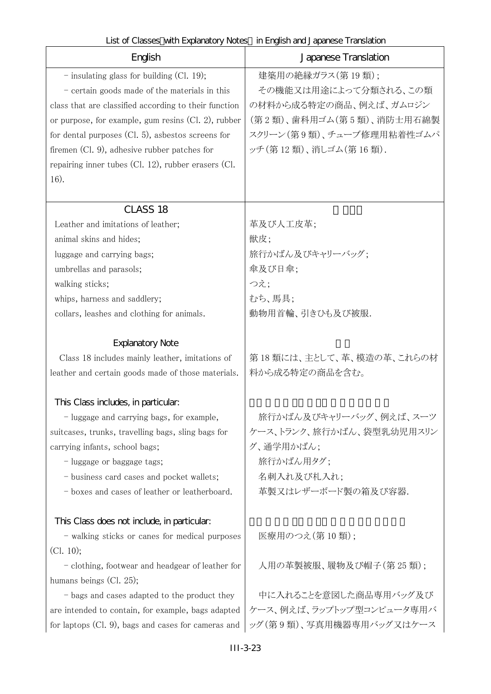| English                                                      | Japanese Translation     |
|--------------------------------------------------------------|--------------------------|
| $-$ insulating glass for building (Cl. 19);                  | 建築用の絶縁ガラス(第19類);         |
| $-$ certain goods made of the materials in this              | その機能又は用途によって分類される、この類    |
| class that are classified according to their function        | の材料から成る特定の商品、例えば、ガムロジン   |
| or purpose, for example, gum resins $(Cl. 2)$ , rubber       | (第2類)、歯科用ゴム(第5類)、消防士用石綿製 |
| for dental purposes $(Cl. 5)$ , asbestos screens for         | スクリーン(第9類)、チューブ修理用粘着性ゴムパ |
| firemen (Cl. 9), adhesive rubber patches for                 | ッチ(第12類)、消しゴム(第16類).     |
| repairing inner tubes $(Cl. 12)$ , rubber erasers $(Cl. 12)$ |                          |
| 16).                                                         |                          |
|                                                              |                          |
| <b>CLASS 18</b>                                              |                          |
| Leather and imitations of leather;                           | 革及び人工皮革;                 |
| animal skins and hides;                                      | 獣皮;                      |
| luggage and carrying bags;                                   | 旅行かばん及びキャリーバッグ;          |
| umbrellas and parasols;                                      | 傘及び日傘;                   |
| walking sticks;                                              | つえ;                      |
| whips, harness and saddlery;                                 | むち、馬具;                   |
| collars, leashes and clothing for animals.                   | 動物用首輪、引きひも及び被服.          |
|                                                              |                          |
| <b>Explanatory Note</b>                                      |                          |
| Class 18 includes mainly leather, imitations of              | 第18類には、主として、革、模造の革、これらの材 |
| leather and certain goods made of those materials.           | 料から成る特定の商品を含む。           |
| This Class includes, in particular:                          |                          |
| - luggage and carrying bags, for example,                    | 旅行かばん及びキャリーバッグ、例えば、スーツ   |
| suitcases, trunks, travelling bags, sling bags for           | ケース、トランク、旅行かばん、袋型乳幼児用スリン |
| carrying infants, school bags;                               | グ、通学用かばん;                |
| - luggage or baggage tags;                                   | 旅行かばん用タグ;                |
| - business card cases and pocket wallets;                    | 名刺入れ及び札入れ;               |
| - boxes and cases of leather or leatherboard.                | 革製又はレザーボード製の箱及び容器.       |
|                                                              |                          |
| This Class does not include, in particular:                  |                          |
| - walking sticks or canes for medical purposes               | 医療用のつえ(第10類);            |
| (Cl. 10);                                                    |                          |
| - clothing, footwear and headgear of leather for             | 人用の革製被服、履物及び帽子(第25類);    |
| humans beings (Cl. 25);                                      |                          |
| - bags and cases adapted to the product they                 | 中に入れることを意図した商品専用バッグ及び    |
| are intended to contain, for example, bags adapted           | ケース、例えば、ラップトップ型コンピュータ専用バ |
| for laptops (Cl. 9), bags and cases for cameras and          | ッグ(第9類)、写真用機器専用バッグ又はケース  |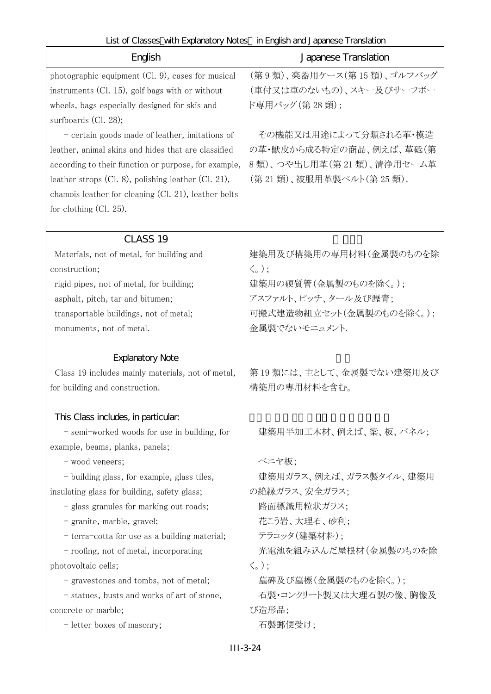| English                                                   | Japanese Translation            |
|-----------------------------------------------------------|---------------------------------|
| photographic equipment (Cl. 9), cases for musical         | (第9類)、楽器用ケース(第15類)、ゴルフバッグ       |
| instruments $(Cl. 15)$ , golf bags with or without        | (車付又は車のないもの)、スキー及びサーフボー         |
| wheels, bags especially designed for skis and             | ド専用バッグ (第 28 類);                |
| surfboards $(Cl. 28)$ ;                                   |                                 |
| - certain goods made of leather, imitations of            | その機能又は用途によって分類される革・模造           |
| leather, animal skins and hides that are classified       | の革・獣皮から成る特定の商品、例えば、革砥(第         |
| according to their function or purpose, for example,      | 8類)、つや出し用革(第21類)、清浄用セーム革        |
| leather strops $(Cl. 8)$ , polishing leather $(Cl. 21)$ , | (第21類)、被服用革製ベルト(第25類).          |
| chamois leather for cleaning (Cl. 21), leather belts      |                                 |
| for clothing $(Cl. 25)$ .                                 |                                 |
| CLASS <sub>19</sub>                                       |                                 |
| Materials, not of metal, for building and                 | 建築用及び構築用の専用材料(金属製のものを除          |
| construction;                                             | $\langle \zeta_{\circ}$ );      |
| rigid pipes, not of metal, for building;                  | 建築用の硬質管(金属製のものを除く。);            |
| asphalt, pitch, tar and bitumen;                          | アスファルト、ピッチ、タール及び瀝青;             |
| transportable buildings, not of metal;                    | 可搬式建造物組立セット(金属製のものを除く。);        |
| monuments, not of metal.                                  | 金属製でないモニュメント.                   |
| <b>Explanatory Note</b>                                   |                                 |
| Class 19 includes mainly materials, not of metal,         | 第19類には、主として、金属製でない建築用及び         |
| for building and construction.                            | 構築用の専用材料を含む。                    |
|                                                           |                                 |
| This Class includes, in particular.                       |                                 |
| - semi-worked woods for use in building, for              | 建築用半加工木材、例えば、梁、板、パネル;           |
| example, beams, planks, panels;                           |                                 |
| - wood veneers;                                           | ベニヤ板:                           |
| - building glass, for example, glass tiles,               | 建築用ガラス、例えば、ガラス製タイル、建築用          |
| insulating glass for building, safety glass;              | の絶縁ガラス、安全ガラス;                   |
| - glass granules for marking out roads;                   | 路面標識用粒状ガラス;                     |
| - granite, marble, gravel;                                | 花こう岩、大理石、砂利;                    |
| - terra-cotta for use as a building material;             | テラコッタ(建築材料);                    |
| - roofing, not of metal, incorporating                    | 光電池を組み込んだ屋根材(金属製のものを除           |
| photovoltaic cells;                                       | $\langle \zeta$ <sub>o</sub> ); |
| - gravestones and tombs, not of metal;                    | 墓碑及び墓標(金属製のものを除く。);             |
| - statues, busts and works of art of stone,               | 石製・コンクリート製又は大理石製の像、胸像及          |
| concrete or marble;                                       | び造形品;                           |
| - letter boxes of masonry;                                | 石製郵便受け;                         |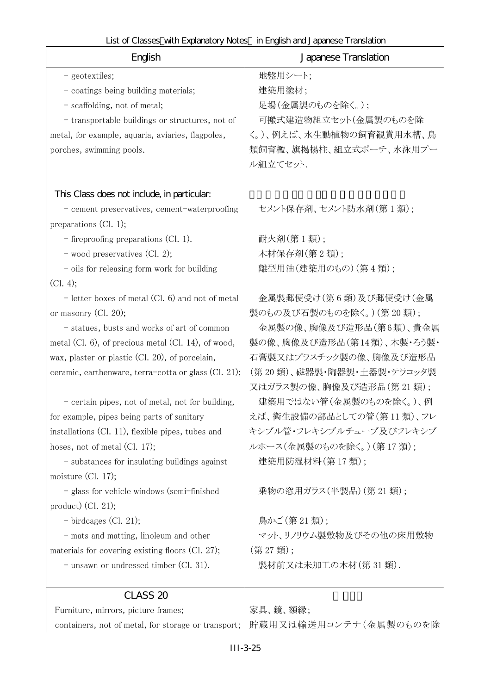| English                                                | Japanese Translation          |
|--------------------------------------------------------|-------------------------------|
| - geotextiles;                                         | 地盤用シート;                       |
| - coatings being building materials;                   | 建築用塗材;                        |
| - scaffolding, not of metal;                           | 足場(金属製のものを除く。);               |
| - transportable buildings or structures, not of        | 可搬式建造物組立セット(金属製のものを除          |
| metal, for example, aquaria, aviaries, flagpoles,      | く。)、例えば、水生動植物の飼育観賞用水槽、鳥       |
| porches, swimming pools.                               | 類飼育檻、旗掲揚柱、組立式ポーチ、水泳用プー        |
|                                                        | ル組立てセット.                      |
| This Class does not include, in particular:            |                               |
| - cement preservatives, cement-waterproofing           | セメント保存剤、セメント防水剤(第1類);         |
| preparations $(Cl. 1);$                                |                               |
| $-$ fireproofing preparations (Cl. 1).                 | 耐火剤(第1類);                     |
| $-$ wood preservatives (Cl. 2);                        | 木材保存剤(第2類);                   |
| - oils for releasing form work for building            | 離型用油(建築用のもの)(第4類);            |
| (Cl. 4);                                               |                               |
| $-$ letter boxes of metal (Cl. 6) and not of metal     | 金属製郵便受け(第6類)及び郵便受け(金属         |
| or masonry (Cl. 20);                                   | 製のもの及び石製のものを除く。) (第20類);      |
| - statues, busts and works of art of common            | 金属製の像、胸像及び造形品(第6類)、貴金属        |
| metal (Cl. $6$ ), of precious metal (Cl. 14), of wood, | 製の像、胸像及び造形品(第14類)、木製・ろう製・     |
| wax, plaster or plastic (Cl. 20), of porcelain,        | 石膏製又はプラスチック製の像、胸像及び造形品        |
| ceramic, earthenware, terra-cotta or glass (Cl. 21);   | (第20類)、磁器製・陶器製・土器製・テラコッタ製     |
|                                                        | 又はガラス製の像、胸像及び造形品(第21類);       |
| - certain pipes, not of metal, not for building,       | 建築用ではない管(金属製のものを除く。)、例        |
| for example, pipes being parts of sanitary             | えば、衛生設備の部品としての管(第11 類)、フレ     |
| installations (Cl. 11), flexible pipes, tubes and      | キシブル管・フレキシブルチューブ及びフレキシブ       |
| hoses, not of metal $(Cl. 17)$ ;                       | ルホース(金属製のものを除く。)(第17類);       |
| - substances for insulating buildings against          | 建築用防湿材料(第17類);                |
| moisture $(Cl. 17)$ ;                                  |                               |
| - glass for vehicle windows (semi-finished             | 乗物の窓用ガラス(半製品)(第21類);          |
| $product)$ (Cl. 21);                                   |                               |
| $-$ birdcages (Cl. 21);                                | 鳥かご(第21類);                    |
| - mats and matting, linoleum and other                 | マット、リノリウム製敷物及びその他の床用敷物        |
| materials for covering existing floors (Cl. 27);       | (第27類);<br>製材前又は未加工の木材(第31類). |
| - unsawn or undressed timber (Cl. 31).                 |                               |
| CLASS <sub>20</sub>                                    |                               |
| Furniture, mirrors, picture frames;                    | 家具、鏡、額縁;                      |
| containers, not of metal, for storage or transport;    | 貯蔵用又は輸送用コンテナ(金属製のものを除         |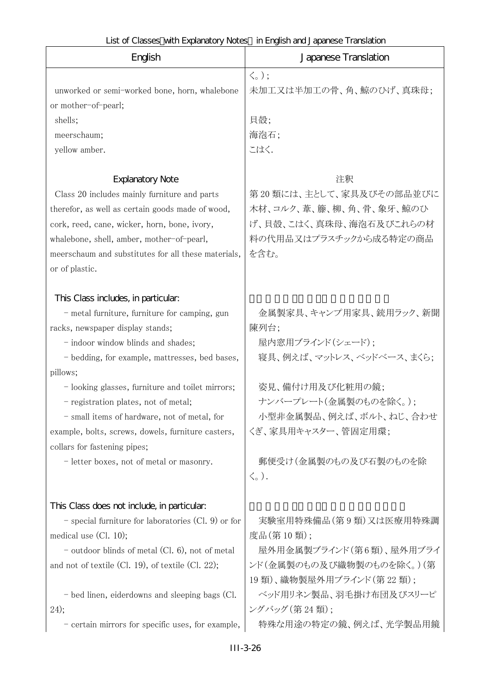| List of Classes with Explanatory Notes in English and Japanese Translation |  |
|----------------------------------------------------------------------------|--|
|----------------------------------------------------------------------------|--|

| English                                                              | Japanese Translation                                      |
|----------------------------------------------------------------------|-----------------------------------------------------------|
| unworked or semi-worked bone, horn, whalebone<br>or mother-of-pearl; | $\langle \zeta$ <sub>o</sub> );<br>未加工又は半加工の骨、角、鯨のひげ、真珠母; |
| shells;                                                              | 貝殻;                                                       |
| meerschaum;                                                          | 海泡石;                                                      |
| yellow amber.                                                        | こはく.                                                      |
| <b>Explanatory Note</b>                                              | 注釈                                                        |
| Class 20 includes mainly furniture and parts                         | 第20類には、主として、家具及びその部品並びに                                   |
| therefor, as well as certain goods made of wood,                     | 木材、コルク、葦、籐、柳、角、骨、象牙、鯨のひ                                   |
| cork, reed, cane, wicker, horn, bone, ivory,                         | げ、貝殻、こはく、真珠母、海泡石及びこれらの材                                   |
| whalebone, shell, amber, mother-of-pearl,                            | 料の代用品又はプラスチックから成る特定の商品                                    |
| meerschaum and substitutes for all these materials,                  | を含む。                                                      |
| or of plastic.                                                       |                                                           |
| This Class includes, in particular.                                  |                                                           |
| - metal furniture, furniture for camping, gun                        | 金属製家具、キャンプ用家具、銃用ラック、新聞                                    |
| racks, newspaper display stands;                                     | 陳列台;                                                      |
| - indoor window blinds and shades;                                   | 屋内窓用ブラインド(シェード);                                          |
| - bedding, for example, mattresses, bed bases,                       | 寝具、例えば、マットレス、ベッドベース、まくら;                                  |
| pillows;                                                             |                                                           |
| - looking glasses, furniture and toilet mirrors;                     | 姿見、備付け用及び化粧用の鏡;                                           |
| - registration plates, not of metal;                                 | ナンバープレート(金属製のものを除く。);                                     |
| - small items of hardware, not of metal, for                         | 小型非金属製品、例えば、ボルト、ねじ、合わせ                                    |
| example, bolts, screws, dowels, furniture casters,                   | くぎ、家具用キャスター、管固定用環;                                        |
| collars for fastening pipes;                                         | 郵便受け(金属製のもの及び石製のものを除                                      |
| - letter boxes, not of metal or masonry.                             | $\langle \zeta$ <sub>o</sub> ).                           |
|                                                                      |                                                           |
| This Class does not include, in particular.                          |                                                           |
| - special furniture for laboratories (Cl. 9) or for                  | 実験室用特殊備品(第9類)又は医療用特殊調                                     |
| medical use $(Cl. 10);$                                              | 度品(第10類);                                                 |
| $-$ outdoor blinds of metal (Cl. 6), not of metal                    | 屋外用金属製ブラインド(第6類)、屋外用ブライ                                   |
| and not of textile (Cl. 19), of textile (Cl. 22);                    | ンド(金属製のもの及び織物製のものを除く。)(第                                  |
|                                                                      | 19類)、織物製屋外用ブラインド(第22類);                                   |
| - bed linen, eiderdowns and sleeping bags (Cl.                       | ベッド用リネン製品、羽毛掛け布団及びスリーピ                                    |
| 24);                                                                 | ングバッグ (第24類);                                             |
| - certain mirrors for specific uses, for example,                    | 特殊な用途の特定の鏡、例えば、光学製品用鏡                                     |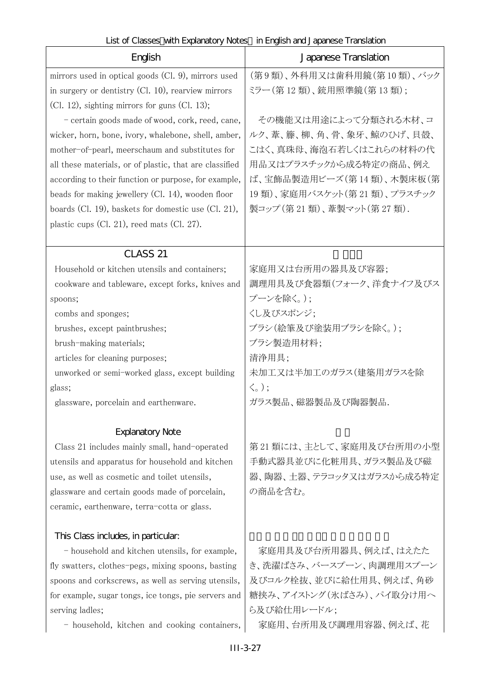| English                                                 | Japanese Translation       |
|---------------------------------------------------------|----------------------------|
| mirrors used in optical goods (Cl. 9), mirrors used     | (第9類)、外科用又は歯科用鏡(第10類)、バック  |
| in surgery or dentistry (Cl. 10), rearview mirrors      | ミラー (第12類)、銃用照準鏡(第13類);    |
| $(Cl. 12)$ , sighting mirrors for guns $(Cl. 13)$ ;     |                            |
| - certain goods made of wood, cork, reed, cane,         | その機能又は用途によって分類される木材、コ      |
| wicker, horn, bone, ivory, whalebone, shell, amber,     | ルク、葦、籐、柳、角、骨、象牙、鯨のひげ、貝殻、   |
| mother-of-pearl, meerschaum and substitutes for         | こはく、真珠母、海泡石若しくはこれらの材料の代    |
| all these materials, or of plastic, that are classified | 用品又はプラスチックから成る特定の商品、例え     |
| according to their function or purpose, for example,    | ば、宝飾品製造用ビーズ(第14類)、木製床板(第   |
| beads for making jewellery $(Cl. 14)$ , wooden floor    | 19類)、家庭用バスケット(第21類)、プラスチック |
| boards (Cl. 19), baskets for domestic use (Cl. 21),     | 製コップ (第21類)、葦製マット(第27類).   |
| plastic cups $(Cl. 21)$ , reed mats $(Cl. 27)$ .        |                            |
| CLASS <sub>21</sub>                                     |                            |
| Household or kitchen utensils and containers;           | 家庭用又は台所用の器具及び容器;           |
| cookware and tableware, except forks, knives and        | 調理用具及び食器類(フォーク、洋食ナイフ及びス    |
| spoons;                                                 | プーンを除く。);                  |
| combs and sponges;                                      | くし及びスポンジ;                  |
| brushes, except paintbrushes;                           | ブラシ(絵筆及び塗装用ブラシを除く。);       |
| brush-making materials;                                 | ブラシ製造用材料;                  |
| articles for cleaning purposes;                         | 清浄用具;                      |
| unworked or semi-worked glass, except building          | 未加工又は半加工のガラス(建築用ガラスを除      |
| glass;                                                  | $\langle \zeta_{\circ}$ ); |
| glassware, porcelain and earthenware.                   | ガラス製品、磁器製品及び陶器製品.          |
| <b>Explanatory Note</b>                                 |                            |
| Class 21 includes mainly small, hand-operated           | 第21類には、主として、家庭用及び台所用の小型    |
| utensils and apparatus for household and kitchen        | 手動式器具並びに化粧用具、ガラス製品及び磁      |
| use, as well as cosmetic and toilet utensils,           | 器、陶器、土器、テラコッタ又はガラスから成る特定   |
| glassware and certain goods made of porcelain,          | の商品を含む。                    |
| ceramic, earthenware, terra-cotta or glass.             |                            |
| This Class includes, in particular.                     |                            |
| - household and kitchen utensils, for example,          | 家庭用具及び台所用器具、例えば、はえたた       |
| fly swatters, clothes-pegs, mixing spoons, basting      | き、洗濯ばさみ、バースプーン、肉調理用スプーン    |
| spoons and corkscrews, as well as serving utensils,     | 及びコルク栓抜、並びに給仕用具、例えば、角砂     |
| for example, sugar tongs, ice tongs, pie servers and    | 糖挟み、アイストング(氷ばさみ)、パイ取分け用へ   |
| serving ladles;                                         | ら及び給仕用レードル;                |
| - household, kitchen and cooking containers,            | 家庭用、台所用及び調理用容器、例えば、花       |
| $III-3-27$                                              |                            |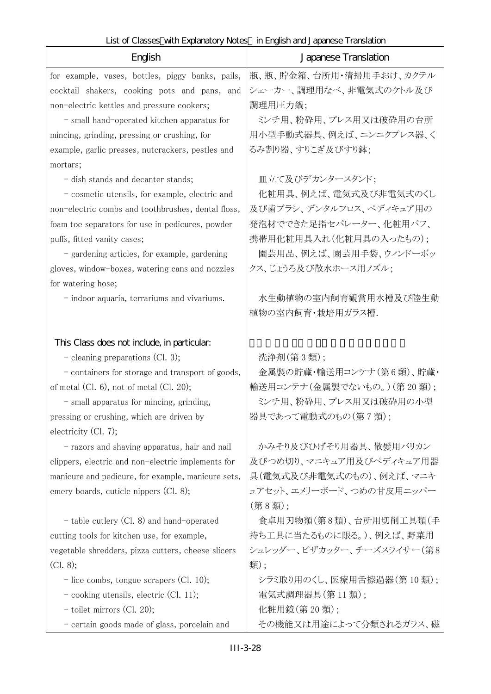٦

| English                                                          | Japanese Translation      |
|------------------------------------------------------------------|---------------------------|
| for example, vases, bottles, piggy banks, pails,                 | 瓶、瓶、貯金箱、台所用・清掃用手おけ、カクテル   |
| cocktail shakers, cooking pots and pans, and                     | シェーカー、調理用なべ、非電気式のケトル及び    |
| non-electric kettles and pressure cookers;                       | 調理用圧力鍋;                   |
| - small hand-operated kitchen apparatus for                      | ミンチ用、粉砕用、プレス用又は破砕用の台所     |
| mincing, grinding, pressing or crushing, for                     | 用小型手動式器具、例えば、ニンニクプレス器、く   |
| example, garlic presses, nutcrackers, pestles and                | るみ割り器、すりこぎ及びすり鉢;          |
| mortars;                                                         |                           |
| - dish stands and decanter stands;                               | 皿立て及びデカンタースタンド;           |
| - cosmetic utensils, for example, electric and                   | 化粧用具、例えば、電気式及び非電気式のくし     |
| non-electric combs and toothbrushes, dental floss,               | 及び歯ブラシ、デンタルフロス、ペディキュア用の   |
| foam toe separators for use in pedicures, powder                 | 発泡材でできた足指セパレーター、化粧用パフ、    |
| puffs, fitted vanity cases;                                      | 携帯用化粧用具入れ(化粧用具の入ったもの);    |
| - gardening articles, for example, gardening                     | 園芸用品、例えば、園芸用手袋、ウィンドーボッ    |
| gloves, window-boxes, watering cans and nozzles                  | クス、じょうろ及び散水ホース用ノズル;       |
| for watering hose;                                               |                           |
| - indoor aquaria, terrariums and vivariums.                      | 水生動植物の室内飼育観賞用水槽及び陸生動      |
|                                                                  | 植物の室内飼育・栽培用ガラス槽.          |
|                                                                  |                           |
| This Class does not include, in particular.                      |                           |
| $-$ cleaning preparations (Cl. 3);                               | 洗浄剤(第3類);                 |
| - containers for storage and transport of goods,                 | 金属製の貯蔵・輸送用コンテナ(第6類)、貯蔵・   |
| of metal $(Cl. 6)$ , not of metal $(Cl. 20)$ ;                   | 輸送用コンテナ(金属製でないもの。)(第20類); |
| - small apparatus for mincing, grinding,                         | ミンチ用、粉砕用、プレス用又は破砕用の小型     |
| pressing or crushing, which are driven by                        | 器具であって電動式のもの(第7類);        |
| electricity $(Cl. 7)$ ;                                          |                           |
| - razors and shaving apparatus, hair and nail                    | かみそり及びひげそり用器具、散髪用バリカン     |
| clippers, electric and non-electric implements for               | 及びつめ切り、マニキュア用及びペディキュア用器   |
| manicure and pedicure, for example, manicure sets,               | 具(電気式及び非電気式のもの)、例えば、マニキ   |
| emery boards, cuticle nippers (Cl. 8);                           | ュアセット、エメリーボード、つめの甘皮用ニッパー  |
|                                                                  | (第8類);                    |
| - table cutlery (Cl. 8) and hand-operated                        | 食卓用刃物類(第8類)、台所用切削工具類(手    |
| cutting tools for kitchen use, for example,                      | 持ち工具に当たるものに限る。)、例えば、野菜用   |
| vegetable shredders, pizza cutters, cheese slicers               | シュレッダー、ピザカッター、チーズスライサー(第8 |
| (Cl. 8);                                                         | 類);                       |
| $\overline{\phantom{a}}$ - lice combs, tongue scrapers (Cl. 10); | シラミ取り用のくし、医療用舌擦過器(第10類);  |
| $\sim$ cooking utensils, electric (Cl. 11);                      | 電気式調理器具(第11類);            |
| $-$ toilet mirrors (Cl. 20);                                     | 化粧用鏡(第20類);               |
| - certain goods made of glass, porcelain and                     | その機能又は用途によって分類されるガラス、磁    |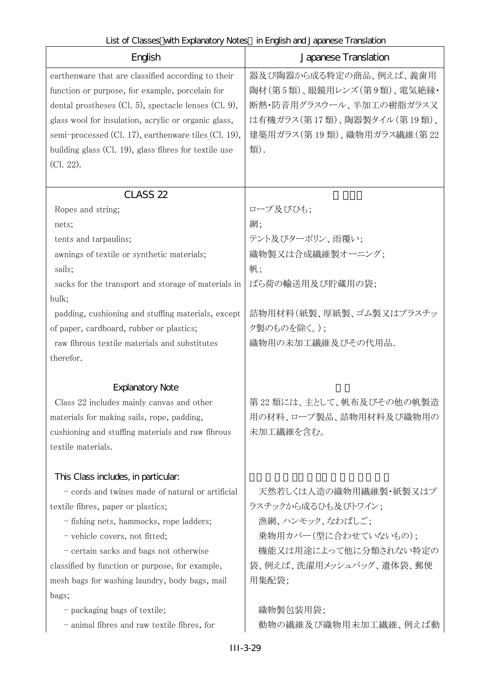#### English Japanese Translation earthenware that are classified according to their function or purpose, for example, porcelain for dental prostheses (Cl. 5), spectacle lenses (Cl. 9), glass wool for insulation, acrylic or organic glass, semi-processed (Cl. 17), earthenware tiles (Cl. 19), building glass (Cl. 19), glass fibres for textile use (Cl. 22). 器及び陶器から成る特定の商品、例えば、義歯用 陶材(第5 類)、眼鏡用レンズ(第9 類)、電気絶縁・ 断熱・防音用グラスウール、半加工の樹脂ガラス又 は有機ガラス(第 17 類)、陶器製タイル(第 19 類)、 建築用ガラス(第 19 類)、織物用ガラス繊維(第 22 類).  $CLASS$   $22$ Ropes and string; コープ及びひも; nets;  $\mathbb{R}$ ; tents and tarpaulins; <br>
and tarpaulins;<br>
and tarpaulins;<br>
the contract of the system of the system of the system of the system of the system of the system of the system of the system of the system of the system of the sy awnings of textile or synthetic materials; およくおくなる成繊維製オーニング; sails;  $|\n$  | 帆; sacks for the transport and storage of materials in bulk; ばら荷の輸送用及び貯蔵用の袋; padding, cushioning and stuffing materials, except of paper, cardboard, rubber or plastics; 詰物用材料(紙製、厚紙製、ゴム製又はプラスチッ ク製のものを除く。); raw fibrous textile materials and substitutes therefor. 織物用の未加工繊維及びその代用品. Explanatory Note Class 22 includes mainly canvas and other materials for making sails, rope, padding, cushioning and stuffing materials and raw fibrous textile materials. 第 22 類には、主として、帆布及びその他の帆製造 用の材料、ロープ製品、詰物用材料及び織物用の 未加工繊維を含む。 This Class includes, in particular: - cords and twines made of natural or artificial textile fibres, paper or plastics; 天然若しくは人造の織物用繊維製・紙製又はプ ラスチックから成るひも及びトワイン; - fishing nets, hammocks, rope ladders; <br>
| 漁網、ハンモック、なわばしご; - vehicle covers, not fitted; <br>- 乗物用カバー(型に合わせていないもの); - certain sacks and bags not otherwise classified by function or purpose, for example, mesh bags for washing laundry, body bags, mail bags; 機能又は用途によって他に分類されない特定の 袋、例えば、洗濯用メッシュバッグ、遺体袋、郵便 用集配袋; - packaging bags of textile; <br>
and the control and the control and the control and the control and the control and the control and the control and the control and the control and the control and the control and the contro - animal fibres and raw textile fibres, for 動物の繊維及び織物用未加工繊維、例えば動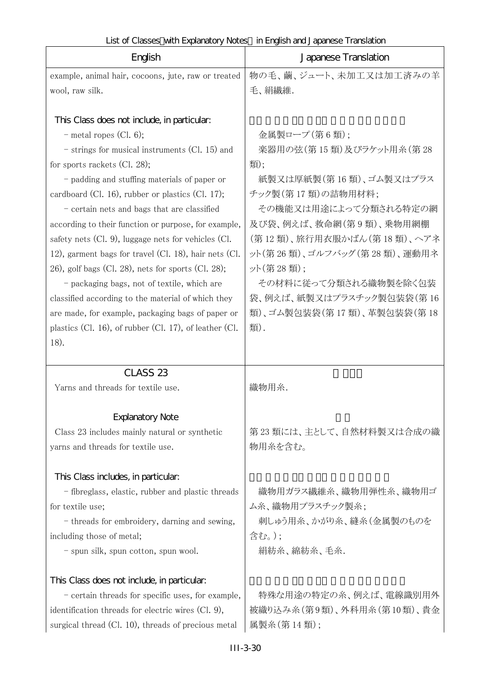|  | List of Classes with Explanatory Notes in English and Japanese Translation |
|--|----------------------------------------------------------------------------|
|  |                                                                            |

| English                                                     | Japanese Translation       |
|-------------------------------------------------------------|----------------------------|
| example, animal hair, cocoons, jute, raw or treated         | 物の毛、繭、ジュート、未加工又は加工済みの羊     |
| wool, raw silk.                                             | 毛、絹繊維.                     |
|                                                             |                            |
| This Class does not include, in particular:                 |                            |
| $-$ metal ropes (Cl. 6);                                    | 金属製ロープ(第6類);               |
| - strings for musical instruments (Cl. 15) and              | 楽器用の弦(第15類)及びラケット用糸(第28    |
| for sports rackets $(Cl. 28)$ ;                             | 類);                        |
| - padding and stuffing materials of paper or                | 紙製又は厚紙製(第16類)、ゴム製又はプラス     |
| cardboard (Cl. 16), rubber or plastics (Cl. 17);            | チック製(第17類)の詰物用材料;          |
| - certain nets and bags that are classified                 | その機能又は用途によって分類される特定の網      |
| according to their function or purpose, for example,        | 及び袋、例えば、救命網(第9類)、乗物用網棚     |
| safety nets $(Cl. 9)$ , luggage nets for vehicles $(Cl. 9)$ | (第12類)、旅行用衣服かばん(第18類)、ヘアネ  |
| 12), garment bags for travel (Cl. 18), hair nets (Cl.       | ット(第26類)、ゴルフバッグ(第28類)、運動用ネ |
| 26), golf bags (Cl. 28), nets for sports (Cl. 28);          | ット(第28類);                  |
| - packaging bags, not of textile, which are                 | その材料に従って分類される織物製を除く包装      |
| classified according to the material of which they          | 袋、例えば、紙製又はプラスチック製包装袋(第 16  |
| are made, for example, packaging bags of paper or           | 類)、ゴム製包装袋(第17類)、革製包装袋(第18  |
| plastics (Cl. 16), of rubber (Cl. 17), of leather (Cl.      | 類).                        |
| 18).                                                        |                            |
| CLASS <sub>23</sub>                                         |                            |
| Yarns and threads for textile use.                          | 織物用糸.                      |
|                                                             |                            |
| <b>Explanatory Note</b>                                     |                            |
| Class 23 includes mainly natural or synthetic               | 第23類には、主として、自然材料製又は合成の織    |
| yarns and threads for textile use.                          | 物用糸を含む。                    |
|                                                             |                            |
| This Class includes, in particular.                         |                            |
| - fibreglass, elastic, rubber and plastic threads           | 織物用ガラス繊維糸、織物用弾性糸、織物用ゴ      |
| for textile use;                                            | ム糸、織物用プラスチック製糸;            |
| - threads for embroidery, darning and sewing,               | 刺しゅう用糸、かがり糸、縫糸(金属製のものを     |
| including those of metal;                                   | 含む。);                      |
| - spun silk, spun cotton, spun wool.                        | 絹紡糸、綿紡糸、毛糸.                |
| This Class does not include, in particular.                 |                            |
| - certain threads for specific uses, for example,           | 特殊な用途の特定の糸、例えば、電線識別用外      |
| identification threads for electric wires (Cl. 9),          | 被織り込み糸(第9類)、外科用糸(第10類)、貴金  |
| surgical thread (Cl. 10), threads of precious metal         | 属製糸(第14類);                 |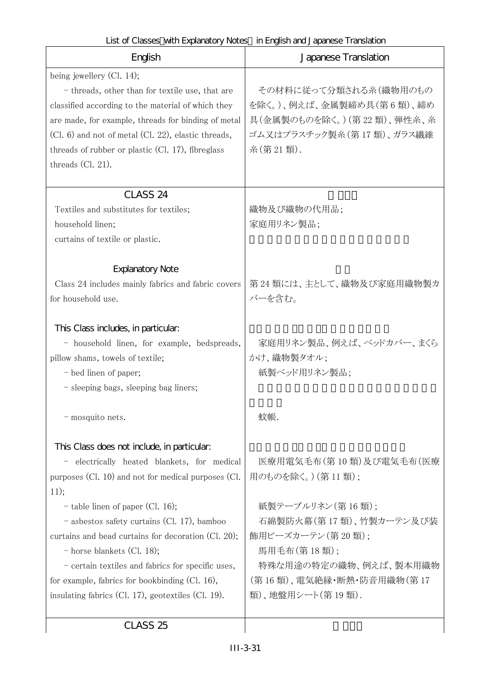| English                                                                                                                                                                                                                                                                                                                                                                                                                                                                                              | Japanese Translation                                                                                                                                                                                     |
|------------------------------------------------------------------------------------------------------------------------------------------------------------------------------------------------------------------------------------------------------------------------------------------------------------------------------------------------------------------------------------------------------------------------------------------------------------------------------------------------------|----------------------------------------------------------------------------------------------------------------------------------------------------------------------------------------------------------|
| being jewellery $(Cl. 14)$ ;<br>- threads, other than for textile use, that are<br>classified according to the material of which they<br>are made, for example, threads for binding of metal<br>(Cl. 6) and not of metal (Cl. 22), elastic threads,<br>threads of rubber or plastic $(Cl. 17)$ , fibreglass<br>threads $(Cl. 21)$ .                                                                                                                                                                  | その材料に従って分類される糸(織物用のもの<br>を除く。)、例えば、金属製締め具(第6類)、締め<br>具(金属製のものを除く。)(第22類)、弾性糸、糸<br>ゴム又はプラスチック製糸(第17類)、ガラス繊維<br>糸(第21類).                                                                                   |
| CLASS <sub>24</sub><br>Textiles and substitutes for textiles;<br>household linen;<br>curtains of textile or plastic.                                                                                                                                                                                                                                                                                                                                                                                 | 織物及び織物の代用品;<br>家庭用リネン製品;                                                                                                                                                                                 |
| <b>Explanatory Note</b><br>Class 24 includes mainly fabrics and fabric covers<br>for household use.                                                                                                                                                                                                                                                                                                                                                                                                  | 第 24 類には、主として、織物及び家庭用織物製カ<br>バーを含む。                                                                                                                                                                      |
| This Class includes, in particular:<br>- household linen, for example, bedspreads,<br>pillow shams, towels of textile;<br>- bed linen of paper;<br>- sleeping bags, sleeping bag liners;                                                                                                                                                                                                                                                                                                             | 家庭用リネン製品、例えば、ベッドカバー、まくら<br>かけ、織物製タオル;<br>紙製ベッド用リネン製品;                                                                                                                                                    |
| - mosquito nets.                                                                                                                                                                                                                                                                                                                                                                                                                                                                                     | 蚊帳.                                                                                                                                                                                                      |
| This Class does not include, in particular:<br>electrically heated blankets, for medical<br>purposes (Cl. 10) and not for medical purposes (Cl.<br>11);<br>$-$ table linen of paper (Cl. 16);<br>- asbestos safety curtains (Cl. 17), bamboo<br>curtains and bead curtains for decoration (Cl. 20);<br>- horse blankets (Cl. 18);<br>- certain textiles and fabrics for specific uses,<br>for example, fabrics for bookbinding (Cl. 16),<br>insulating fabrics $(Cl. 17)$ , geotextiles $(Cl. 19)$ . | 医療用電気毛布(第10類)及び電気毛布(医療<br>用のものを除く。) (第11類);<br>紙製テーブルリネン(第16類);<br>石綿製防火幕(第17類)、竹製カーテン及び装<br>飾用ビーズカーテン(第20類);<br>馬用毛布(第18類);<br>特殊な用途の特定の織物、例えば、製本用織物<br>(第 16 類)、電気絶縁・断熱・防音用織物(第 17<br>類)、地盤用シート(第19類). |

 $CLASS<sub>25</sub>$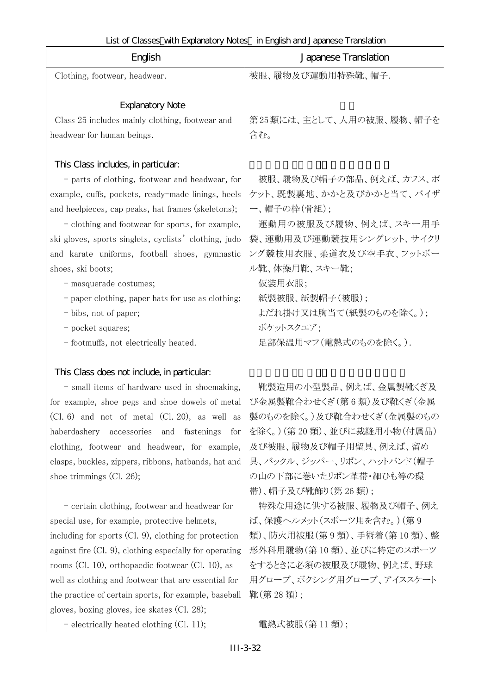| English                                                  | LIST OF CROSSCS VIET LA PRIMERIO JINOROS TITLI MISTICI NO CIPCIFICSO TTOLISIQUOTI<br>Japanese Translation |
|----------------------------------------------------------|-----------------------------------------------------------------------------------------------------------|
| Clothing, footwear, headwear.                            | 被服、履物及び運動用特殊靴、帽子.                                                                                         |
|                                                          |                                                                                                           |
| <b>Explanatory Note</b>                                  |                                                                                                           |
| Class 25 includes mainly clothing, footwear and          | 第25類には、主として、人用の被服、履物、帽子を                                                                                  |
| headwear for human beings.                               | 含む。                                                                                                       |
|                                                          |                                                                                                           |
| This Class includes, in particular:                      |                                                                                                           |
| - parts of clothing, footwear and headwear, for          | 被服、履物及び帽子の部品、例えば、カフス、ポ                                                                                    |
| example, cuffs, pockets, ready-made linings, heels       | ケット、既製裏地、かかと及びかかと当て、バイザ                                                                                   |
| and heelpieces, cap peaks, hat frames (skeletons);       | 一、帽子の枠(骨組);                                                                                               |
| - clothing and footwear for sports, for example,         | 運動用の被服及び履物、例えば、スキー用手                                                                                      |
| ski gloves, sports singlets, cyclists' clothing, judo    | 袋、運動用及び運動競技用シングレット、サイクリ                                                                                   |
| and karate uniforms, football shoes, gymnastic           | ング競技用衣服、柔道衣及び空手衣、フットボー                                                                                    |
| shoes, ski boots;                                        | ル靴、体操用靴、スキー靴;                                                                                             |
| - masquerade costumes;                                   | 仮装用衣服;                                                                                                    |
| - paper clothing, paper hats for use as clothing;        | 紙製被服、紙製帽子(被服);                                                                                            |
| - bibs, not of paper;                                    | よだれ掛け又は胸当て(紙製のものを除く。);                                                                                    |
| - pocket squares;                                        | ポケットスクエア;                                                                                                 |
| - footmuffs, not electrically heated.                    | 足部保温用マフ(電熱式のものを除く。).                                                                                      |
|                                                          |                                                                                                           |
| This Class does not include, in particular:              |                                                                                                           |
| - small items of hardware used in shoemaking,            | 靴製造用の小型製品、例えば、金属製靴くぎ及                                                                                     |
| for example, shoe pegs and shoe dowels of metal          | び金属製靴合わせくぎ (第6類)及び靴くぎ(金属                                                                                  |
| $(Cl. 6)$ and not of metal $(Cl. 20)$ , as well as       | 製のものを除く。)及び靴合わせくぎ(金属製のもの                                                                                  |
| haberdashery accessories<br>and fastenings<br>for        | を除く。)(第20類)、並びに裁縫用小物(付属品)                                                                                 |
| clothing, footwear and headwear, for example,            | 及び被服、履物及び帽子用留具、例えば、留め                                                                                     |
| clasps, buckles, zippers, ribbons, hatbands, hat and     | 具、バックル、ジッパー、リボン、ハットバンド(帽子                                                                                 |
| shoe trimmings $(Cl. 26)$ ;                              | の山の下部に巻いたリボン革帯・細ひも等の環                                                                                     |
|                                                          | 帯)、帽子及び靴飾り(第26類);                                                                                         |
| - certain clothing, footwear and headwear for            | 特殊な用途に供する被服、履物及び帽子、例え                                                                                     |
| special use, for example, protective helmets,            | ば、保護ヘルメット(スポーツ用を含む。) (第9                                                                                  |
| including for sports $(Cl. 9)$ , clothing for protection | 類)、防火用被服(第9類)、手術着(第10類)、整                                                                                 |
| against fire (Cl. 9), clothing especially for operating  | 形外科用履物(第10類)、並びに特定のスポーツ                                                                                   |
| rooms (Cl. 10), orthopaedic footwear (Cl. 10), as        | をするときに必須の被服及び履物、例えば、野球                                                                                    |
| well as clothing and footwear that are essential for     | 用グローブ、ボクシング用グローブ、アイススケート                                                                                  |
| the practice of certain sports, for example, baseball    | 靴(第28類);                                                                                                  |

- electrically heated clothing (Cl. 11); 電熱式被服(第 11 類);

gloves, boxing gloves, ice skates (Cl. 28);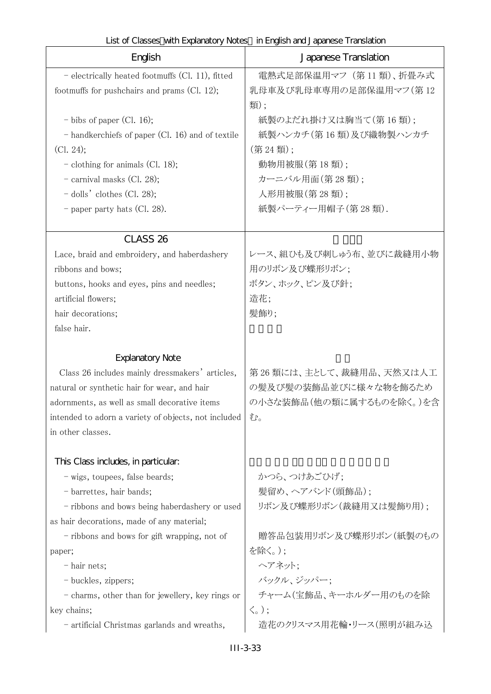| List of Classes with Explanatory Notes in English and Japanese Translation |  |
|----------------------------------------------------------------------------|--|
|----------------------------------------------------------------------------|--|

| English                                              | Japanese Translation       |
|------------------------------------------------------|----------------------------|
| - electrically heated footmuffs (Cl. 11), fitted     | 電熱式足部保温用マフ (第11類)、折畳み式     |
| footmuffs for pushchairs and prams (Cl. 12);         | 乳母車及び乳母車専用の足部保温用マフ(第12     |
|                                                      | 類);                        |
| $-$ bibs of paper (Cl. 16);                          | 紙製のよだれ掛け又は胸当て(第16類);       |
| - handkerchiefs of paper (Cl. 16) and of textile     | 紙製ハンカチ(第16類)及び織物製ハンカチ      |
| (C1. 24);                                            | (第24類);                    |
| $-$ clothing for animals (Cl. 18);                   | 動物用被服(第18類);               |
| $-$ carnival masks (Cl. 28);                         | カーニバル用面(第28類);             |
| $-$ dolls' clothes (Cl. 28);                         | 人形用被服(第28類);               |
| - paper party hats (Cl. 28).                         | 紙製パーティー用帽子(第28類).          |
| CLASS <sub>26</sub>                                  |                            |
| Lace, braid and embroidery, and haberdashery         | レース、組ひも及び刺しゅう布、並びに裁縫用小物    |
| ribbons and bows;                                    | 用のリボン及び蝶形リボン;              |
| buttons, hooks and eyes, pins and needles;           | ボタン、ホック、ピン及び針;             |
| artificial flowers;                                  | 造花;                        |
| hair decorations;                                    | 髪飾り;                       |
| false hair.                                          |                            |
| <b>Explanatory Note</b>                              |                            |
| Class 26 includes mainly dressmakers' articles,      | 第26類には、主として、裁縫用品、天然又は人工    |
| natural or synthetic hair for wear, and hair         | の髪及び髪の装飾品並びに様々な物を飾るため      |
| adornments, as well as small decorative items        | の小さな装飾品(他の類に属するものを除く。)を含   |
| intended to adorn a variety of objects, not included | む。                         |
| in other classes.                                    |                            |
| This Class includes, in particular.                  |                            |
| - wigs, toupees, false beards;                       | かつら、つけあごひげ;                |
| - barrettes, hair bands;                             | 髣留め、ヘアバンド(頭飾品);            |
| - ribbons and bows being haberdashery or used        | リボン及び蝶形リボン(裁縫用又は髪飾り用);     |
| as hair decorations, made of any material;           |                            |
| - ribbons and bows for gift wrapping, not of         | 贈答品包装用リボン及び蝶形リボン(紙製のもの     |
| paper;                                               | を除く。);                     |
| - hair nets;                                         | ヘアネット;                     |
| - buckles, zippers;                                  | バックル、ジッパー;                 |
| - charms, other than for jewellery, key rings or     | チャーム(宝飾品、キーホルダー用のものを除      |
| key chains;                                          | $\langle \zeta_{\circ}$ ); |
| - artificial Christmas garlands and wreaths,         | 造花のクリスマス用花輪・リース(照明が組み込     |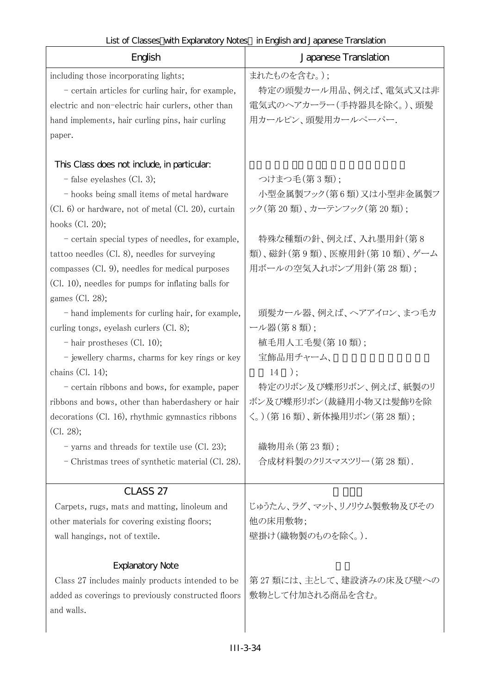| English                                                                | Japanese Translation                              |
|------------------------------------------------------------------------|---------------------------------------------------|
| including those incorporating lights;                                  | まれたものを含む。);                                       |
| - certain articles for curling hair, for example,                      | 特定の頭髪カール用品、例えば、電気式又は非                             |
| electric and non-electric hair curlers, other than                     | 電気式のヘアカーラー(手持器具を除く。)、頭髪                           |
| hand implements, hair curling pins, hair curling                       | 用カールピン、頭髪用カールペーパー.                                |
| paper.                                                                 |                                                   |
|                                                                        |                                                   |
| This Class does not include, in particular:                            |                                                   |
| $-$ false eyelashes (Cl. 3);                                           | つけまつ毛(第3類);                                       |
| - hooks being small items of metal hardware                            | 小型金属製フック(第6類)又は小型非金属製フ<br>ック(第20類)、カーテンフック(第20類); |
| (Cl. 6) or hardware, not of metal (Cl. 20), curtain<br>hooks (Cl. 20); |                                                   |
| - certain special types of needles, for example,                       | 特殊な種類の針、例えば、入れ墨用針(第8                              |
| tattoo needles (Cl. 8), needles for surveying                          | 類)、磁針(第9類)、医療用針(第10類)、ゲーム                         |
| compasses (Cl. 9), needles for medical purposes                        | 用ボールの空気入れポンプ用針(第28類);                             |
| (Cl. 10), needles for pumps for inflating balls for                    |                                                   |
| games (Cl. 28);                                                        |                                                   |
| - hand implements for curling hair, for example,                       | 頭髪カール器、例えば、ヘアアイロン、まつ毛カ                            |
| curling tongs, eyelash curlers (Cl. 8);                                | ール器(第8類);                                         |
| $-$ hair prostheses (Cl. 10);                                          | 植毛用人工毛髪(第10類);                                    |
| - jewellery charms, charms for key rings or key                        | 宝飾品用チャーム、                                         |
| chains $(Cl. 14);$                                                     | $14$ );                                           |
| - certain ribbons and bows, for example, paper                         | 特定のリボン及び蝶形リボン、例えば、紙製のリ                            |
| ribbons and bows, other than haberdashery or hair                      | ボン及び蝶形リボン(裁縫用小物又は髪飾りを除                            |
| $\alpha$ decorations (Cl. 16), rhythmic gymnastics ribbons $\alpha$    | く。) (第16類)、新体操用リボン(第28類);                         |
| (Cl. 28);                                                              |                                                   |
| - yarns and threads for textile use (Cl. 23);                          | 織物用糸(第23類);                                       |
| - Christmas trees of synthetic material (Cl. 28).                      | 合成材料製のクリスマスツリー (第28類).                            |
|                                                                        |                                                   |
| CLASS <sub>27</sub>                                                    |                                                   |
| Carpets, rugs, mats and matting, linoleum and                          | じゅうたん、ラグ、マット、リノリウム製敷物及びその                         |
| other materials for covering existing floors;                          | 他の床用敷物;                                           |
| wall hangings, not of textile.                                         | 壁掛け(織物製のものを除く。).                                  |
| <b>Explanatory Note</b>                                                |                                                   |
| Class 27 includes mainly products intended to be                       | 第27 類には、主として、建設済みの床及び壁への                          |
| added as coverings to previously constructed floors                    | 敷物として付加される商品を含む。                                  |
| and walls.                                                             |                                                   |
|                                                                        |                                                   |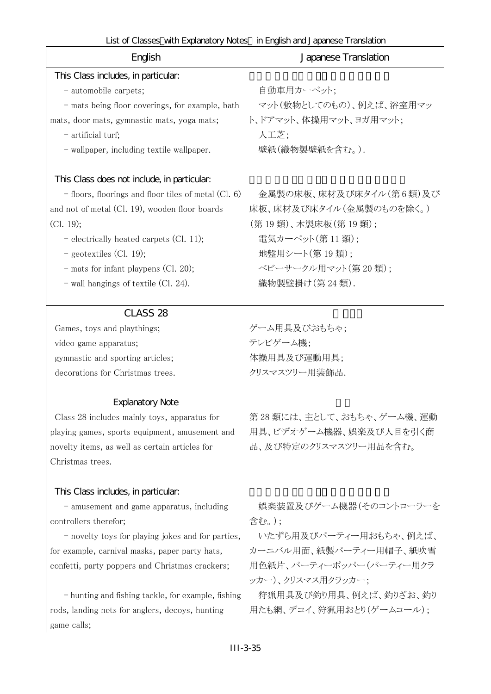| English                                                | Japanese Translation       |
|--------------------------------------------------------|----------------------------|
| This Class includes, in particular:                    |                            |
| - automobile carpets;                                  | 自動車用カーペット:                 |
| - mats being floor coverings, for example, bath        | マット(敷物としてのもの)、例えば、浴室用マッ    |
| mats, door mats, gymnastic mats, yoga mats;            | ト、ドアマット、体操用マット、ヨガ用マット;     |
| - artificial turf;                                     | 人工芝;                       |
| - wallpaper, including textile wallpaper.              | 壁紙(織物製壁紙を含む。).             |
| This Class does not include, in particular:            |                            |
| $-$ floors, floorings and floor tiles of metal (Cl. 6) | 金属製の床板、床材及び床タイル(第6類)及び     |
| and not of metal (Cl. 19), wooden floor boards         | 床板、床材及び床タイル(金属製のものを除く。)    |
| (Cl. 19);                                              | (第 19 類)、木製床板(第 19 類);     |
| - electrically heated carpets (Cl. 11);                | 電気カーペット(第11類);             |
| $-$ geotextiles (Cl. 19);                              | 地盤用シート(第19類);              |
| - mats for infant playpens (Cl. 20);                   | ベビーサークル用マット(第20類):         |
| $-$ wall hangings of textile (Cl. 24).                 | 織物製壁掛け(第24類).              |
| CLASS <sub>28</sub>                                    |                            |
| Games, toys and playthings;                            | ゲーム用具及びおもちゃ;               |
| video game apparatus;                                  | テレビゲーム機;                   |
| gymnastic and sporting articles;                       | 体操用具及び運動用具;                |
| decorations for Christmas trees.                       | クリスマスツリー用装飾品.              |
| <b>Explanatory Note</b>                                |                            |
| Class 28 includes mainly toys, apparatus for           | 第 28 類には、主として、おもちゃ、ゲーム機、運動 |
| playing games, sports equipment, amusement and         | 用具、ビデオゲーム機器、娯楽及び人目を引く商     |
| novelty items, as well as certain articles for         | 品、及び特定のクリスマスツリー用品を含む。      |
| Christmas trees.                                       |                            |
| This Class includes, in particular.                    |                            |
| - amusement and game apparatus, including              | 娯楽装置及びゲーム機器(そのコントローラーを     |
| controllers therefor;                                  | 含む。):                      |
| - novelty toys for playing jokes and for parties,      | いたずら用及びパーティー用おもちゃ、例えば、     |
| for example, carnival masks, paper party hats,         | カーニバル用面、紙製パーティー用帽子、紙吹雪     |
| confetti, party poppers and Christmas crackers;        | 用色紙片、パーティーポッパー(パーティー用クラ    |
|                                                        | ッカー)、クリスマス用クラッカー:          |
| - hunting and fishing tackle, for example, fishing     | 狩猟用具及び釣り用具、例えば、釣りざお、釣り     |
| rods, landing nets for anglers, decoys, hunting        | 用たも網、デコイ、狩猟用おとり(ゲームコール);   |
| game calls;                                            |                            |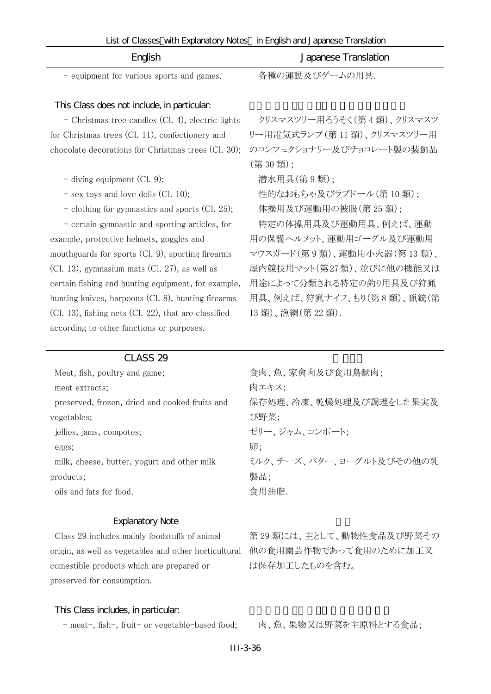| English                                                                                                                                                                                                                                                                                                                                                                                                                                                                                                                                                                                                                                                                                                                                                                     | Japanese Translation                                                                                                                                                                                                                                                                                                                            |
|-----------------------------------------------------------------------------------------------------------------------------------------------------------------------------------------------------------------------------------------------------------------------------------------------------------------------------------------------------------------------------------------------------------------------------------------------------------------------------------------------------------------------------------------------------------------------------------------------------------------------------------------------------------------------------------------------------------------------------------------------------------------------------|-------------------------------------------------------------------------------------------------------------------------------------------------------------------------------------------------------------------------------------------------------------------------------------------------------------------------------------------------|
| - equipment for various sports and games.                                                                                                                                                                                                                                                                                                                                                                                                                                                                                                                                                                                                                                                                                                                                   | 各種の運動及びゲームの用具.                                                                                                                                                                                                                                                                                                                                  |
| This Class does not include, in particular:<br>$\sim$ Christmas tree candles (Cl. 4), electric lights<br>for Christmas trees (Cl. 11), confectionery and<br>chocolate decorations for Christmas trees (Cl. 30);<br>- diving equipment (Cl. 9);<br>$-$ sex toys and love dolls (Cl. 10);<br>- clothing for gymnastics and sports (Cl. 25);<br>- certain gymnastic and sporting articles, for<br>example, protective helmets, goggles and<br>mouthguards for sports (Cl. 9), sporting firearms<br>$(Cl. 13)$ , gymnasium mats $(Cl. 27)$ , as well as<br>certain fishing and hunting equipment, for example,<br>hunting knives, harpoons (Cl. 8), hunting firearms<br>$(Cl. 13)$ , fishing nets $(Cl. 22)$ , that are classified<br>according to other functions or purposes. | クリスマスツリー用ろうそく(第4類)、クリスマスツ<br>リー用電気式ランプ (第11類)、クリスマスツリー用<br>のコンフェクショナリー及びチョコレート製の装飾品<br>(第30類);<br>潜水用具(第9類);<br>性的なおもちゃ及びラブドール(第10類);<br>体操用及び運動用の被服(第25類);<br>特定の体操用具及び運動用具、例えば、運動<br>用の保護ヘルメット、運動用ゴーグル及び運動用<br>マウスガード(第9類)、運動用小火器(第13類)、<br>屋内競技用マット(第27類)、並びに他の機能又は<br>用途によって分類される特定の釣り用具及び狩猟<br>用具、例えば、狩猟ナイフ、もり(第8類)、猟銃(第<br>13類)、漁網(第22類). |
|                                                                                                                                                                                                                                                                                                                                                                                                                                                                                                                                                                                                                                                                                                                                                                             |                                                                                                                                                                                                                                                                                                                                                 |
| CLASS <sub>29</sub><br>Meat, fish, poultry and game;<br>meat extracts;<br>preserved, frozen, dried and cooked fruits and<br>vegetables;<br>jellies, jams, compotes;<br>eggs;<br>milk, cheese, butter, yogurt and other milk<br>products;<br>oils and fats for food.                                                                                                                                                                                                                                                                                                                                                                                                                                                                                                         | 食肉、魚、家禽肉及び食用鳥獣肉;<br>肉エキス:<br>保存処理、冷凍、乾燥処理及び調理をした果実及<br>び野菜;<br>ゼリー、ジャム、コンポート;<br>卵;<br>ミルク、チーズ、バター、ヨーグルト及びその他の乳<br>製品;<br>食用油脂.                                                                                                                                                                                                                 |
| <b>Explanatory Note</b><br>Class 29 includes mainly foodstuffs of animal<br>origin, as well as vegetables and other horticultural<br>comestible products which are prepared or<br>preserved for consumption.                                                                                                                                                                                                                                                                                                                                                                                                                                                                                                                                                                | 第29類には、主として、動物性食品及び野菜その<br>他の食用園芸作物であって食用のために加工又<br>は保存加工したものを含む。                                                                                                                                                                                                                                                                               |
| This Class includes, in particular.<br>- meat-, fish-, fruit- or vegetable-based food;                                                                                                                                                                                                                                                                                                                                                                                                                                                                                                                                                                                                                                                                                      | 肉、魚、果物又は野菜を主原料とする食品;                                                                                                                                                                                                                                                                                                                            |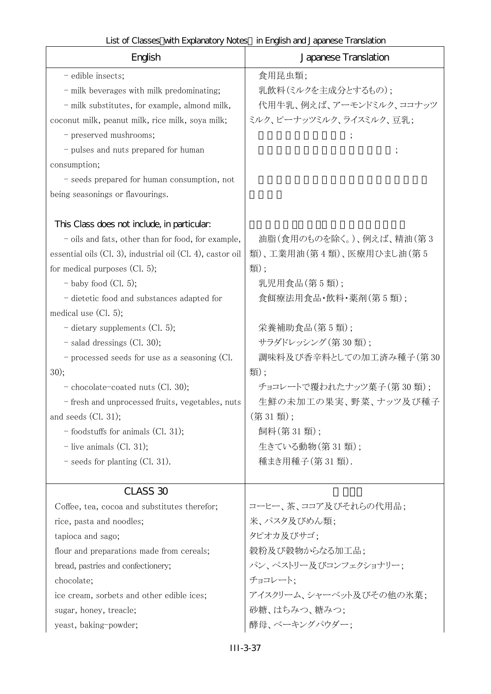| English                                                                                                                                                                                                                                                                                                                                                                                                                                                                                                                                                                                                                                                     | Japanese Translation                                                                                                                                                                                                                                                                |
|-------------------------------------------------------------------------------------------------------------------------------------------------------------------------------------------------------------------------------------------------------------------------------------------------------------------------------------------------------------------------------------------------------------------------------------------------------------------------------------------------------------------------------------------------------------------------------------------------------------------------------------------------------------|-------------------------------------------------------------------------------------------------------------------------------------------------------------------------------------------------------------------------------------------------------------------------------------|
| - edible insects;<br>- milk beverages with milk predominating;<br>- milk substitutes, for example, almond milk,<br>coconut milk, peanut milk, rice milk, soya milk;<br>- preserved mushrooms;<br>- pulses and nuts prepared for human<br>consumption;<br>- seeds prepared for human consumption, not<br>being seasonings or flavourings.                                                                                                                                                                                                                                                                                                                    | 食用昆虫類;<br>乳飲料(ミルクを主成分とするもの);<br>代用牛乳、例えば、アーモンドミルク、ココナッツ<br>ミルク、ピーナッツミルク、ライスミルク、豆乳;                                                                                                                                                                                                  |
| This Class does not include, in particular:<br>- oils and fats, other than for food, for example,<br>essential oils (Cl. 3), industrial oil (Cl. 4), castor oil<br>for medical purposes $(Cl. 5)$ ;<br>$-$ baby food (Cl. 5);<br>- dietetic food and substances adapted for<br>medical use (Cl. 5);<br>$-$ dietary supplements (Cl. 5);<br>- salad dressings (Cl. 30);<br>- processed seeds for use as a seasoning (Cl.<br>30);<br>- chocolate-coated nuts (Cl. 30);<br>- fresh and unprocessed fruits, vegetables, nuts<br>and seeds $(Cl. 31);$<br>$-$ foodstuffs for animals (Cl. 31);<br>$-$ live animals (Cl. 31);<br>$-$ seeds for planting (Cl. 31). | 油脂(食用のものを除く。)、例えば、精油(第3<br>類)、工業用油(第4類)、医療用ひまし油(第5<br>類);<br>乳児用食品(第5類);<br>食餌療法用食品·飲料·薬剤(第5類);<br>栄養補助食品(第5類);<br>サラダドレッシング (第30類);<br>調味料及び香辛料としての加工済み種子(第30<br>類):<br>チョコレートで覆われたナッツ菓子(第30類);<br>生鮮の未加工の果実、野菜、ナッツ及び種子<br>(第31類);<br>飼料(第31類);<br>生きている動物(第31類);<br>種まき用種子(第31類). |
| CLASS 30<br>Coffee, tea, cocoa and substitutes therefor;<br>rice, pasta and noodles;<br>tapioca and sago;<br>flour and preparations made from cereals;<br>bread, pastries and confectionery;<br>chocolate;<br>ice cream, sorbets and other edible ices;<br>sugar, honey, treacle;<br>yeast, baking-powder;                                                                                                                                                                                                                                                                                                                                                  | コーヒー、茶、ココア及びそれらの代用品;<br>米、パスタ及びめん類;<br>タピオカ及びサゴ;<br>穀粉及び穀物からなる加工品;<br>パン、ペストリー及びコンフェクショナリー;<br>チョコレート:<br>アイスクリーム、シャーベット及びその他の氷菓;<br>砂糖、はちみつ、糖みつ;<br>酵母、ベーキングパウダー;                                                                                                                  |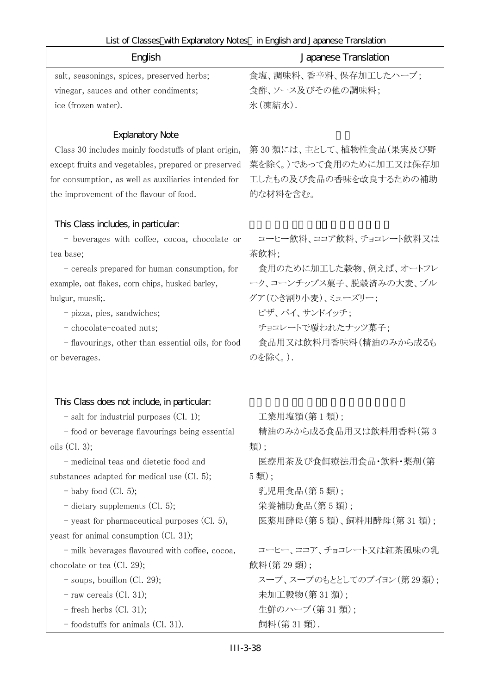| English                                                                                                                                                                                                                                                                                                                                                                                                                                                                                                                                                                                     | Japanese Translation                                                                                                                                                                                                                          |
|---------------------------------------------------------------------------------------------------------------------------------------------------------------------------------------------------------------------------------------------------------------------------------------------------------------------------------------------------------------------------------------------------------------------------------------------------------------------------------------------------------------------------------------------------------------------------------------------|-----------------------------------------------------------------------------------------------------------------------------------------------------------------------------------------------------------------------------------------------|
| salt, seasonings, spices, preserved herbs;                                                                                                                                                                                                                                                                                                                                                                                                                                                                                                                                                  | 食塩、調味料、香辛料、保存加工したハーブ;                                                                                                                                                                                                                         |
| vinegar, sauces and other condiments;                                                                                                                                                                                                                                                                                                                                                                                                                                                                                                                                                       | 食酢、ソース及びその他の調味料;                                                                                                                                                                                                                              |
| ice (frozen water).                                                                                                                                                                                                                                                                                                                                                                                                                                                                                                                                                                         | 氷(凍結水).                                                                                                                                                                                                                                       |
| <b>Explanatory Note</b><br>Class 30 includes mainly foodstuffs of plant origin,<br>except fruits and vegetables, prepared or preserved<br>for consumption, as well as auxiliaries intended for<br>the improvement of the flavour of food.                                                                                                                                                                                                                                                                                                                                                   | 第30類には、主として、植物性食品(果実及び野<br>菜を除く。)であって食用のために加工又は保存加<br>工したもの及び食品の香味を改良するための補助<br>的な材料を含む。                                                                                                                                                      |
| This Class includes, in particular.<br>- beverages with coffee, cocoa, chocolate or<br>tea base;<br>- cereals prepared for human consumption, for<br>example, oat flakes, corn chips, husked barley,<br>bulgur, muesli;.<br>- pizza, pies, sandwiches;<br>- chocolate-coated nuts;<br>- flavourings, other than essential oils, for food<br>or beverages.                                                                                                                                                                                                                                   | コーヒー飲料、ココア飲料、チョコレート飲料又は<br>茶飲料;<br>食用のために加工した穀物、例えば、オートフレ<br>ーク、コーンチップス菓子、脱穀済みの大麦、ブル<br>グア(ひき割り小麦)、ミューズリー;<br>ピザ、パイ、サンドイッチ;<br>チョコレートで覆われたナッツ菓子;<br>食品用又は飲料用香味料(精油のみから成るも<br>のを除く。).                                                          |
| This Class does not include, in particular:<br>- salt for industrial purposes (Cl. 1);<br>- food or beverage flavourings being essential<br>oils $(Cl. 3);$<br>- medicinal teas and dietetic food and<br>substances adapted for medical use (Cl. 5);<br>$-$ baby food (Cl. 5);<br>- dietary supplements (Cl. 5);<br>- yeast for pharmaceutical purposes $(Cl. 5)$ ,<br>yeast for animal consumption (Cl. 31);<br>- milk beverages flavoured with coffee, cocoa,<br>chocolate or tea $(Cl. 29)$ ;<br>$-$ soups, bouillon (Cl. 29);<br>$-$ raw cereals (Cl. 31);<br>$-$ fresh herbs (Cl. 31); | 工業用塩類(第1類);<br>精油のみから成る食品用又は飲料用香料(第3<br>類);<br>医療用茶及び食餌療法用食品・飲料・薬剤(第<br>5類);<br>乳児用食品(第5類);<br>栄養補助食品(第5類);<br>医薬用酵母(第5類)、飼料用酵母(第31類);<br>コーヒー、ココア、チョコレート又は紅茶風味の乳<br>飲料(第29類);<br>スープ、スープのもととしてのブイヨン(第29類);<br>未加工穀物(第31類);<br>生鮮のハーブ (第31類); |
|                                                                                                                                                                                                                                                                                                                                                                                                                                                                                                                                                                                             |                                                                                                                                                                                                                                               |
| $-$ foodstuffs for animals (Cl. 31).                                                                                                                                                                                                                                                                                                                                                                                                                                                                                                                                                        | 飼料(第31類).                                                                                                                                                                                                                                     |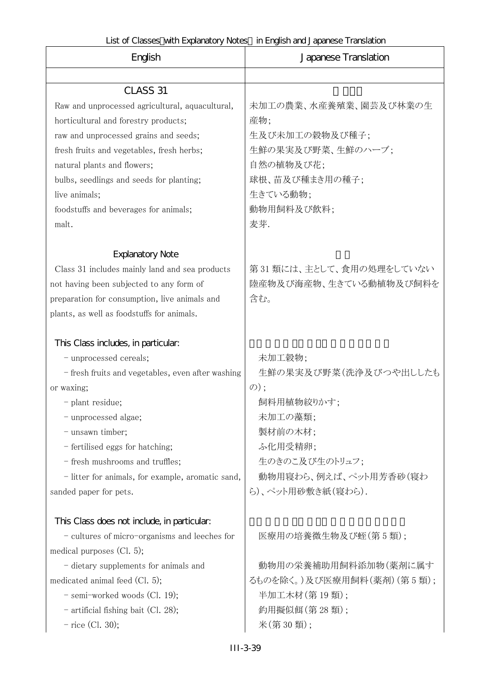| English                                           | Japanese Translation      |
|---------------------------------------------------|---------------------------|
|                                                   |                           |
| CLASS 31                                          |                           |
| Raw and unprocessed agricultural, aquacultural,   | 未加工の農業、水産養殖業、園芸及び林業の生     |
| horticultural and forestry products;              | 産物;                       |
| raw and unprocessed grains and seeds;             | 生及び未加工の穀物及び種子;            |
| fresh fruits and vegetables, fresh herbs;         | 生鮮の果実及び野菜、生鮮のハーブ;         |
| natural plants and flowers;                       | 自然の植物及び花;                 |
| bulbs, seedlings and seeds for planting;          | 球根、苗及び種まき用の種子;            |
| live animals;                                     | 生きている動物;                  |
| foodstuffs and beverages for animals;             | 動物用飼料及び飲料;                |
| malt.                                             | 麦芽.                       |
|                                                   |                           |
| <b>Explanatory Note</b>                           |                           |
| Class 31 includes mainly land and sea products    | 第31類には、主として、食用の処理をしていない   |
| not having been subjected to any form of          | 陸産物及び海産物、生きている動植物及び飼料を    |
| preparation for consumption, live animals and     | 含む。                       |
| plants, as well as foodstuffs for animals.        |                           |
|                                                   |                           |
| This Class includes, in particular.               |                           |
| - unprocessed cereals;                            | 未加工穀物;                    |
| - fresh fruits and vegetables, even after washing | 生鮮の果実及び野菜(洗浄及びつや出ししたも     |
| or waxing;                                        | $\mathcal{D})$ ;          |
| - plant residue;                                  | 飼料用植物絞りかす;                |
| - unprocessed algae;                              | 未加工の藻類;                   |
| - unsawn timber;                                  | 製材前の木材;                   |
| - fertilised eggs for hatching;                   | ふ化用受精卵;                   |
| - fresh mushrooms and truffles;                   | 生のきのこ及び生のトリュフ;            |
| - litter for animals, for example, aromatic sand, | 動物用寝わら、例えば、ペット用芳香砂(寝わ     |
| sanded paper for pets.                            | ら)、ペット用砂敷き紙(寝わら).         |
| This Class does not include, in particular.       |                           |
| - cultures of micro-organisms and leeches for     | 医療用の培養微生物及び蛭(第5類);        |
| medical purposes $(Cl. 5)$ ;                      |                           |
| - dietary supplements for animals and             | 動物用の栄養補助用飼料添加物(薬剤に属す      |
| medicated animal feed $(Cl. 5)$ ;                 | るものを除く。)及び医療用飼料(薬剤)(第5類); |
| - semi-worked woods (Cl. 19);                     | 半加工木材(第19類);              |
| - artificial fishing bait (Cl. 28);               | 釣用擬似餌(第28類);              |
| $-$ rice (Cl. 30);                                | 米(第30類);                  |
|                                                   |                           |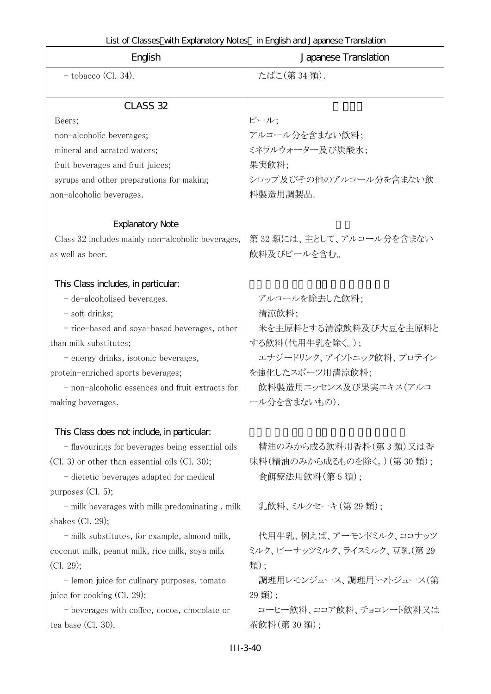| English                                            | Japanese Translation       |
|----------------------------------------------------|----------------------------|
| $-$ tobacco (Cl. 34).                              | たばこ(第34類).                 |
|                                                    |                            |
| CLASS 32                                           |                            |
| Beers;                                             | ビール;                       |
| non-alcoholic beverages;                           | アルコール分を含まない飲料;             |
| mineral and aerated waters;                        | ミネラルウォーター及び炭酸水;            |
| fruit beverages and fruit juices;                  | 果実飲料;                      |
| syrups and other preparations for making           | シロップ及びその他のアルコール分を含まない飲     |
| non-alcoholic beverages.                           | 料製造用調製品.                   |
| <b>Explanatory Note</b>                            |                            |
| Class 32 includes mainly non-alcoholic beverages,  | 第32類には、主として、アルコール分を含まない    |
| as well as beer.                                   | 飲料及びビールを含む。                |
|                                                    |                            |
| This Class includes, in particular:                |                            |
| - de-alcoholised beverages.                        | アルコールを除去した飲料;              |
| - soft drinks;                                     | 清涼飲料;                      |
| - rice-based and soya-based beverages, other       | 米を主原料とする清涼飲料及び大豆を主原料と      |
| than milk substitutes;                             | する飲料(代用牛乳を除く。);            |
| - energy drinks, isotonic beverages,               | エナジードリンク、アイソトニック飲料、プロテイン   |
| protein-enriched sports beverages;                 | を強化したスポーツ用清涼飲料;            |
| - non-alcoholic essences and fruit extracts for    | 飲料製造用エッセンス及び果実エキス(アルコ      |
| making beverages.                                  | ール分を含まないもの).               |
|                                                    |                            |
| This Class does not include, in particular:        |                            |
| - flavourings for beverages being essential oils   | 精油のみから成る飲料用香料(第3類)又は香      |
| $(Cl. 3)$ or other than essential oils $(Cl. 30);$ | 味料(精油のみから成るものを除く。) (第30類); |
| - dietetic beverages adapted for medical           | 食餌療法用飲料(第5類);              |
| purposes $(Cl. 5)$ ;                               |                            |
| - milk beverages with milk predominating, milk     | 乳飲料、ミルクセーキ(第29類):          |
| shakes $(Cl. 29)$ ;                                |                            |
| - milk substitutes, for example, almond milk,      | 代用牛乳、例えば、アーモンドミルク、ココナッツ    |
| coconut milk, peanut milk, rice milk, soya milk    | ミルク、ピーナッツミルク、ライスミルク、豆乳(第29 |
| (Cl. 29);                                          | 類);                        |
| - lemon juice for culinary purposes, tomato        | 調理用レモンジュース、調理用トマトジュース(第    |
| juice for cooking (Cl. 29);                        | $(29 \frac{1}{2})$ ;       |
| - beverages with coffee, cocoa, chocolate or       | コーヒー飲料、ココア飲料、チョコレート飲料又は    |
| tea base (Cl. 30).                                 | 茶飲料(第30類);                 |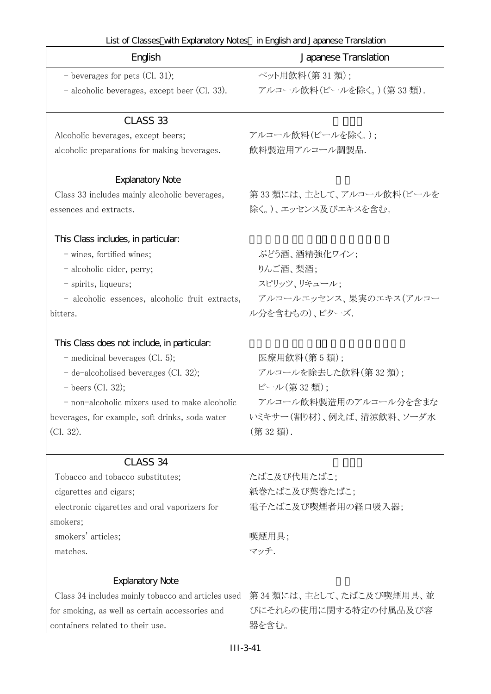| English                                            | Japanese Translation     |
|----------------------------------------------------|--------------------------|
| - beverages for pets $(Cl. 31);$                   | ペット用飲料(第31類);            |
| - alcoholic beverages, except beer (Cl. 33).       | アルコール飲料(ビールを除く。)(第33類).  |
| CLASS <sub>33</sub>                                |                          |
| Alcoholic beverages, except beers;                 | アルコール飲料(ビールを除く。):        |
| alcoholic preparations for making beverages.       | 飲料製造用アルコール調製品.           |
| <b>Explanatory Note</b>                            |                          |
| Class 33 includes mainly alcoholic beverages,      | 第33類には、主として、アルコール飲料(ビールを |
| essences and extracts.                             | 除く。)、エッセンス及びエキスを含む。      |
| This Class includes, in particular.                |                          |
| - wines, fortified wines;                          | ぶどう酒、酒精強化ワイン;            |
| - alcoholic cider, perry;                          | りんご酒、梨酒;                 |
| - spirits, liqueurs;                               | スピリッツ、リキュール:             |
| - alcoholic essences, alcoholic fruit extracts,    | アルコールエッセンス、果実のエキス(アルコー   |
| bitters.                                           | ル分を含むもの)、ビターズ.           |
| This Class does not include, in particular.        |                          |
| $-$ medicinal beverages (Cl. 5);                   | 医療用飲料(第5類);              |
| $-$ de-alcoholised beverages (Cl. 32);             | アルコールを除去した飲料(第32類);      |
| $-$ beers (Cl. 32);                                | ビール(第32類);               |
| - non-alcoholic mixers used to make alcoholic      | アルコール飲料製造用のアルコール分を含まな    |
| beverages, for example, soft drinks, soda water    | いミキサー(割り材)、例えば、清涼飲料、ソーダ水 |
| (Cl. 32).                                          | (第32類).                  |
| CLASS 34                                           |                          |
| Tobacco and tobacco substitutes;                   | たばこ及び代用たばこ;              |
| cigarettes and cigars;                             | 紙巻たばこ及び葉巻たばこ;            |
| electronic cigarettes and oral vaporizers for      | 電子たばこ及び喫煙者用の経口吸入器;       |
| smokers;                                           |                          |
| smokers' articles;                                 | 喫煙用具;                    |
| matches.                                           | マッチ.                     |
| <b>Explanatory Note</b>                            |                          |
| Class 34 includes mainly tobacco and articles used | 第34類には、主として、たばこ及び喫煙用具、並  |
| for smoking, as well as certain accessories and    | びにそれらの使用に関する特定の付属品及び容    |
| containers related to their use.                   | 器を含む。                    |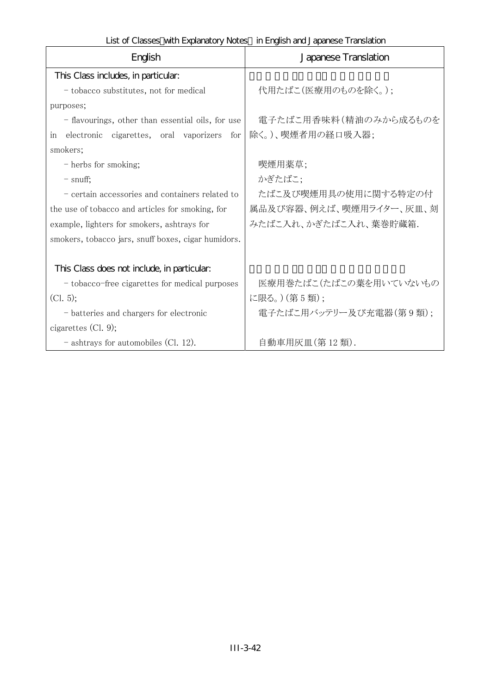List of Classes with Explanatory Notes in English and Japanese Translation

| English                                             | Japanese Translation    |
|-----------------------------------------------------|-------------------------|
| This Class includes, in particular:                 |                         |
| - tobacco substitutes, not for medical              | 代用たばこ(医療用のものを除く。);      |
| purposes;                                           |                         |
| - flavourings, other than essential oils, for use   | 電子たばこ用香味料(精油のみから成るものを   |
| electronic cigarettes, oral vaporizers for<br>in    | 除く。)、喫煙者用の経口吸入器;        |
| smokers;                                            |                         |
| - herbs for smoking;                                | 喫煙用薬草;                  |
| $-$ snuff;                                          | かぎたばこ;                  |
| - certain accessories and containers related to     | たばこ及び喫煙用具の使用に関する特定の付    |
| the use of tobacco and articles for smoking, for    | 属品及び容器、例えば、喫煙用ライター、灰皿、刻 |
| example, lighters for smokers, ashtrays for         | みたばこ入れ、かぎたばこ入れ、葉巻貯蔵箱.   |
| smokers, tobacco jars, snuff boxes, cigar humidors. |                         |
|                                                     |                         |
| This Class does not include, in particular.         |                         |
| - tobacco-free cigarettes for medical purposes      | 医療用巻たばこ(たばこの葉を用いていないもの  |
| (Cl. 5);                                            | に限る。) (第5類);            |
| - batteries and chargers for electronic             | 電子たばこ用バッテリー及び充電器(第9類);  |
| cigarettes $(Cl. 9);$                               |                         |
| $-$ ashtrays for automobiles (Cl. 12).              | 自動車用灰皿(第12類).           |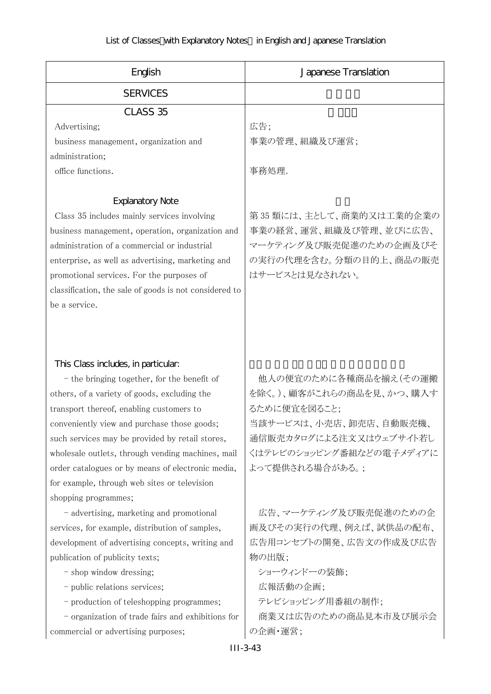| English                                                                                                                                                                                                                                                                                                                                                                                                                                    | Japanese Translation                                                                                                                                                 |
|--------------------------------------------------------------------------------------------------------------------------------------------------------------------------------------------------------------------------------------------------------------------------------------------------------------------------------------------------------------------------------------------------------------------------------------------|----------------------------------------------------------------------------------------------------------------------------------------------------------------------|
| <b>SERVICES</b>                                                                                                                                                                                                                                                                                                                                                                                                                            |                                                                                                                                                                      |
| CLASS 35<br>Advertising;<br>business management, organization and<br>administration;<br>office functions.                                                                                                                                                                                                                                                                                                                                  | 広告;<br>事業の管理、組織及び運営;<br>事務処理.                                                                                                                                        |
| <b>Explanatory Note</b><br>Class 35 includes mainly services involving<br>business management, operation, organization and<br>administration of a commercial or industrial<br>enterprise, as well as advertising, marketing and<br>promotional services. For the purposes of<br>classification, the sale of goods is not considered to<br>be a service.                                                                                    | 第35類には、主として、商業的又は工業的企業の<br>事業の経営、運営、組織及び管理、並びに広告、<br>マーケティング及び販売促進のための企画及びそ<br>の実行の代理を含む。分類の目的上、商品の販売<br>はサービスとは見なされない。                                              |
| This Class includes, in particular.<br>- the bringing together, for the benefit of<br>others, of a variety of goods, excluding the<br>transport thereof, enabling customers to<br>conveniently view and purchase those goods;<br>such services may be provided by retail stores,<br>wholesale outlets, through vending machines, mail<br>order catalogues or by means of electronic media,<br>for example, through web sites or television | 他人の便宜のために各種商品を揃え(その運搬<br>を除く。)、顧客がこれらの商品を見、かつ、購入す<br>るために便宜を図ること;<br>当該サービスは、小売店、卸売店、自動販売機<br>通信販売カタログによる注文又はウェブサイト若し<br>くはテレビのショッピング番組などの電子メディアに<br>よって提供される場合がある。; |
| shopping programmes;<br>- advertising, marketing and promotional<br>services, for example, distribution of samples,<br>development of advertising concepts, writing and<br>publication of publicity texts;<br>- shop window dressing;<br>- public relations services;<br>- production of teleshopping programmes;<br>- organization of trade fairs and exhibitions for                                                                     | 広告、マーケティング及び販売促進のための企<br>画及びその実行の代理、例えば、試供品の配布、<br>広告用コンセプトの開発、広告文の作成及び広告<br>物の出版;<br>ショーウィンドーの装飾;<br>広報活動の企画;<br>テレビショッピング用番組の制作;<br>商業又は広告のための商品見本市及び展示会           |
| commercial or advertising purposes;                                                                                                                                                                                                                                                                                                                                                                                                        | の企画・運営;                                                                                                                                                              |
|                                                                                                                                                                                                                                                                                                                                                                                                                                            | $III-3-43$                                                                                                                                                           |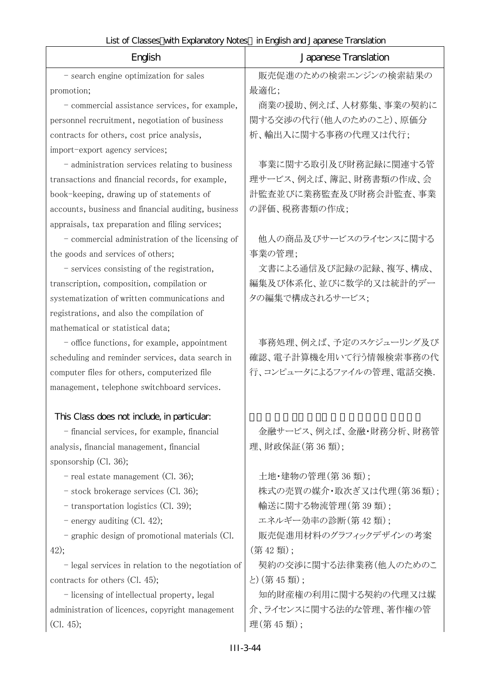r

| English                                             | Japanese Translation     |
|-----------------------------------------------------|--------------------------|
| - search engine optimization for sales              | 販売促進のための検索エンジンの検索結果の     |
| promotion;                                          | 最適化;                     |
| - commercial assistance services, for example,      | 商業の援助、例えば、人材募集、事業の契約に    |
| personnel recruitment, negotiation of business      | 関する交渉の代行(他人のためのこと)、原価分   |
| contracts for others, cost price analysis,          | 析、輸出入に関する事務の代理又は代行;      |
| import-export agency services;                      |                          |
| - administration services relating to business      | 事業に関する取引及び財務記録に関連する管     |
| transactions and financial records, for example,    | 理サービス、例えば、簿記、財務書類の作成、会   |
| book-keeping, drawing up of statements of           | 計監査並びに業務監査及び財務会計監査、事業    |
| accounts, business and financial auditing, business | の評価、税務書類の作成;             |
| appraisals, tax preparation and filing services;    |                          |
| - commercial administration of the licensing of     | 他人の商品及びサービスのライセンスに関する    |
| the goods and services of others;                   | 事業の管理;                   |
| - services consisting of the registration,          | 文書による通信及び記録の記録、複写、構成、    |
| transcription, composition, compilation or          | 編集及び体系化、並びに数学的又は統計的デー    |
| systematization of written communications and       | タの編集で構成されるサービス;          |
| registrations, and also the compilation of          |                          |
| mathematical or statistical data;                   |                          |
| - office functions, for example, appointment        | 事務処理、例えば、予定のスケジューリング及び   |
| scheduling and reminder services, data search in    | 確認、電子計算機を用いて行う情報検索事務の代   |
| computer files for others, computerized file        | 行、コンピュータによるファイルの管理、電話交換. |
| management, telephone switchboard services.         |                          |
| This Class does not include, in particular:         |                          |
| - financial services, for example, financial        | 金融サービス、例えば、金融・財務分析、財務管   |
| analysis, financial management, financial           | 理、財政保証(第36類);            |
| sponsorship (Cl. 36);                               |                          |
| - real estate management (Cl. 36);                  | 土地・建物の管理(第36類);          |
| - stock brokerage services (Cl. 36);                | 株式の売買の媒介・取次ぎ又は代理(第36類);  |
| - transportation logistics (Cl. 39);                | 輸送に関する物流管理(第39類);        |
| - energy auditing (Cl. 42);                         | エネルギー効率の診断(第42類);        |
| - graphic design of promotional materials (Cl.      | 販売促進用材料のグラフィックデザインの考案    |
| 42);                                                | (第42類);                  |
| - legal services in relation to the negotiation of  | 契約の交渉に関する法律業務(他人のためのこ    |
| contracts for others $(Cl. 45);$                    | と) (第45類);               |
| - licensing of intellectual property, legal         | 知的財産権の利用に関する契約の代理又は媒     |
| administration of licences, copyright management    | 介、ライセンスに関する法的な管理、著作権の管   |
| (Cl. 45);                                           | 理(第45類);                 |
|                                                     |                          |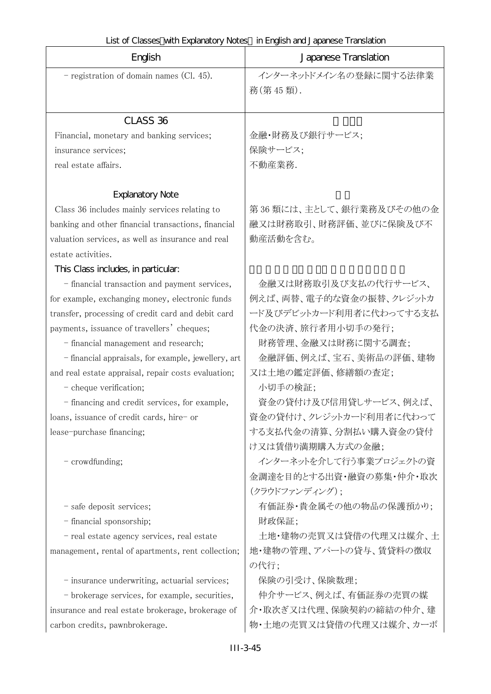|                                                     | List of Classes with Explanatory Notes in English and Japanese Translation |  |  |
|-----------------------------------------------------|----------------------------------------------------------------------------|--|--|
| English                                             | Japanese Translation                                                       |  |  |
| - registration of domain names (Cl. 45).            | インターネットドメイン名の登録に関する法律業<br>務(第45類).                                         |  |  |
| CLASS <sub>36</sub>                                 |                                                                            |  |  |
| Financial, monetary and banking services;           | 金融・財務及び銀行サービス;                                                             |  |  |
| insurance services;                                 | 保険サービス;                                                                    |  |  |
| real estate affairs.                                | 不動産業務.                                                                     |  |  |
| <b>Explanatory Note</b>                             |                                                                            |  |  |
| Class 36 includes mainly services relating to       | 第36類には、主として、銀行業務及びその他の金                                                    |  |  |
| banking and other financial transactions, financial | 融又は財務取引、財務評価、並びに保険及び不                                                      |  |  |
| valuation services, as well as insurance and real   | 動産活動を含む。                                                                   |  |  |
| estate activities.                                  |                                                                            |  |  |
| This Class includes, in particular:                 |                                                                            |  |  |
| - financial transaction and payment services,       | 金融又は財務取引及び支払の代行サービス、                                                       |  |  |
| for example, exchanging money, electronic funds     | 例えば、両替、電子的な資金の振替、クレジットカ                                                    |  |  |
| transfer, processing of credit card and debit card  | ード及びデビットカード利用者に代わってする支払                                                    |  |  |
| payments, issuance of travellers' cheques;          | 代金の決済、旅行者用小切手の発行;                                                          |  |  |
| - financial management and research;                | 財務管理、金融又は財務に関する調査;                                                         |  |  |
| - financial appraisals, for example, jewellery, art | 金融評価、例えば、宝石、美術品の評価、建物                                                      |  |  |
| and real estate appraisal, repair costs evaluation; | 又は土地の鑑定評価、修繕額の査定;                                                          |  |  |
| - cheque verification;                              | 小切手の検証;                                                                    |  |  |
| - financing and credit services, for example,       | 資金の貸付け及び信用貸しサービス、例えば、                                                      |  |  |
| loans, issuance of credit cards, hire- or           | 資金の貸付け、クレジットカード利用者に代わって                                                    |  |  |
| lease-purchase financing;                           | する支払代金の清算、分割払い購入資金の貸付                                                      |  |  |
|                                                     | け又は賃借り満期購入方式の金融;                                                           |  |  |
| - crowdfunding;                                     | インターネットを介して行う事業プロジェクトの資                                                    |  |  |
|                                                     | 金調達を目的とする出資・融資の募集・仲介・取次                                                    |  |  |
|                                                     | (クラウドファンディング);                                                             |  |  |
| - safe deposit services;                            | 有価証券・貴金属その他の物品の保護預かり;                                                      |  |  |
| - financial sponsorship;                            | 財政保証;                                                                      |  |  |
| - real estate agency services, real estate          | 土地・建物の売買又は貸借の代理又は媒介、土                                                      |  |  |
| management, rental of apartments, rent collection;  | 地・建物の管理、アパートの貸与、賃貸料の徴収                                                     |  |  |

- insurance underwriting, actuarial services; | 保険の引受け、保険数理;

 - brokerage services, for example, securities, insurance and real estate brokerage, brokerage of carbon credits, pawnbrokerage.

の代行;

仲介サービス、例えば、有価証券の売買の媒 介・取次ぎ又は代理、保険契約の締結の仲介、建 物・土地の売買又は貸借の代理又は媒介、カーボ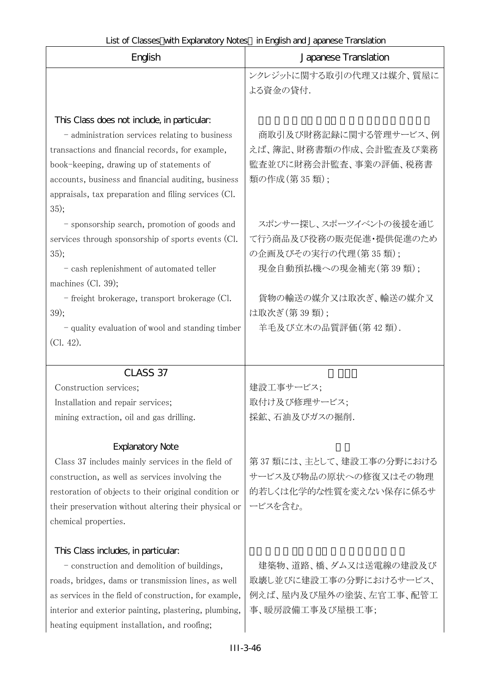| English                                                | Japanese Translation    |  |  |
|--------------------------------------------------------|-------------------------|--|--|
|                                                        | ンクレジットに関する取引の代理又は媒介、質屋に |  |  |
|                                                        | よる資金の貸付.                |  |  |
|                                                        |                         |  |  |
| This Class does not include, in particular.            |                         |  |  |
| - administration services relating to business         | 商取引及び財務記録に関する管理サービス、例   |  |  |
| transactions and financial records, for example,       | えば、簿記、財務書類の作成、会計監査及び業務  |  |  |
| book-keeping, drawing up of statements of              | 監査並びに財務会計監査、事業の評価、税務書   |  |  |
| accounts, business and financial auditing, business    | 類の作成(第35類);             |  |  |
| appraisals, tax preparation and filing services (Cl.   |                         |  |  |
| 35);                                                   |                         |  |  |
| - sponsorship search, promotion of goods and           | スポンサー探し、スポーツイベントの後援を通じ  |  |  |
| services through sponsorship of sports events (Cl.     | て行う商品及び役務の販売促進・提供促進のため  |  |  |
| 35);                                                   | の企画及びその実行の代理(第35類);     |  |  |
| - cash replenishment of automated teller               | 現金自動預払機への現金補充(第39類);    |  |  |
| machines (Cl. 39);                                     |                         |  |  |
| - freight brokerage, transport brokerage (Cl.          | 貨物の輸送の媒介又は取次ぎ、輸送の媒介又    |  |  |
| 39);                                                   | は取次ぎ (第39類);            |  |  |
| - quality evaluation of wool and standing timber       | 羊毛及び立木の品質評価(第42類).      |  |  |
| CL. 42).                                               |                         |  |  |
| CLASS 37                                               |                         |  |  |
| Construction services;                                 | 建設工事サービス;               |  |  |
| Installation and repair services;                      | 取付け及び修理サービス;            |  |  |
| mining extraction, oil and gas drilling.               | 採鉱、石油及びガスの掘削.           |  |  |
|                                                        |                         |  |  |
| <b>Explanatory Note</b>                                |                         |  |  |
| Class 37 includes mainly services in the field of      | 第37類には、主として、建設工事の分野における |  |  |
| construction, as well as services involving the        | サービス及び物品の原状への修復又はその物理   |  |  |
| restoration of objects to their original condition or  | 的若しくは化学的な性質を変えない保存に係るサ  |  |  |
| their preservation without altering their physical or  | ービスを含む。                 |  |  |
| chemical properties.                                   |                         |  |  |
|                                                        |                         |  |  |
| This Class includes, in particular.                    |                         |  |  |
| - construction and demolition of buildings,            | 建築物、道路、橋、ダム又は送電線の建設及び   |  |  |
| roads, bridges, dams or transmission lines, as well    | 取壊し並びに建設工事の分野におけるサービス、  |  |  |
| as services in the field of construction, for example, | 例えば、屋内及び屋外の塗装、左官工事、配管工  |  |  |
| interior and exterior painting, plastering, plumbing,  | 事、暖房設備工事及び屋根工事;         |  |  |
| heating equipment installation, and roofing;           |                         |  |  |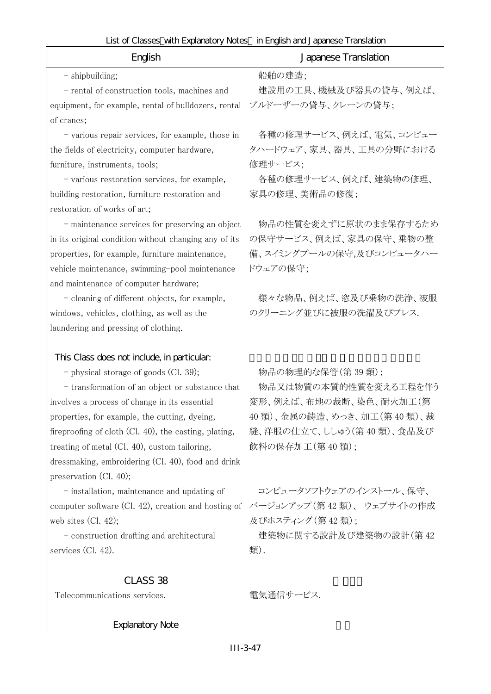| English                                                  | Japanese Translation      |  |  |
|----------------------------------------------------------|---------------------------|--|--|
| - shipbuilding;                                          | 船舶の建造;                    |  |  |
| - rental of construction tools, machines and             | 建設用の工具、機械及び器具の貸与、例えば、     |  |  |
| equipment, for example, rental of bulldozers, rental     | ブルドーザーの貸与、クレーンの貸与;        |  |  |
| of cranes;                                               |                           |  |  |
| - various repair services, for example, those in         | 各種の修理サービス、例えば、電気、コンピュー    |  |  |
| the fields of electricity, computer hardware,            | タハードウェア、家具、器具、工具の分野における   |  |  |
| furniture, instruments, tools;                           | 修理サービス;                   |  |  |
| - various restoration services, for example,             | 各種の修理サービス、例えば、建築物の修理、     |  |  |
| building restoration, furniture restoration and          | 家具の修理、美術品の修復;             |  |  |
| restoration of works of art;                             |                           |  |  |
| - maintenance services for preserving an object          | 物品の性質を変えずに原状のまま保存するため     |  |  |
| in its original condition without changing any of its    | の保守サービス、例えば、家具の保守、乗物の整    |  |  |
| properties, for example, furniture maintenance,          | 備、スイミングプールの保守、及びコンピュータハー  |  |  |
| vehicle maintenance, swimming-pool maintenance           | ドウェアの保守;                  |  |  |
| and maintenance of computer hardware;                    |                           |  |  |
| - cleaning of different objects, for example,            | 様々な物品、例えば、窓及び乗物の洗浄、被服     |  |  |
| windows, vehicles, clothing, as well as the              | のクリーニング並びに被服の洗濯及びプレス.     |  |  |
| laundering and pressing of clothing.                     |                           |  |  |
| This Class does not include, in particular:              |                           |  |  |
| - physical storage of goods (Cl. 39);                    | 物品の物理的な保管(第39類);          |  |  |
| - transformation of an object or substance that          | 物品又は物質の本質的性質を変える工程を伴う     |  |  |
| involves a process of change in its essential            | 変形、例えば、布地の裁断、染色、耐火加工(第    |  |  |
| properties, for example, the cutting, dyeing,            | 40類)、金属の鋳造、めっき、加工(第40類)、裁 |  |  |
| fireproofing of cloth $(Cl. 40)$ , the casting, plating, | 縫、洋服の仕立て、ししゅう(第40類)、食品及び  |  |  |
| treating of metal (Cl. 40), custom tailoring,            | 飲料の保存加工(第40類);            |  |  |
| dressmaking, embroidering (Cl. 40), food and drink       |                           |  |  |
| preservation (Cl. 40);                                   |                           |  |  |
| - installation, maintenance and updating of              | コンピュータソフトウェアのインストール、保守、   |  |  |
| computer software (Cl. 42), creation and hosting of      | バージョンアップ (第42類)、ウェブサイトの作成 |  |  |
| web sites $(Cl. 42);$                                    | 及びホスティング (第42類):          |  |  |
| - construction drafting and architectural                | 建築物に関する設計及び建築物の設計(第42     |  |  |
| services $(Cl. 42)$ .                                    | 類).                       |  |  |
| CLASS 38                                                 |                           |  |  |
| Telecommunications services.                             | 電気通信サービス.                 |  |  |
|                                                          |                           |  |  |
| <b>Explanatory Note</b>                                  |                           |  |  |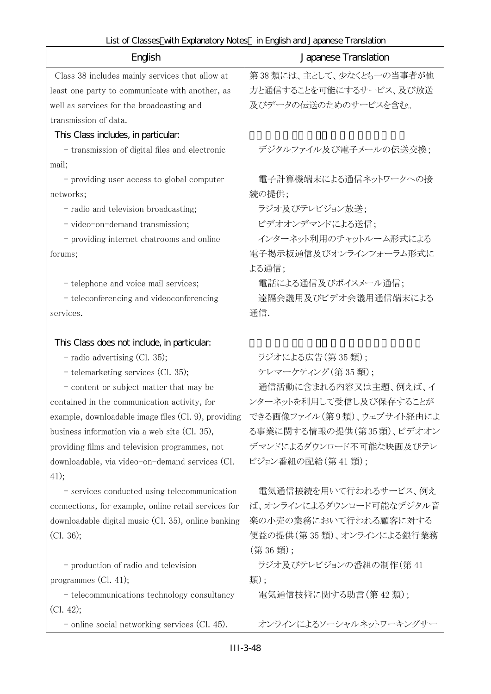$\mathbf{r}$ 

| English                                              | Japanese Translation      |
|------------------------------------------------------|---------------------------|
| Class 38 includes mainly services that allow at      | 第38類には、主として、少なくとも一の当事者が他  |
| least one party to communicate with another, as      | 方と通信することを可能にするサービス、及び放送   |
| well as services for the broadcasting and            | 及びデータの伝送のためのサービスを含む。      |
| transmission of data.                                |                           |
| This Class includes, in particular.                  |                           |
| - transmission of digital files and electronic       | デジタルファイル及び電子メールの伝送交換;     |
| mail;                                                |                           |
| - providing user access to global computer           | 電子計算機端末による通信ネットワークへの接     |
| networks;                                            | 続の提供;                     |
| - radio and television broadcasting;                 | ラジオ及びテレビジョン放送;            |
| - video-on-demand transmission;                      | ビデオオンデマンドによる送信;           |
| - providing internet chatrooms and online            | インターネット利用のチャットルーム形式による    |
| forums;                                              | 電子掲示板通信及びオンラインフォーラム形式に    |
|                                                      | よる通信;                     |
| - telephone and voice mail services;                 | 電話による通信及びボイスメール通信;        |
| - teleconferencing and videoconferencing             | 遠隔会議用及びビデオ会議用通信端末による      |
| services.                                            | 通信.                       |
|                                                      |                           |
| This Class does not include, in particular.          |                           |
| - radio advertising (Cl. 35);                        | ラジオによる広告(第35類);           |
| - telemarketing services (Cl. 35);                   | テレマーケティング (第35類);         |
| - content or subject matter that may be              | 通信活動に含まれる内容又は主題、例えば、イ     |
| contained in the communication activity, for         | ンターネットを利用して受信し及び保存することが   |
| example, downloadable image files (Cl. 9), providing | できる画像ファイル(第9類)、ウェブサイト経由によ |
| business information via a web site (Cl. 35),        | る事業に関する情報の提供(第35類)、ビデオオン  |
| providing films and television programmes, not       | デマンドによるダウンロード不可能な映画及びテレ   |
| downloadable, via video-on-demand services (Cl.      | ビジョン番組の配給(第41類);          |
| 41);                                                 |                           |
| - services conducted using telecommunication         | 電気通信接続を用いて行われるサービス、例え     |
| connections, for example, online retail services for | ば、オンラインによるダウンロード可能なデジタル音  |
| downloadable digital music (Cl. 35), online banking  | 楽の小売の業務において行われる顧客に対する     |
| (Cl. 36);                                            | 便益の提供(第35類)、オンラインによる銀行業務  |
|                                                      | (第36類);                   |
| - production of radio and television                 | ラジオ及びテレビジョンの番組の制作(第41     |
| programmes $(Cl. 41);$                               | 類);                       |
| - telecommunications technology consultancy          | 電気通信技術に関する助言(第42類);       |
| (Cl. 42);                                            |                           |
| - online social networking services $(Cl. 45)$ .     | オンラインによるソーシャルネットワーキングサー   |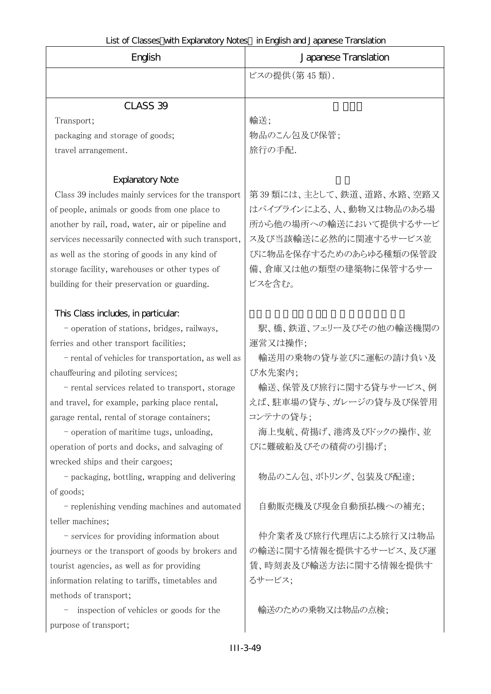| English                                             | LISTO CRISSES WITH EXPRIMENT VIOLES IN ENGLISH AND JAPANESE TRINSIATION<br>Japanese Translation |  |  |
|-----------------------------------------------------|-------------------------------------------------------------------------------------------------|--|--|
|                                                     | ビスの提供(第45類).                                                                                    |  |  |
|                                                     |                                                                                                 |  |  |
| CLASS 39                                            |                                                                                                 |  |  |
| Transport;                                          | 輸送;                                                                                             |  |  |
| packaging and storage of goods;                     | 物品のこん包及び保管;                                                                                     |  |  |
| travel arrangement.                                 | 旅行の手配.                                                                                          |  |  |
| <b>Explanatory Note</b>                             |                                                                                                 |  |  |
| Class 39 includes mainly services for the transport | 第39類には、主として、鉄道、道路、水路、空路又                                                                        |  |  |
| of people, animals or goods from one place to       | はパイプラインによる、人、動物又は物品のある場                                                                         |  |  |
| another by rail, road, water, air or pipeline and   | 所から他の場所への輸送において提供するサービ                                                                          |  |  |
| services necessarily connected with such transport, | ス及び当該輸送に必然的に関連するサービス並                                                                           |  |  |
| as well as the storing of goods in any kind of      | びに物品を保存するためのあらゆる種類の保管設                                                                          |  |  |
| storage facility, warehouses or other types of      | 備、倉庫又は他の類型の建築物に保管するサー                                                                           |  |  |
| building for their preservation or guarding.        | ビスを含む。                                                                                          |  |  |
|                                                     |                                                                                                 |  |  |
| This Class includes, in particular:                 |                                                                                                 |  |  |
| - operation of stations, bridges, railways,         | 駅、橋、鉄道、フェリー及びその他の輸送機関の                                                                          |  |  |
| ferries and other transport facilities;             | 運営又は操作;                                                                                         |  |  |
| - rental of vehicles for transportation, as well as | 輸送用の乗物の貸与並びに運転の請け負い及                                                                            |  |  |
| chauffeuring and piloting services;                 | び水先案内;                                                                                          |  |  |
| - rental services related to transport, storage     | 輸送、保管及び旅行に関する貸与サービス、例                                                                           |  |  |
| and travel, for example, parking place rental,      | えば、駐車場の貸与、ガレージの貸与及び保管用                                                                          |  |  |
| garage rental, rental of storage containers;        | コンテナの貸与;                                                                                        |  |  |
| - operation of maritime tugs, unloading,            | 海上曳航、荷揚げ、港湾及びドックの操作、並                                                                           |  |  |
| operation of ports and docks, and salvaging of      | びに難破船及びその積荷の引揚げ;                                                                                |  |  |
| wrecked ships and their cargoes;                    |                                                                                                 |  |  |
| - packaging, bottling, wrapping and delivering      | 物品のこん包、ボトリング、包装及び配達;                                                                            |  |  |
| of goods;                                           |                                                                                                 |  |  |
| - replenishing vending machines and automated       | 自動販売機及び現金自動預払機への補充;                                                                             |  |  |
| teller machines;                                    |                                                                                                 |  |  |
| - services for providing information about          | 仲介業者及び旅行代理店による旅行又は物品                                                                            |  |  |
| journeys or the transport of goods by brokers and   | の輸送に関する情報を提供するサービス、及び運                                                                          |  |  |
| tourist agencies, as well as for providing          | 賃、時刻表及び輸送方法に関する情報を提供す                                                                           |  |  |
| information relating to tariffs, timetables and     | るサービス;                                                                                          |  |  |
| methods of transport;                               |                                                                                                 |  |  |
| inspection of vehicles or goods for the             | 輸送のための乗物又は物品の点検;                                                                                |  |  |
| purpose of transport;                               |                                                                                                 |  |  |
| III-3-49                                            |                                                                                                 |  |  |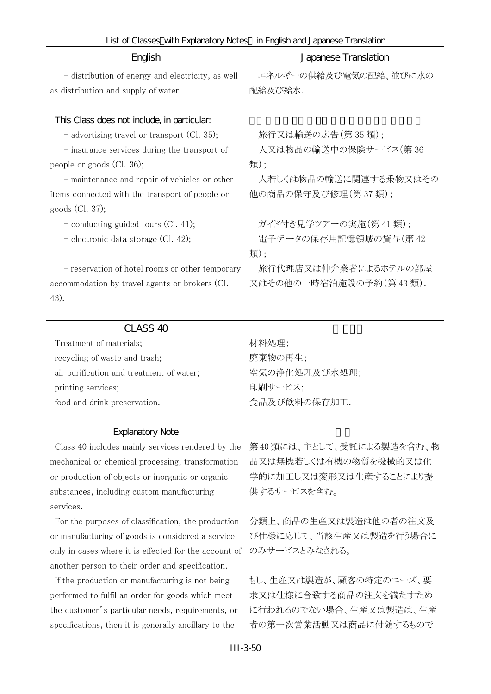| English                                               | Japanese Translation     |  |  |
|-------------------------------------------------------|--------------------------|--|--|
| - distribution of energy and electricity, as well     | エネルギーの供給及び電気の配給、並びに水の    |  |  |
| as distribution and supply of water.                  | 配給及び給水.                  |  |  |
|                                                       |                          |  |  |
| This Class does not include, in particular.           |                          |  |  |
| - advertising travel or transport (Cl. 35);           | 旅行又は輸送の広告(第35類);         |  |  |
| - insurance services during the transport of          | 人又は物品の輸送中の保険サービス(第36     |  |  |
| people or goods $(Cl. 36)$ ;                          | 類);                      |  |  |
| - maintenance and repair of vehicles or other         | 人若しくは物品の輸送に関連する乗物又はその    |  |  |
| items connected with the transport of people or       | 他の商品の保守及び修理(第37類);       |  |  |
| goods $(Cl. 37);$                                     |                          |  |  |
| - conducting guided tours $(Cl. 41)$ ;                | ガイド付き見学ツアーの実施(第41類);     |  |  |
| - electronic data storage (Cl. 42);                   | 電子データの保存用記憶領域の貸与(第42     |  |  |
|                                                       | 類);                      |  |  |
| - reservation of hotel rooms or other temporary       | 旅行代理店又は仲介業者によるホテルの部屋     |  |  |
| accommodation by travel agents or brokers (Cl.        | 又はその他の一時宿泊施設の予約(第43類).   |  |  |
| 43).                                                  |                          |  |  |
|                                                       |                          |  |  |
| CLASS <sub>40</sub>                                   |                          |  |  |
| Treatment of materials;                               | 材料処理;                    |  |  |
| recycling of waste and trash;                         | 廃棄物の再生;                  |  |  |
| air purification and treatment of water;              | 空気の浄化処理及び水処理;            |  |  |
| printing services;                                    | 印刷サービス;                  |  |  |
| food and drink preservation.                          | 食品及び飲料の保存加工.             |  |  |
|                                                       |                          |  |  |
| <b>Explanatory Note</b>                               |                          |  |  |
| Class 40 includes mainly services rendered by the     | 第40類には、主として、受託による製造を含む、物 |  |  |
| mechanical or chemical processing, transformation     | 品又は無機若しくは有機の物質を機械的又は化    |  |  |
| or production of objects or inorganic or organic      | 学的に加工し又は変形又は生産することにより提   |  |  |
| substances, including custom manufacturing            | 供するサービスを含む。              |  |  |
| services.                                             |                          |  |  |
| For the purposes of classification, the production    | 分類上、商品の生産又は製造は他の者の注文及    |  |  |
| or manufacturing of goods is considered a service     | び仕様に応じて、当該生産又は製造を行う場合に   |  |  |
| only in cases where it is effected for the account of | のみサービスとみなされる。            |  |  |
| another person to their order and specification.      |                          |  |  |
| If the production or manufacturing is not being       | もし、生産又は製造が、顧客の特定のニーズ、要   |  |  |
| performed to fulfil an order for goods which meet     | 求又は仕様に合致する商品の注文を満たすため    |  |  |
| the customer's particular needs, requirements, or     | に行われるのでない場合、生産又は製造は、生産   |  |  |
| specifications, then it is generally ancillary to the | 者の第一次営業活動又は商品に付随するもので    |  |  |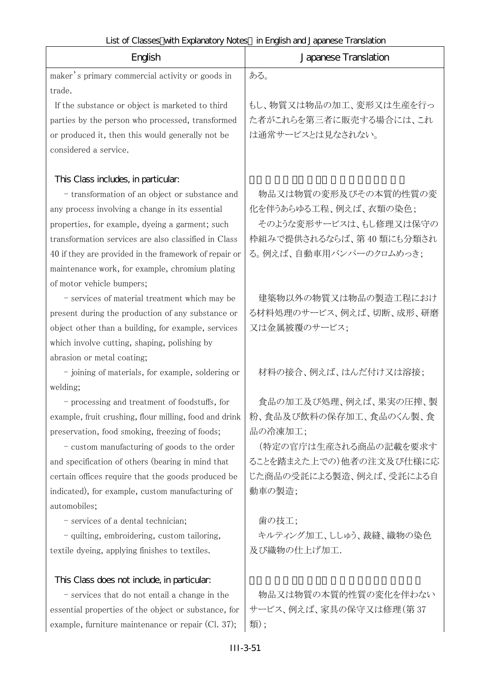|  | List of Classes with Explanatory Notes in English and Japanese Translation |  |
|--|----------------------------------------------------------------------------|--|
|  |                                                                            |  |

| English<br>Japanese Translation                                                                   |                                  |  |
|---------------------------------------------------------------------------------------------------|----------------------------------|--|
| maker's primary commercial activity or goods in                                                   | ある。                              |  |
| trade.                                                                                            |                                  |  |
| If the substance or object is marketed to third                                                   | もし、物質又は物品の加工、変形又は生産を行っ           |  |
| parties by the person who processed, transformed                                                  | た者がこれらを第三者に販売する場合には、これ           |  |
| or produced it, then this would generally not be                                                  | は通常サービスとは見なされない。                 |  |
| considered a service.                                                                             |                                  |  |
| This Class includes, in particular.                                                               |                                  |  |
| - transformation of an object or substance and                                                    | 物品又は物質の変形及びその本質的性質の変             |  |
| any process involving a change in its essential                                                   | 化を伴うあらゆる工程、例えば、衣類の染色;            |  |
| properties, for example, dyeing a garment; such                                                   | そのような変形サービスは、もし修理又は保守の           |  |
| transformation services are also classified in Class                                              | 枠組みで提供されるならば、第40類にも分類され          |  |
| 40 if they are provided in the framework of repair or                                             | る。例えば、自動車用バンパーのクロムめっき;           |  |
| maintenance work, for example, chromium plating                                                   |                                  |  |
| of motor vehicle bumpers;                                                                         |                                  |  |
| - services of material treatment which may be                                                     | 建築物以外の物質又は物品の製造工程におけ             |  |
| present during the production of any substance or                                                 | る材料処理のサービス、例えば、切断、成形、研磨          |  |
| object other than a building, for example, services                                               | 又は金属被覆のサービス;                     |  |
| which involve cutting, shaping, polishing by                                                      |                                  |  |
| abrasion or metal coating;                                                                        |                                  |  |
| - joining of materials, for example, soldering or                                                 | 材料の接合、例えば、はんだ付け又は溶接;             |  |
| welding;                                                                                          |                                  |  |
| - processing and treatment of foodstuffs, for                                                     | 食品の加工及び処理、例えば、果実の圧搾、製            |  |
| example, fruit crushing, flour milling, food and drink                                            | 粉、食品及び飲料の保存加工、食品のくん製、食           |  |
| preservation, food smoking, freezing of foods;                                                    | 品の冷凍加工;<br>(特定の官庁は生産される商品の記載を要求す |  |
| - custom manufacturing of goods to the order<br>and specification of others (bearing in mind that | ることを踏まえた上での)他者の注文及び仕様に応          |  |
| certain offices require that the goods produced be                                                | じた商品の受託による製造、例えば、受託による自          |  |
| indicated), for example, custom manufacturing of                                                  | 動車の製造;                           |  |
| automobiles;                                                                                      |                                  |  |
| - services of a dental technician;                                                                | 歯の技工;                            |  |
| - quilting, embroidering, custom tailoring,                                                       | キルティング加工、ししゅう、裁縫、織物の染色           |  |
| textile dyeing, applying finishes to textiles.                                                    | 及び織物の仕上げ加工.                      |  |
|                                                                                                   |                                  |  |
| This Class does not include, in particular:                                                       |                                  |  |
| - services that do not entail a change in the                                                     | 物品又は物質の本質的性質の変化を伴わない             |  |
| essential properties of the object or substance, for                                              | サービス、例えば、家具の保守又は修理(第37           |  |
| example, furniture maintenance or repair (Cl. 37);                                                | 類);                              |  |
| $III-3-51$                                                                                        |                                  |  |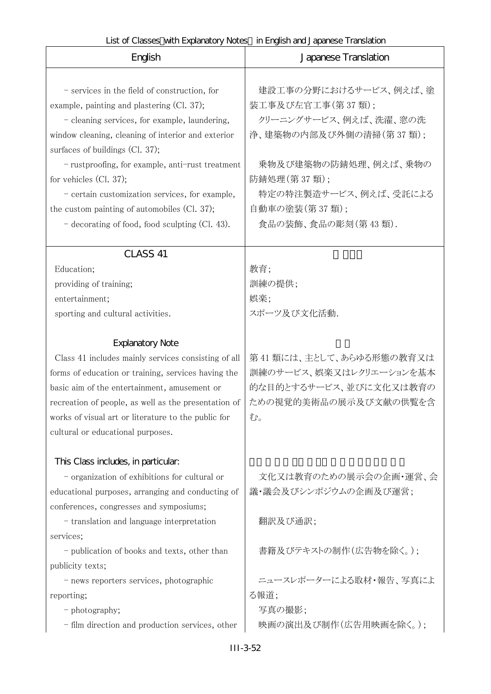| English                                                                                                                                                                                                                                                                                                                                                                                                                                                                    | Japanese Translation                                                                                                                                                                                |
|----------------------------------------------------------------------------------------------------------------------------------------------------------------------------------------------------------------------------------------------------------------------------------------------------------------------------------------------------------------------------------------------------------------------------------------------------------------------------|-----------------------------------------------------------------------------------------------------------------------------------------------------------------------------------------------------|
| - services in the field of construction, for<br>example, painting and plastering (Cl. 37);<br>- cleaning services, for example, laundering,<br>window cleaning, cleaning of interior and exterior<br>surfaces of buildings (Cl. 37);<br>- rustproofing, for example, anti-rust treatment<br>for vehicles $(Cl. 37);$<br>- certain customization services, for example,<br>the custom painting of automobiles (Cl. 37);<br>$-$ decorating of food, food sculpting (Cl. 43). | 建設工事の分野におけるサービス、例えば、塗<br>装工事及び左官工事(第37類);<br>クリーニングサービス、例えば、洗濯、窓の洗<br>浄、建築物の内部及び外側の清掃(第37類);<br>乗物及び建築物の防錆処理、例えば、乗物の<br>防錆処理(第37類);<br>特定の特注製造サービス、例えば、受託による<br>自動車の塗装(第37類);<br>食品の装飾、食品の彫刻(第43類). |
| CLASS 41                                                                                                                                                                                                                                                                                                                                                                                                                                                                   |                                                                                                                                                                                                     |
| Education;<br>providing of training;<br>entertainment;<br>sporting and cultural activities.                                                                                                                                                                                                                                                                                                                                                                                | 教育;<br>訓練の提供;<br>娯楽;<br>スポーツ及び文化活動.                                                                                                                                                                 |
| <b>Explanatory Note</b>                                                                                                                                                                                                                                                                                                                                                                                                                                                    |                                                                                                                                                                                                     |
| Class 41 includes mainly services consisting of all<br>forms of education or training, services having the<br>basic aim of the entertainment, amusement or<br>recreation of people, as well as the presentation of<br>works of visual art or literature to the public for<br>cultural or educational purposes.                                                                                                                                                             | 第41 類には、主として、あらゆる形態の教育又は<br>訓練のサービス、娯楽又はレクリエーションを基本<br>的な目的とするサービス、並びに文化又は教育の<br>ための視覚的美術品の展示及び文献の供覧を含<br>む。                                                                                        |
| This Class includes, in particular.                                                                                                                                                                                                                                                                                                                                                                                                                                        |                                                                                                                                                                                                     |
| - organization of exhibitions for cultural or<br>educational purposes, arranging and conducting of                                                                                                                                                                                                                                                                                                                                                                         | 文化又は教育のための展示会の企画・運営、会<br>議・議会及びシンポジウムの企画及び運営;                                                                                                                                                       |
| conferences, congresses and symposiums;<br>- translation and language interpretation<br>services;                                                                                                                                                                                                                                                                                                                                                                          | 翻訳及び通訳;                                                                                                                                                                                             |
| - publication of books and texts, other than<br>publicity texts;                                                                                                                                                                                                                                                                                                                                                                                                           | 書籍及びテキストの制作(広告物を除く。);                                                                                                                                                                               |
| - news reporters services, photographic                                                                                                                                                                                                                                                                                                                                                                                                                                    | ニュースレポーターによる取材・報告、写真によ                                                                                                                                                                              |
| reporting;                                                                                                                                                                                                                                                                                                                                                                                                                                                                 | る報道;                                                                                                                                                                                                |
| - photography;                                                                                                                                                                                                                                                                                                                                                                                                                                                             | 写真の撮影;                                                                                                                                                                                              |
| - film direction and production services, other                                                                                                                                                                                                                                                                                                                                                                                                                            | 映画の演出及び制作(広告用映画を除く。);                                                                                                                                                                               |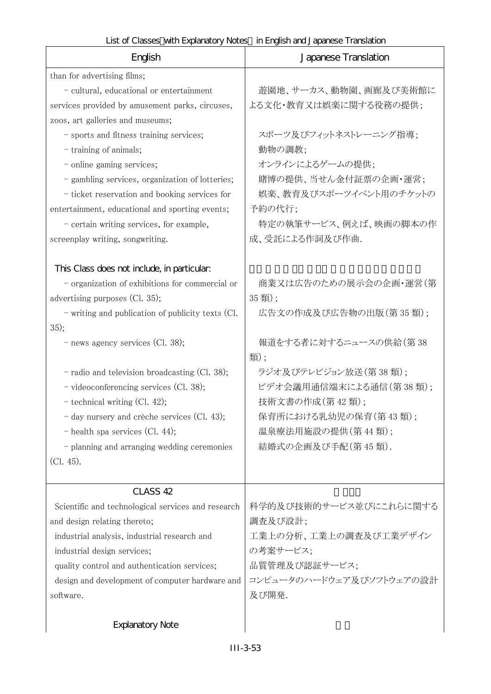| English                                                                                                                                                                                                                                                                                                                                                                                                                                                             | Japanese Translation                                                                                                                                                                      |
|---------------------------------------------------------------------------------------------------------------------------------------------------------------------------------------------------------------------------------------------------------------------------------------------------------------------------------------------------------------------------------------------------------------------------------------------------------------------|-------------------------------------------------------------------------------------------------------------------------------------------------------------------------------------------|
| than for advertising films;<br>- cultural, educational or entertainment<br>services provided by amusement parks, circuses,<br>zoos, art galleries and museums;<br>- sports and fitness training services;<br>- training of animals;<br>- online gaming services;<br>- gambling services, organization of lotteries;<br>- ticket reservation and booking services for<br>entertainment, educational and sporting events;<br>- certain writing services, for example, | 遊園地、サーカス、動物園、画廊及び美術館に<br>よる文化・教育又は娯楽に関する役務の提供;<br>スポーツ及びフィットネストレーニング指導;<br>動物の調教;<br>オンラインによるゲームの提供;<br>賭博の提供、当せん金付証票の企画・運営;<br>娯楽、教育及びスポーツイベント用のチケットの<br>予約の代行;<br>特定の執筆サービス、例えば、映画の脚本の作 |
| screenplay writing, songwriting.<br>This Class does not include, in particular:<br>- organization of exhibitions for commercial or<br>advertising purposes (Cl. 35);<br>- writing and publication of publicity texts (Cl.                                                                                                                                                                                                                                           | 成、受託による作詞及び作曲.<br>商業又は広告のための展示会の企画・運営(第<br>35類);<br>広告文の作成及び広告物の出版(第35類);                                                                                                                 |
| 35);<br>- news agency services (Cl. 38);<br>- radio and television broadcasting (Cl. 38);<br>- videoconferencing services (Cl. 38);<br>$-$ technical writing (Cl. 42);<br>- day nursery and crèche services (Cl. 43);<br>$-$ health spa services (Cl. 44);<br>- planning and arranging wedding ceremonies<br>$(Cl. 45)$ .                                                                                                                                           | 報道をする者に対するニュースの供給(第38<br>類);<br>ラジオ及びテレビジョン放送(第38類);<br>ビデオ会議用通信端末による通信(第38類);<br>技術文書の作成(第42類);<br>保育所における乳幼児の保育(第43類);<br>温泉療法用施設の提供(第44類);<br>結婚式の企画及び手配(第45類).                        |
| CLASS 42<br>Scientific and technological services and research<br>and design relating thereto;<br>industrial analysis, industrial research and<br>industrial design services;<br>quality control and authentication services;<br>design and development of computer hardware and<br>software.                                                                                                                                                                       | 科学的及び技術的サービス並びにこれらに関する<br>調査及び設計;<br>工業上の分析、工業上の調査及び工業デザイン<br>の考案サービス;<br>品質管理及び認証サービス;<br>コンピュータのハードウェア及びソフトウェアの設計<br>及び開発.                                                              |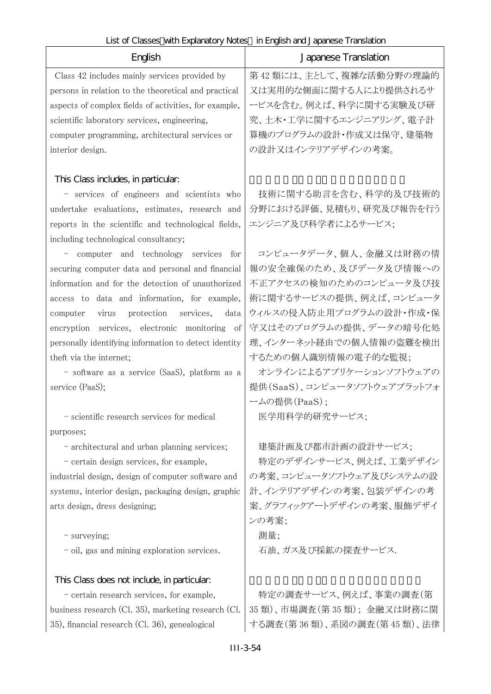F

| English                                                                                                                                                                                                                                                                                                                                                                                                                                                                                                                                                                                                                                                                                                                                                                                                                                                                                                          | Japanese Translation                                                                                                                                                                                                                                                                                                                                                                                                                                       |
|------------------------------------------------------------------------------------------------------------------------------------------------------------------------------------------------------------------------------------------------------------------------------------------------------------------------------------------------------------------------------------------------------------------------------------------------------------------------------------------------------------------------------------------------------------------------------------------------------------------------------------------------------------------------------------------------------------------------------------------------------------------------------------------------------------------------------------------------------------------------------------------------------------------|------------------------------------------------------------------------------------------------------------------------------------------------------------------------------------------------------------------------------------------------------------------------------------------------------------------------------------------------------------------------------------------------------------------------------------------------------------|
| Class 42 includes mainly services provided by<br>persons in relation to the theoretical and practical<br>aspects of complex fields of activities, for example,<br>scientific laboratory services, engineering,<br>computer programming, architectural services or<br>interior design.                                                                                                                                                                                                                                                                                                                                                                                                                                                                                                                                                                                                                            | 第42類には、主として、複雑な活動分野の理論的<br>又は実用的な側面に関する人により提供されるサ<br>ービスを含む。例えば、科学に関する実験及び研<br>究、土木・工学に関するエンジニアリング、電子計<br>算機のプログラムの設計・作成又は保守、建築物<br>の設計又はインテリアデザインの考案。                                                                                                                                                                                                                                                                                                     |
| This Class includes, in particular:<br>- services of engineers and scientists who<br>undertake evaluations, estimates, research and<br>reports in the scientific and technological fields,<br>including technological consultancy;<br>- computer and technology services for<br>securing computer data and personal and financial<br>information and for the detection of unauthorized<br>access to data and information, for example,<br>protection services,<br>virus<br>data<br>computer<br>encryption services, electronic monitoring of<br>personally identifying information to detect identity<br>theft via the internet;<br>- software as a service (SaaS), platform as a<br>service (PaaS);<br>- scientific research services for medical<br>purposes;<br>- architectural and urban planning services;<br>- certain design services, for example,<br>industrial design, design of computer software and | 技術に関する助言を含む、科学的及び技術的<br>分野における評価、見積もり、研究及び報告を行う<br>エンジニア及び科学者によるサービス;<br>コンピュータデータ、個人、金融又は財務の情<br>報の安全確保のため、及びデータ及び情報への<br>不正アクセスの検知のためのコンピュータ及び技<br>術に関するサービスの提供、例えば、コンピュータ<br>ウィルスの侵入防止用プログラムの設計・作成・保<br>守又はそのプログラムの提供、データの暗号化処<br>理、インターネット経由での個人情報の盗難を検出<br>するための個人識別情報の電子的な監視;<br>オンラインによるアプリケーションソフトウェアの<br>提供(SaaS)、コンピュータソフトウェアプラットフォ<br>ームの提供(PaaS);<br>医学用科学的研究サービス;<br>建築計画及び都市計画の設計サービス;<br>特定のデザインサービス、例えば、工業デザイン<br>の考案、コンピュータソフトウェア及びシステムの設 |
| systems, interior design, packaging design, graphic<br>arts design, dress designing;<br>- surveying;<br>- oil, gas and mining exploration services.                                                                                                                                                                                                                                                                                                                                                                                                                                                                                                                                                                                                                                                                                                                                                              | 計、インテリアデザインの考案、包装デザインの考<br>案、グラフィックアートデザインの考案、服飾デザイ<br>ンの考案;<br>測量;<br>石油、ガス及び採鉱の探査サービス.                                                                                                                                                                                                                                                                                                                                                                   |
| This Class does not include, in particular:<br>- certain research services, for example,<br>business research (Cl. 35), marketing research (Cl.<br>35), financial research (Cl. 36), genealogical                                                                                                                                                                                                                                                                                                                                                                                                                                                                                                                                                                                                                                                                                                                | 特定の調査サービス、例えば、事業の調査(第<br>35 類)、市場調査(第 35 類);金融又は財務に関<br>する調査(第36類)、系図の調査(第45類)、法律                                                                                                                                                                                                                                                                                                                                                                          |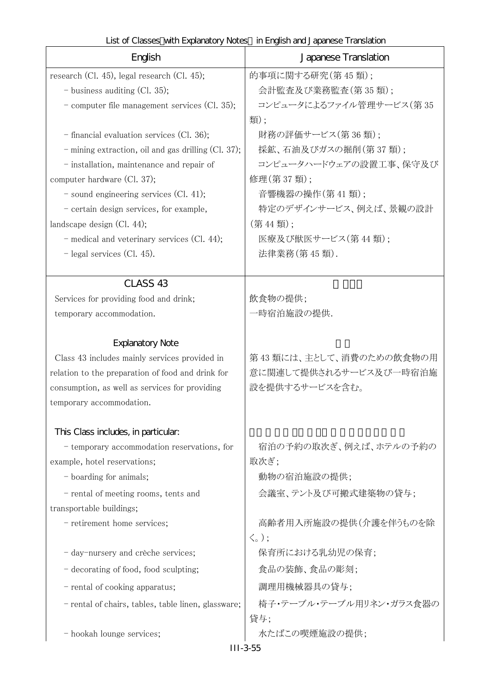| LIST OF CROSSES WITH LADRIKING Y NOTES ITTLINGEST CHA J CIDCI ICSC TTCH ISRUIGHT<br>English | Japanese Translation                                |
|---------------------------------------------------------------------------------------------|-----------------------------------------------------|
|                                                                                             |                                                     |
| research (Cl. 45), legal research (Cl. 45);                                                 | 的事項に関する研究(第45類);                                    |
| $-$ business auditing (Cl. 35);                                                             | 会計監査及び業務監査(第35類);                                   |
| - computer file management services (Cl. 35);                                               | コンピュータによるファイル管理サービス(第35                             |
|                                                                                             | 類);                                                 |
| - financial evaluation services (Cl. 36);                                                   | 財務の評価サービス(第36類);                                    |
| - mining extraction, oil and gas drilling (Cl. 37);                                         | 採鉱、石油及びガスの掘削(第37類);                                 |
| - installation, maintenance and repair of                                                   | コンピュータハードウェアの設置工事、保守及び                              |
| computer hardware (Cl. 37);                                                                 | 修理(第37類);                                           |
| $-$ sound engineering services (Cl. 41);                                                    | 音響機器の操作(第41類);                                      |
| - certain design services, for example,                                                     | 特定のデザインサービス、例えば、景観の設計                               |
| landscape design (Cl. 44);                                                                  | (第44類);                                             |
| - medical and veterinary services (Cl. 44);                                                 | 医療及び獣医サービス(第44類);                                   |
| $-$ legal services (Cl. 45).                                                                | 法律業務(第45類).                                         |
| CLASS <sub>43</sub>                                                                         |                                                     |
| Services for providing food and drink;                                                      | 飲食物の提供;                                             |
| temporary accommodation.                                                                    | 一時宿泊施設の提供.                                          |
|                                                                                             |                                                     |
| <b>Explanatory Note</b>                                                                     |                                                     |
| Class 43 includes mainly services provided in                                               | 第43類には、主として、消費のための飲食物の用                             |
| relation to the preparation of food and drink for                                           | 意に関連して提供されるサービス及び一時宿泊施                              |
| consumption, as well as services for providing                                              | 設を提供するサービスを含む。                                      |
| temporary accommodation.                                                                    |                                                     |
|                                                                                             |                                                     |
| This Class includes, in particular.                                                         |                                                     |
| - temporary accommodation reservations, for                                                 | 宿泊の予約の取次ぎ、例えば、ホテルの予約の                               |
| example, hotel reservations;                                                                | 取次ぎ;                                                |
| - boarding for animals;                                                                     | 動物の宿泊施設の提供;                                         |
| - rental of meeting rooms, tents and                                                        | 会議室、テント及び可搬式建築物の貸与;                                 |
| transportable buildings;                                                                    |                                                     |
| - retirement home services;                                                                 | 高齢者用入所施設の提供(介護を伴うものを除<br>$\langle \zeta_{\circ}$ ); |
| - day-nursery and crèche services;                                                          | 保育所における乳幼児の保育;                                      |
| - decorating of food, food sculpting;                                                       | 食品の装飾、食品の彫刻;                                        |
| - rental of cooking apparatus;                                                              | 調理用機械器具の貸与;                                         |
| - rental of chairs, tables, table linen, glassware;                                         | 椅子・テーブル・テーブル用リネン・ガラス食器の                             |
|                                                                                             | 貸与;                                                 |
| - hookah lounge services;                                                                   | 水たばこの喫煙施設の提供;                                       |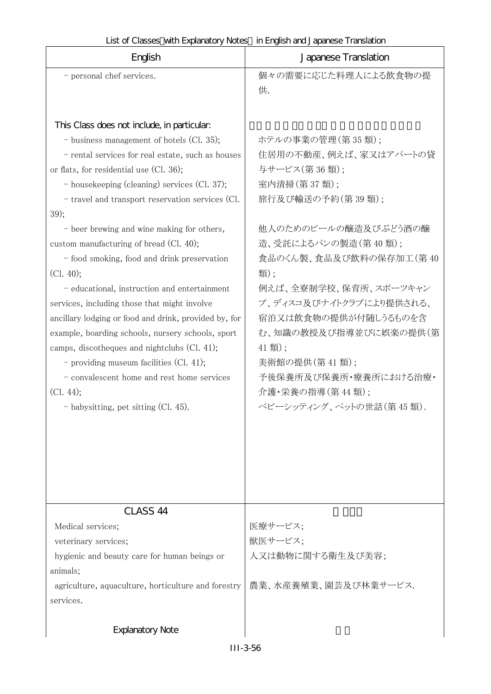| List of Classes with Explanatory Notes in English and Japanese Translation |  |
|----------------------------------------------------------------------------|--|
|----------------------------------------------------------------------------|--|

|                                                       | LISTO I CRISSES WITH EXPIRITION Y INCLES ILLETIQUISH RITU J RIPRITESE THRITISRIUM I |
|-------------------------------------------------------|-------------------------------------------------------------------------------------|
| English                                               | Japanese Translation                                                                |
| - personal chef services.                             | 個々の需要に応じた料理人による飲食物の提                                                                |
|                                                       | 供.                                                                                  |
|                                                       |                                                                                     |
| This Class does not include, in particular:           |                                                                                     |
| - business management of hotels (Cl. 35);             | ホテルの事業の管理(第35類);                                                                    |
| - rental services for real estate, such as houses     | 住居用の不動産、例えば、家又はアパートの貸                                                               |
| or flats, for residential use (Cl. 36);               | 与サービス(第36類);                                                                        |
| - housekeeping (cleaning) services (Cl. 37);          | 室内清掃(第37類);                                                                         |
| - travel and transport reservation services (Cl.      | 旅行及び輸送の予約(第39類);                                                                    |
| 39);                                                  |                                                                                     |
| - beer brewing and wine making for others,            | 他人のためのビールの醸造及びぶどう酒の醸                                                                |
| custom manufacturing of bread (Cl. 40);               | 造、受託によるパンの製造(第40類);                                                                 |
| - food smoking, food and drink preservation           | 食品のくん製、食品及び飲料の保存加工(第40                                                              |
| (Cl. 40);                                             | 類);                                                                                 |
| - educational, instruction and entertainment          | 例えば、全寮制学校、保育所、スポーツキャン                                                               |
| services, including those that might involve          | プ、ディスコ及びナイトクラブにより提供される、                                                             |
| ancillary lodging or food and drink, provided by, for | 宿泊又は飲食物の提供が付随しうるものを含                                                                |
| example, boarding schools, nursery schools, sport     | む、知識の教授及び指導並びに娯楽の提供(第                                                               |
| camps, discotheques and nightclubs (Cl. 41);          | 41 類);                                                                              |
| - providing museum facilities $(Cl. 41)$ ;            | 美術館の提供(第41類);                                                                       |
| - convalescent home and rest home services            | 予後保養所及び保養所・療養所における治療・                                                               |
| (Cl. 44);                                             | 介護・栄養の指導(第44類);                                                                     |
| - babysitting, pet sitting (Cl. 45).                  | ベビーシッティング、ペットの世話(第45類).                                                             |
|                                                       |                                                                                     |
|                                                       |                                                                                     |
|                                                       |                                                                                     |
|                                                       |                                                                                     |
|                                                       |                                                                                     |
| CLASS <sub>44</sub>                                   |                                                                                     |
| Medical services;                                     | 医療サービス;                                                                             |
|                                                       |                                                                                     |

| Medical services;                                   | 医療サービス:              |
|-----------------------------------------------------|----------------------|
| veterinary services;                                | 獣医サービス;              |
| hygienic and beauty care for human beings or        | 人又は動物に関する衛生及び美容;     |
| animals;                                            |                      |
| agriculture, aquaculture, horticulture and forestry | 農業、水産養殖業、園芸及び林業サービス. |
| services.                                           |                      |
|                                                     |                      |

# Explanatory Note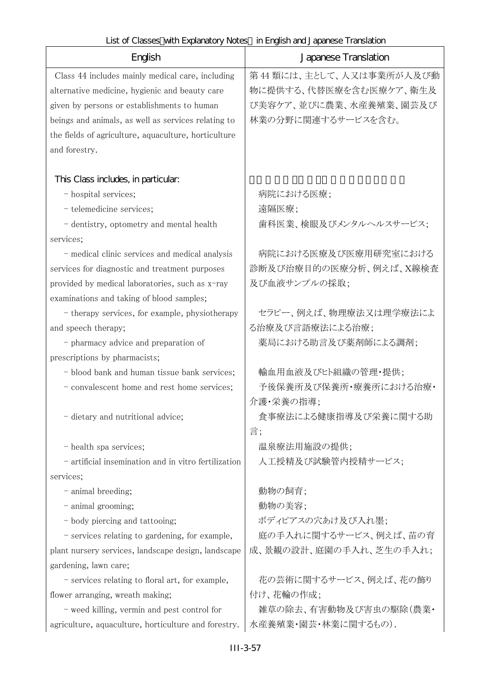| English                                              | Japanese Translation    |
|------------------------------------------------------|-------------------------|
| Class 44 includes mainly medical care, including     | 第44類には、主として、人又は事業所が人及び動 |
| alternative medicine, hygienic and beauty care       | 物に提供する、代替医療を含む医療ケア、衛生及  |
| given by persons or establishments to human          | び美容ケア、並びに農業、水産養殖業、園芸及び  |
| beings and animals, as well as services relating to  | 林業の分野に関連するサービスを含む。      |
| the fields of agriculture, aquaculture, horticulture |                         |
| and forestry.                                        |                         |
| This Class includes, in particular.                  |                         |
| - hospital services;                                 | 病院における医療;               |
| - telemedicine services;                             | 遠隔医療;                   |
| - dentistry, optometry and mental health             | 歯科医業、検眼及びメンタルヘルスサービス;   |
| services;                                            |                         |
| - medical clinic services and medical analysis       | 病院における医療及び医療用研究室における    |
| services for diagnostic and treatment purposes       | 診断及び治療目的の医療分析、例えば、X線検査  |
| provided by medical laboratories, such as x-ray      | 及び血液サンプルの採取;            |
| examinations and taking of blood samples;            |                         |
| - therapy services, for example, physiotherapy       | セラピー、例えば、物理療法又は理学療法によ   |
| and speech therapy;                                  | る治療及び言語療法による治療;         |
| - pharmacy advice and preparation of                 | 薬局における助言及び薬剤師による調剤;     |
| prescriptions by pharmacists;                        |                         |
| - blood bank and human tissue bank services;         | 輸血用血液及びヒト組織の管理・提供;      |
| - convalescent home and rest home services;          | 予後保養所及び保養所・療養所における治療・   |
|                                                      | 介護・栄養の指導;               |
| dietary and nutritional advice;                      | 食事療法による健康指導及び栄養に関する助    |
|                                                      | 言;                      |
| - health spa services;                               | 温泉療法用施設の提供;             |
| - artificial insemination and in vitro fertilization | 人工授精及び試験管内授精サービス;       |
| services;                                            |                         |
| - animal breeding;                                   | 動物の飼育;                  |
| - animal grooming;                                   | 動物の美容;                  |
| - body piercing and tattooing;                       | ボディピアスの穴あけ及び入れ墨;        |
| - services relating to gardening, for example,       | 庭の手入れに関するサービス、例えば、苗の育   |
| plant nursery services, landscape design, landscape  | 成、景観の設計、庭園の手入れ、芝生の手入れ;  |
| gardening, lawn care;                                |                         |
| - services relating to floral art, for example,      | 花の芸術に関するサービス、例えば、花の飾り   |
| flower arranging, wreath making;                     | 付け、花輪の作成;               |
| - weed killing, vermin and pest control for          | 雑草の除去、有害動物及び害虫の駆除(農業・   |
| agriculture, aquaculture, horticulture and forestry. | 水産養殖業・園芸・林業に関するもの).     |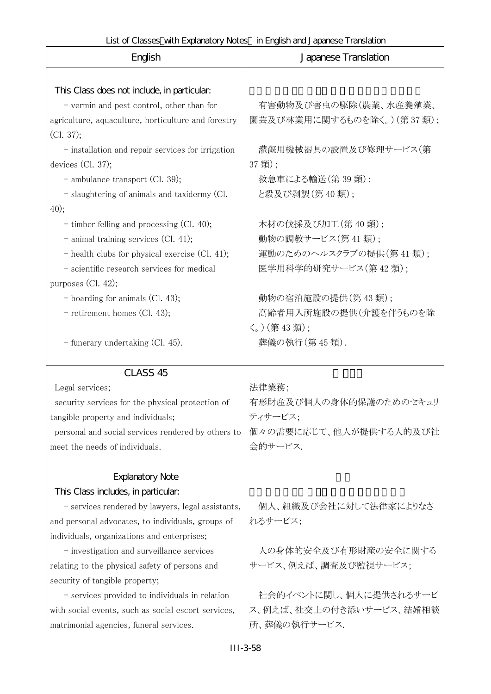| English                                                                                                                                                                                                                                                                                                                                                  | Japanese Translation                                                                  |
|----------------------------------------------------------------------------------------------------------------------------------------------------------------------------------------------------------------------------------------------------------------------------------------------------------------------------------------------------------|---------------------------------------------------------------------------------------|
| This Class does not include, in particular:<br>- vermin and pest control, other than for<br>agriculture, aquaculture, horticulture and forestry<br>(Cl. 37);                                                                                                                                                                                             | 有害動物及び害虫の駆除(農業、水産養殖業、<br>園芸及び林業用に関するものを除く。) (第37類);                                   |
| - installation and repair services for irrigation<br>devices $(Cl. 37);$<br>$-$ ambulance transport (Cl. 39);                                                                                                                                                                                                                                            | 灌漑用機械器具の設置及び修理サービス(第<br>37 類);<br>救急車による輸送(第39類);                                     |
| - slaughtering of animals and taxidermy (Cl.<br>40);                                                                                                                                                                                                                                                                                                     | と殺及び剥製(第40類);                                                                         |
| - timber felling and processing (Cl. 40);<br>$-$ animal training services (Cl. 41);<br>$-$ health clubs for physical exercise (Cl. 41);<br>- scientific research services for medical                                                                                                                                                                    | 木材の伐採及び加工(第40類);<br>動物の調教サービス(第41類);<br>運動のためのヘルスクラブの提供(第41類);<br>医学用科学的研究サービス(第42類); |
| purposes $(Cl. 42);$<br>$-$ boarding for animals (Cl. 43);<br>- retirement homes (Cl. 43);                                                                                                                                                                                                                                                               | 動物の宿泊施設の提供(第43類);<br>高齢者用入所施設の提供(介護を伴うものを除<br>〈。)(第43類);                              |
| - funerary undertaking (Cl. 45).                                                                                                                                                                                                                                                                                                                         | 葬儀の執行(第45類).                                                                          |
| CLASS <sub>45</sub><br>Legal services;<br>security services for the physical protection of<br>tangible property and individuals;<br>personal and social services rendered by others to<br>meet the needs of individuals.                                                                                                                                 | 法律業務;<br>有形財産及び個人の身体的保護のためのセキュリ<br>ティサービス;<br>個々の需要に応じて、他人が提供する人的及び社<br>会的サービス.       |
| <b>Explanatory Note</b><br>This Class includes, in particular.<br>- services rendered by lawyers, legal assistants,<br>and personal advocates, to individuals, groups of<br>individuals, organizations and enterprises;<br>- investigation and surveillance services<br>relating to the physical safety of persons and<br>security of tangible property; | 個人、組織及び会社に対して法律家によりなさ<br>れるサービス;<br>人の身体的安全及び有形財産の安全に関する<br>サービス、例えば、調査及び監視サービス;      |
| - services provided to individuals in relation<br>with social events, such as social escort services,<br>matrimonial agencies, funeral services.                                                                                                                                                                                                         | 社会的イベントに関し、個人に提供されるサービ<br>ス、例えば、社交上の付き添いサービス、結婚相談<br>所、葬儀の執行サービス.                     |